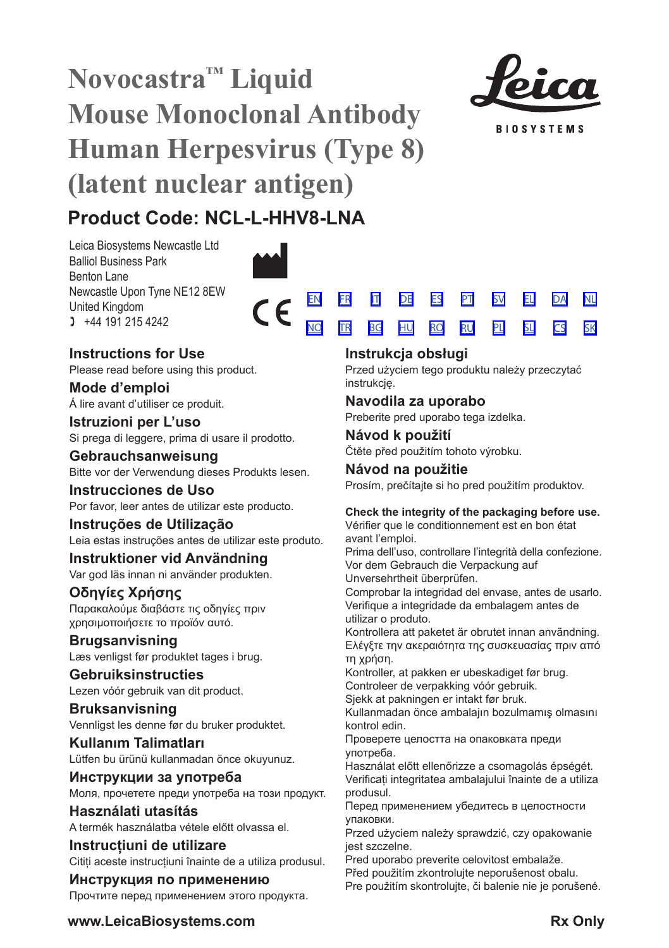# **Novocastra™ Liquid Mouse Monoclonal Antibody Human Herpesvirus (Type 8) (latent nuclear antigen)**



**BIOSYSTEMS** 

[SV](#page-20-0) [EL](#page-23-0) [DA](#page-26-0) [PL](#page-50-0) [SL](#page-53-0) [CS](#page-56-0) [NL](#page-29-0) [SK](#page-59-0)

## **Product Code: NCL-L-HHV8-LNA**

Leica Biosystems Newcastle Ltd Balliol Business Park Benton Lane Newcastle Upon Tyne NE12 8EW United Kingdom  $1 +44 191 215 4242$ 



 $\epsilon$ 

## **Instructions for Use**

Please read before using this product.

**Mode d'emploi** Á lire avant d'utiliser ce produit.

**Istruzioni per L'uso** Si prega di leggere, prima di usare il prodotto.

**Gebrauchsanweisung** Bitte vor der Verwendung dieses Produkts lesen.

**Instrucciones de Uso** Por favor, leer antes de utilizar este producto.

**Instruções de Utilização** Leia estas instruções antes de utilizar este produto.

**Instruktioner vid Användning** Var god läs innan ni använder produkten.

## **Οδηγίες Χρήσης** Παρακαλούμε διαβάστε τις οδηγίες πριν

χρησιμοποιήσετε το προϊόν αυτό. **Brugsanvisning**

Læs venligst før produktet tages i brug.

**Gebruiksinstructies** Lezen vóór gebruik van dit product.

**Bruksanvisning** Vennligst les denne før du bruker produktet.

**Kullanım Talimatları** Lütfen bu ürünü kullanmadan önce okuyunuz.

**Инструкции за употреба** Моля, прочетете преди употреба на този продукт.

**Használati utasítás** A termék használatba vétele előtt olvassa el.

**Instrucțiuni de utilizare** Citiți aceste instrucțiuni înainte de a utiliza produsul.

**Инструкция по применению** Прочтите перед применением этого продукта.

## **Instrukcja obsługi**

[EN](#page-2-0) [FR](#page-5-0) [IT](#page-8-0) [DE](#page-11-0) [ES](#page-14-0) [PT](#page-17-0) <u>[NO](#page-32-0) [TR](#page-35-0) [BG](#page-38-0) [HU](#page-41-0) [RO](#page-44-0) [RU](#page-47-0)</u>

> Przed użyciem tego produktu należy przeczytać instrukcję.

## **Navodila za uporabo**

Preberite pred uporabo tega izdelka.

**Návod k použití** Čtěte před použitím tohoto výrobku.

**Návod na použitie** Prosím, prečítajte si ho pred použitím produktov.

## **Check the integrity of the packaging before use.**

Vérifier que le conditionnement est en bon état avant l'emploi.

Prima dell'uso, controllare l'integrità della confezione. Vor dem Gebrauch die Verpackung auf Unversehrtheit überprüfen.

Comprobar la integridad del envase, antes de usarlo. Verifique a integridade da embalagem antes de utilizar o produto.

Kontrollera att paketet är obrutet innan användning. Ελέγξτε την ακεραιότητα της συσκευασίας πριν από τη χρήση.

Kontroller, at pakken er ubeskadiget før brug. Controleer de verpakking vóór gebruik.

Sjekk at pakningen er intakt før bruk.

Kullanmadan önce ambalajın bozulmamış olmasını kontrol edin.

Проверете целостта на опаковката преди употреба.

Használat előtt ellenőrizze a csomagolás épségét. Verificați integritatea ambalajului înainte de a utiliza produsul.

Перед применением убедитесь в целостности упаковки.

Przed użyciem należy sprawdzić, czy opakowanie jest szczelne.

Pred uporabo preverite celovitost embalaže.

Před použitím zkontrolujte neporušenost obalu.

Pre použitím skontrolujte, či balenie nie je porušené.

www.LeicaBiosystems.com **RX Only** Rx Only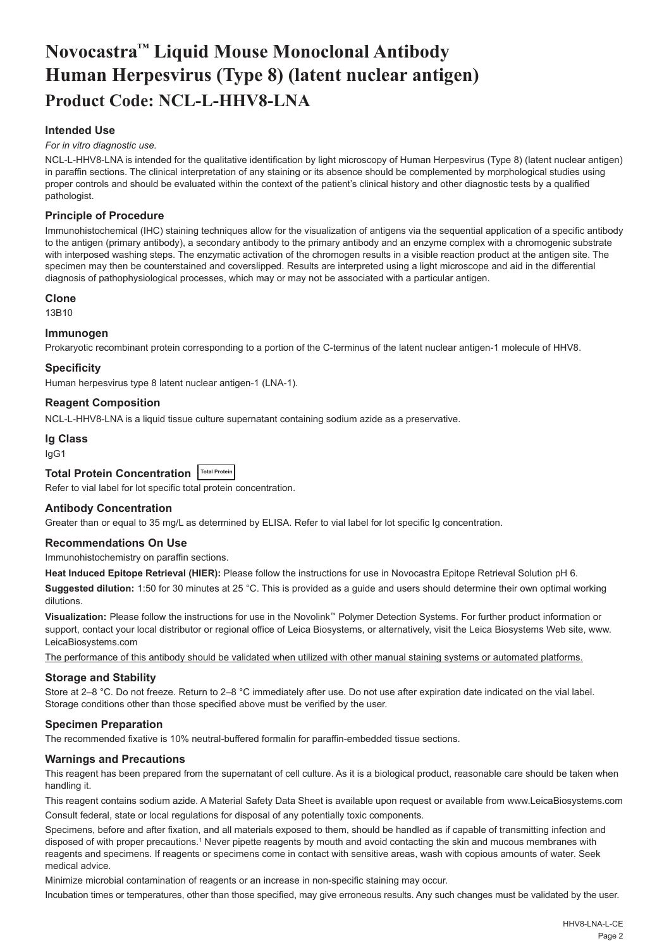## <span id="page-2-0"></span>**Novocastra™ Liquid Mouse Monoclonal Antibody Human Herpesvirus (Type 8) (latent nuclear antigen) Product Code: NCL-L-HHV8-LNA**

## **Intended Use**

#### *For in vitro diagnostic use.*

NCL-L-HHV8-LNA is intended for the qualitative identification by light microscopy of Human Herpesvirus (Type 8) (latent nuclear antigen) in paraffin sections. The clinical interpretation of any staining or its absence should be complemented by morphological studies using proper controls and should be evaluated within the context of the patient's clinical history and other diagnostic tests by a qualified pathologist.

## **Principle of Procedure**

Immunohistochemical (IHC) staining techniques allow for the visualization of antigens via the sequential application of a specific antibody to the antigen (primary antibody), a secondary antibody to the primary antibody and an enzyme complex with a chromogenic substrate with interposed washing steps. The enzymatic activation of the chromogen results in a visible reaction product at the antigen site. The specimen may then be counterstained and coverslipped. Results are interpreted using a light microscope and aid in the differential diagnosis of pathophysiological processes, which may or may not be associated with a particular antigen.

#### **Clone**

#### 13B10

#### **Immunogen**

Prokaryotic recombinant protein corresponding to a portion of the C-terminus of the latent nuclear antigen-1 molecule of HHV8.

#### **Specificity**

Human herpesvirus type 8 latent nuclear antigen-1 (LNA-1).

#### **Reagent Composition**

NCL-L-HHV8-LNA is a liquid tissue culture supernatant containing sodium azide as a preservative.

#### **Ig Class**

IgG1

## **Total Protein Concentration Total Protein**

Refer to vial label for lot specific total protein concentration.

#### **Antibody Concentration**

Greater than or equal to 35 mg/L as determined by ELISA. Refer to vial label for lot specific Ig concentration.

#### **Recommendations On Use**

Immunohistochemistry on paraffin sections.

**Heat Induced Epitope Retrieval (HIER):** Please follow the instructions for use in Novocastra Epitope Retrieval Solution pH 6.

**Suggested dilution:** 1:50 for 30 minutes at 25 °C. This is provided as a guide and users should determine their own optimal working dilutions.

**Visualization:** Please follow the instructions for use in the Novolink™ Polymer Detection Systems. For further product information or support, contact your local distributor or regional office of Leica Biosystems, or alternatively, visit the Leica Biosystems Web site, www. LeicaBiosystems.com

The performance of this antibody should be validated when utilized with other manual staining systems or automated platforms.

#### **Storage and Stability**

Store at 2–8 °C. Do not freeze. Return to 2–8 °C immediately after use. Do not use after expiration date indicated on the vial label. Storage conditions other than those specified above must be verified by the user.

## **Specimen Preparation**

The recommended fixative is 10% neutral-buffered formalin for paraffin-embedded tissue sections.

## **Warnings and Precautions**

This reagent has been prepared from the supernatant of cell culture. As it is a biological product, reasonable care should be taken when handling it.

This reagent contains sodium azide. A Material Safety Data Sheet is available upon request or available from www.LeicaBiosystems.com

Consult federal, state or local regulations for disposal of any potentially toxic components.

Specimens, before and after fixation, and all materials exposed to them, should be handled as if capable of transmitting infection and disposed of with proper precautions.1 Never pipette reagents by mouth and avoid contacting the skin and mucous membranes with reagents and specimens. If reagents or specimens come in contact with sensitive areas, wash with copious amounts of water. Seek medical advice.

Minimize microbial contamination of reagents or an increase in non-specific staining may occur.

Incubation times or temperatures, other than those specified, may give erroneous results. Any such changes must be validated by the user.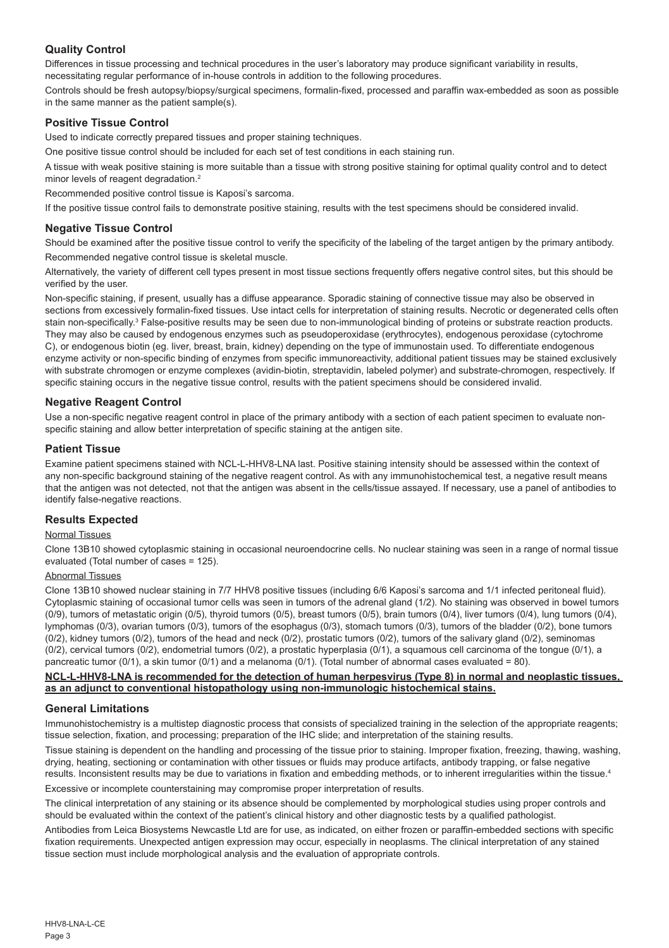## **Quality Control**

Differences in tissue processing and technical procedures in the user's laboratory may produce significant variability in results, necessitating regular performance of in-house controls in addition to the following procedures.

Controls should be fresh autopsy/biopsy/surgical specimens, formalin-fixed, processed and paraffin wax-embedded as soon as possible in the same manner as the patient sample(s).

## **Positive Tissue Control**

Used to indicate correctly prepared tissues and proper staining techniques.

One positive tissue control should be included for each set of test conditions in each staining run.

A tissue with weak positive staining is more suitable than a tissue with strong positive staining for optimal quality control and to detect minor levels of reagent degradation.<sup>2</sup>

Recommended positive control tissue is Kaposi's sarcoma.

If the positive tissue control fails to demonstrate positive staining, results with the test specimens should be considered invalid.

## **Negative Tissue Control**

Should be examined after the positive tissue control to verify the specificity of the labeling of the target antigen by the primary antibody. Recommended negative control tissue is skeletal muscle.

Alternatively, the variety of different cell types present in most tissue sections frequently offers negative control sites, but this should be verified by the user.

Non-specific staining, if present, usually has a diffuse appearance. Sporadic staining of connective tissue may also be observed in sections from excessively formalin-fixed tissues. Use intact cells for interpretation of staining results. Necrotic or degenerated cells often stain non-specifically.<sup>3</sup> False-positive results may be seen due to non-immunological binding of proteins or substrate reaction products. They may also be caused by endogenous enzymes such as pseudoperoxidase (erythrocytes), endogenous peroxidase (cytochrome C), or endogenous biotin (eg. liver, breast, brain, kidney) depending on the type of immunostain used. To differentiate endogenous enzyme activity or non-specific binding of enzymes from specific immunoreactivity, additional patient tissues may be stained exclusively with substrate chromogen or enzyme complexes (avidin-biotin, streptavidin, labeled polymer) and substrate-chromogen, respectively. If specific staining occurs in the negative tissue control, results with the patient specimens should be considered invalid.

## **Negative Reagent Control**

Use a non-specific negative reagent control in place of the primary antibody with a section of each patient specimen to evaluate nonspecific staining and allow better interpretation of specific staining at the antigen site.

#### **Patient Tissue**

Examine patient specimens stained with NCL-L-HHV8-LNA last. Positive staining intensity should be assessed within the context of any non-specific background staining of the negative reagent control. As with any immunohistochemical test, a negative result means that the antigen was not detected, not that the antigen was absent in the cells/tissue assayed. If necessary, use a panel of antibodies to identify false-negative reactions.

#### **Results Expected**

## Normal Tissues

Clone 13B10 showed cytoplasmic staining in occasional neuroendocrine cells. No nuclear staining was seen in a range of normal tissue evaluated (Total number of cases = 125).

### Abnormal Tissues

Clone 13B10 showed nuclear staining in 7/7 HHV8 positive tissues (including 6/6 Kaposi's sarcoma and 1/1 infected peritoneal fluid). Cytoplasmic staining of occasional tumor cells was seen in tumors of the adrenal gland (1/2). No staining was observed in bowel tumors (0/9), tumors of metastatic origin (0/5), thyroid tumors (0/5), breast tumors (0/5), brain tumors (0/4), liver tumors (0/4), lung tumors (0/4), lymphomas (0/3), ovarian tumors (0/3), tumors of the esophagus (0/3), stomach tumors (0/3), tumors of the bladder (0/2), bone tumors (0/2), kidney tumors (0/2), tumors of the head and neck (0/2), prostatic tumors (0/2), tumors of the salivary gland (0/2), seminomas  $(0/2)$ , cervical tumors  $(0/2)$ , endometrial tumors  $(0/2)$ , a prostatic hyperplasia  $(0/1)$ , a squamous cell carcinoma of the tongue  $(0/1)$ , a pancreatic tumor (0/1), a skin tumor (0/1) and a melanoma (0/1). (Total number of abnormal cases evaluated = 80).

#### **NCL-L-HHV8-LNA is recommended for the detection of human herpesvirus (Type 8) in normal and neoplastic tissues, as an adjunct to conventional histopathology using non-immunologic histochemical stains.**

#### **General Limitations**

Immunohistochemistry is a multistep diagnostic process that consists of specialized training in the selection of the appropriate reagents; tissue selection, fixation, and processing; preparation of the IHC slide; and interpretation of the staining results.

Tissue staining is dependent on the handling and processing of the tissue prior to staining. Improper fixation, freezing, thawing, washing, drying, heating, sectioning or contamination with other tissues or fluids may produce artifacts, antibody trapping, or false negative results. Inconsistent results may be due to variations in fixation and embedding methods, or to inherent irregularities within the tissue.4 Excessive or incomplete counterstaining may compromise proper interpretation of results.

The clinical interpretation of any staining or its absence should be complemented by morphological studies using proper controls and should be evaluated within the context of the patient's clinical history and other diagnostic tests by a qualified pathologist.

Antibodies from Leica Biosystems Newcastle Ltd are for use, as indicated, on either frozen or paraffin-embedded sections with specific fixation requirements. Unexpected antigen expression may occur, especially in neoplasms. The clinical interpretation of any stained tissue section must include morphological analysis and the evaluation of appropriate controls.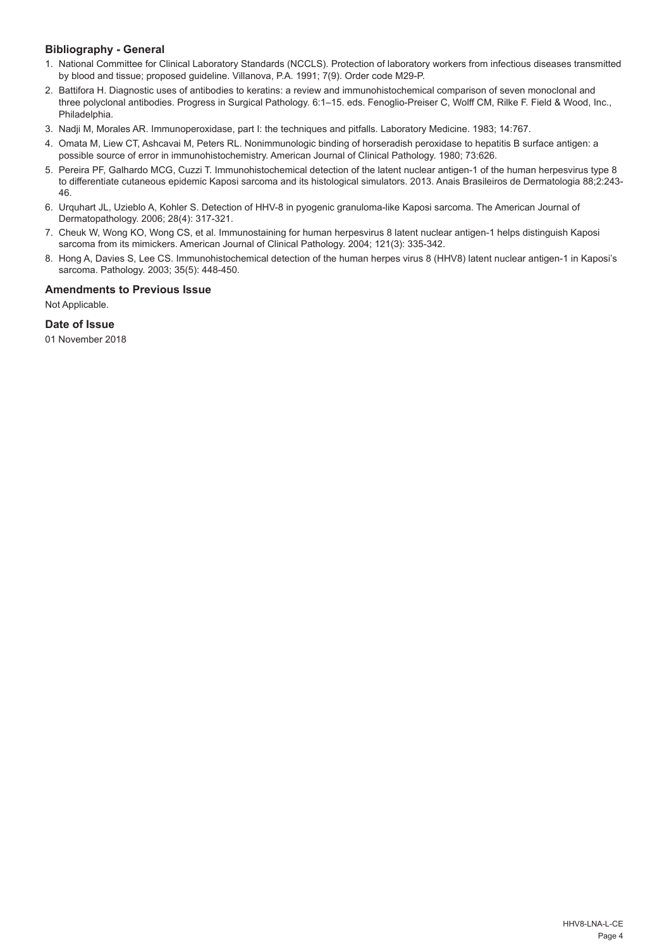## **Bibliography - General**

- 1. National Committee for Clinical Laboratory Standards (NCCLS). Protection of laboratory workers from infectious diseases transmitted by blood and tissue; proposed guideline. Villanova, P.A. 1991; 7(9). Order code M29-P.
- 2. Battifora H. Diagnostic uses of antibodies to keratins: a review and immunohistochemical comparison of seven monoclonal and three polyclonal antibodies. Progress in Surgical Pathology. 6:1–15. eds. Fenoglio-Preiser C, Wolff CM, Rilke F. Field & Wood, Inc., Philadelphia.
- 3. Nadji M, Morales AR. Immunoperoxidase, part I: the techniques and pitfalls. Laboratory Medicine. 1983; 14:767.
- 4. Omata M, Liew CT, Ashcavai M, Peters RL. Nonimmunologic binding of horseradish peroxidase to hepatitis B surface antigen: a possible source of error in immunohistochemistry. American Journal of Clinical Pathology. 1980; 73:626.
- 5. Pereira PF, Galhardo MCG, Cuzzi T. Immunohistochemical detection of the latent nuclear antigen-1 of the human herpesvirus type 8 to differentiate cutaneous epidemic Kaposi sarcoma and its histological simulators. 2013. Anais Brasileiros de Dermatologia 88;2:243- 46.
- 6. Urquhart JL, Uzieblo A, Kohler S. Detection of HHV-8 in pyogenic granuloma-like Kaposi sarcoma. The American Journal of Dermatopathology. 2006; 28(4): 317-321.
- 7. Cheuk W, Wong KO, Wong CS, et al. Immunostaining for human herpesvirus 8 latent nuclear antigen-1 helps distinguish Kaposi sarcoma from its mimickers. American Journal of Clinical Pathology. 2004; 121(3): 335-342.
- 8. Hong A, Davies S, Lee CS. Immunohistochemical detection of the human herpes virus 8 (HHV8) latent nuclear antigen-1 in Kaposi's sarcoma. Pathology. 2003; 35(5): 448-450.

## **Amendments to Previous Issue**

Not Applicable.

## **Date of Issue**

01 November 2018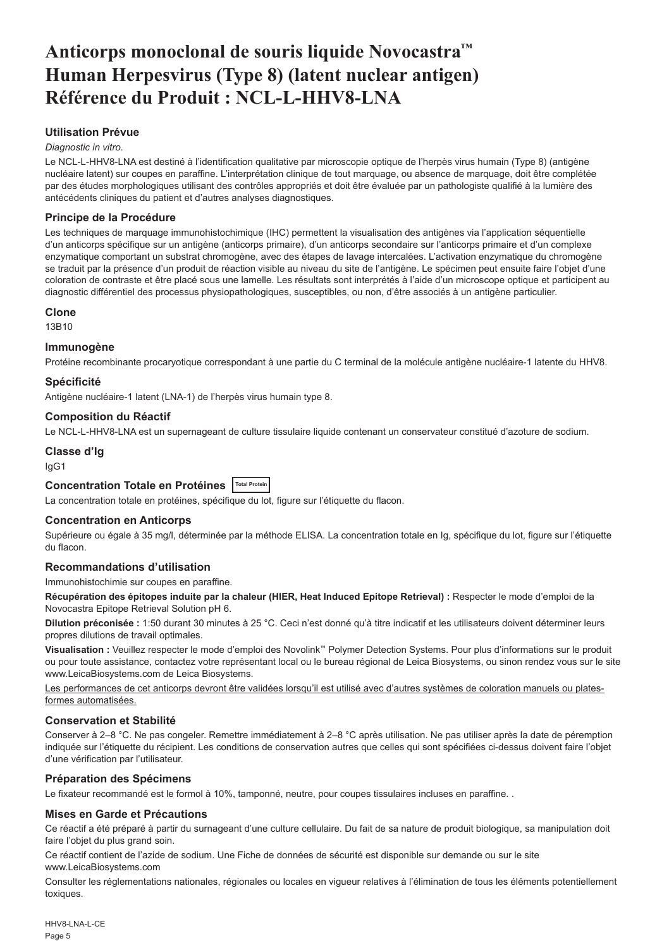## <span id="page-5-0"></span>**Anticorps monoclonal de souris liquide Novocastra™ Human Herpesvirus (Type 8) (latent nuclear antigen) Référence du Produit : NCL-L-HHV8-LNA**

## **Utilisation Prévue**

#### *Diagnostic in vitro*.

Le NCL-L-HHV8-LNA est destiné à l'identification qualitative par microscopie optique de l'herpès virus humain (Type 8) (antigène nucléaire latent) sur coupes en paraffine. L'interprétation clinique de tout marquage, ou absence de marquage, doit être complétée par des études morphologiques utilisant des contrôles appropriés et doit être évaluée par un pathologiste qualifié à la lumière des antécédents cliniques du patient et d'autres analyses diagnostiques.

## **Principe de la Procédure**

Les techniques de marquage immunohistochimique (IHC) permettent la visualisation des antigènes via l'application séquentielle d'un anticorps spécifique sur un antigène (anticorps primaire), d'un anticorps secondaire sur l'anticorps primaire et d'un complexe enzymatique comportant un substrat chromogène, avec des étapes de lavage intercalées. L'activation enzymatique du chromogène se traduit par la présence d'un produit de réaction visible au niveau du site de l'antigène. Le spécimen peut ensuite faire l'objet d'une coloration de contraste et être placé sous une lamelle. Les résultats sont interprétés à l'aide d'un microscope optique et participent au diagnostic différentiel des processus physiopathologiques, susceptibles, ou non, d'être associés à un antigène particulier.

#### **Clone**

13B10

## **Immunogène**

Protéine recombinante procaryotique correspondant à une partie du C terminal de la molécule antigène nucléaire-1 latente du HHV8.

## **Spécificité**

Antigène nucléaire-1 latent (LNA-1) de l'herpès virus humain type 8.

#### **Composition du Réactif**

Le NCL-L-HHV8-LNA est un supernageant de culture tissulaire liquide contenant un conservateur constitué d'azoture de sodium.

## **Classe d'Ig**

IgG1

## **Concentration Totale en Protéines Total Protein**

La concentration totale en protéines, spécifique du lot, figure sur l'étiquette du flacon.

## **Concentration en Anticorps**

Supérieure ou égale à 35 mg/l, déterminée par la méthode ELISA. La concentration totale en Ig, spécifique du lot, figure sur l'étiquette du flacon.

## **Recommandations d'utilisation**

Immunohistochimie sur coupes en paraffine.

Récupération des épitopes induite par la chaleur (HIER, Heat Induced Epitope Retrieval) : Respecter le mode d'emploi de la Novocastra Epitope Retrieval Solution pH 6.

**Dilution préconisée :** 1:50 durant 30 minutes à 25 °C. Ceci n'est donné qu'à titre indicatif et les utilisateurs doivent déterminer leurs propres dilutions de travail optimales.

**Visualisation :** Veuillez respecter le mode d'emploi des Novolink™ Polymer Detection Systems. Pour plus d'informations sur le produit ou pour toute assistance, contactez votre représentant local ou le bureau régional de Leica Biosystems, ou sinon rendez vous sur le site www.LeicaBiosystems.com de Leica Biosystems.

Les performances de cet anticorps devront être validées lorsqu'il est utilisé avec d'autres systèmes de coloration manuels ou platesformes automatisées.

## **Conservation et Stabilité**

Conserver à 2–8 °C. Ne pas congeler. Remettre immédiatement à 2–8 °C après utilisation. Ne pas utiliser après la date de péremption indiquée sur l'étiquette du récipient. Les conditions de conservation autres que celles qui sont spécifiées ci-dessus doivent faire l'objet d'une vérification par l'utilisateur.

## **Préparation des Spécimens**

Le fixateur recommandé est le formol à 10%, tamponné, neutre, pour coupes tissulaires incluses en paraffine. .

## **Mises en Garde et Précautions**

Ce réactif a été préparé à partir du surnageant d'une culture cellulaire. Du fait de sa nature de produit biologique, sa manipulation doit faire l'objet du plus grand soin.

Ce réactif contient de l'azide de sodium. Une Fiche de données de sécurité est disponible sur demande ou sur le site www.LeicaBiosystems.com

Consulter les réglementations nationales, régionales ou locales en vigueur relatives à l'élimination de tous les éléments potentiellement toxiques.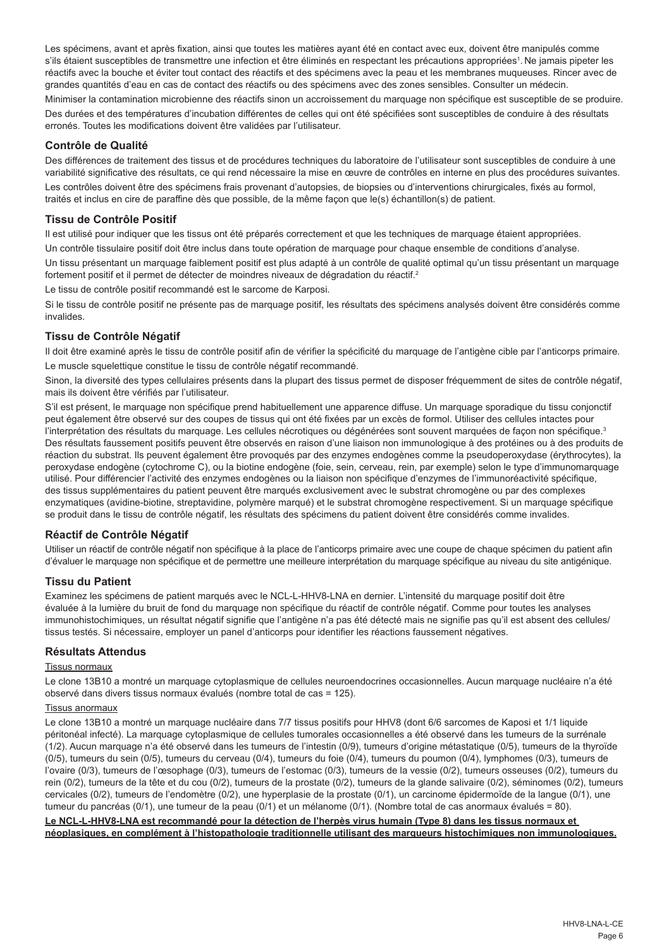Les spécimens, avant et après fixation, ainsi que toutes les matières ayant été en contact avec eux, doivent être manipulés comme s'ils étaient susceptibles de transmettre une infection et être éliminés en respectant les précautions appropriées<sup>1</sup>. Ne jamais pipeter les réactifs avec la bouche et éviter tout contact des réactifs et des spécimens avec la peau et les membranes muqueuses. Rincer avec de grandes quantités d'eau en cas de contact des réactifs ou des spécimens avec des zones sensibles. Consulter un médecin.

Minimiser la contamination microbienne des réactifs sinon un accroissement du marquage non spécifique est susceptible de se produire. Des durées et des températures d'incubation différentes de celles qui ont été spécifiées sont susceptibles de conduire à des résultats erronés. Toutes les modifications doivent être validées par l'utilisateur.

## **Contrôle de Qualité**

Des différences de traitement des tissus et de procédures techniques du laboratoire de l'utilisateur sont susceptibles de conduire à une variabilité significative des résultats, ce qui rend nécessaire la mise en œuvre de contrôles en interne en plus des procédures suivantes.

Les contrôles doivent être des spécimens frais provenant d'autopsies, de biopsies ou d'interventions chirurgicales, fixés au formol, traités et inclus en cire de paraffine dès que possible, de la même façon que le(s) échantillon(s) de patient.

## **Tissu de Contrôle Positif**

Il est utilisé pour indiquer que les tissus ont été préparés correctement et que les techniques de marquage étaient appropriées. Un contrôle tissulaire positif doit être inclus dans toute opération de marquage pour chaque ensemble de conditions d'analyse. Un tissu présentant un marquage faiblement positif est plus adapté à un contrôle de qualité optimal qu'un tissu présentant un marquage fortement positif et il permet de détecter de moindres niveaux de dégradation du réactif.<sup>2</sup>

Le tissu de contrôle positif recommandé est le sarcome de Karposi.

Si le tissu de contrôle positif ne présente pas de marquage positif, les résultats des spécimens analysés doivent être considérés comme invalides.

## **Tissu de Contrôle Négatif**

Il doit être examiné après le tissu de contrôle positif afin de vérifier la spécificité du marquage de l'antigène cible par l'anticorps primaire. Le muscle squelettique constitue le tissu de contrôle négatif recommandé.

Sinon, la diversité des types cellulaires présents dans la plupart des tissus permet de disposer fréquemment de sites de contrôle négatif, mais ils doivent être vérifiés par l'utilisateur.

S'il est présent, le marquage non spécifique prend habituellement une apparence diffuse. Un marquage sporadique du tissu conjonctif peut également être observé sur des coupes de tissus qui ont été fixées par un excès de formol. Utiliser des cellules intactes pour l'interprétation des résultats du marquage. Les cellules nécrotiques ou dégénérées sont souvent marquées de façon non spécifique.<sup>3</sup> Des résultats faussement positifs peuvent être observés en raison d'une liaison non immunologique à des protéines ou à des produits de réaction du substrat. Ils peuvent également être provoqués par des enzymes endogènes comme la pseudoperoxydase (érythrocytes), la peroxydase endogène (cytochrome C), ou la biotine endogène (foie, sein, cerveau, rein, par exemple) selon le type d'immunomarquage utilisé. Pour différencier l'activité des enzymes endogènes ou la liaison non spécifique d'enzymes de l'immunoréactivité spécifique, des tissus supplémentaires du patient peuvent être marqués exclusivement avec le substrat chromogène ou par des complexes enzymatiques (avidine-biotine, streptavidine, polymère marqué) et le substrat chromogène respectivement. Si un marquage spécifique se produit dans le tissu de contrôle négatif, les résultats des spécimens du patient doivent être considérés comme invalides.

## **Réactif de Contrôle Négatif**

Utiliser un réactif de contrôle négatif non spécifique à la place de l'anticorps primaire avec une coupe de chaque spécimen du patient afin d'évaluer le marquage non spécifique et de permettre une meilleure interprétation du marquage spécifique au niveau du site antigénique.

## **Tissu du Patient**

Examinez les spécimens de patient marqués avec le NCL-L-HHV8-LNA en dernier. L'intensité du marquage positif doit être évaluée à la lumière du bruit de fond du marquage non spécifique du réactif de contrôle négatif. Comme pour toutes les analyses immunohistochimiques, un résultat négatif signifie que l'antigène n'a pas été détecté mais ne signifie pas qu'il est absent des cellules/ tissus testés. Si nécessaire, employer un panel d'anticorps pour identifier les réactions faussement négatives.

## **Résultats Attendus**

## Tissus normaux

Le clone 13B10 a montré un marquage cytoplasmique de cellules neuroendocrines occasionnelles. Aucun marquage nucléaire n'a été observé dans divers tissus normaux évalués (nombre total de cas = 125).

#### Tissus anormaux

Le clone 13B10 a montré un marquage nucléaire dans 7/7 tissus positifs pour HHV8 (dont 6/6 sarcomes de Kaposi et 1/1 liquide péritonéal infecté). La marquage cytoplasmique de cellules tumorales occasionnelles a été observé dans les tumeurs de la surrénale (1/2). Aucun marquage n'a été observé dans les tumeurs de l'intestin (0/9), tumeurs d'origine métastatique (0/5), tumeurs de la thyroïde (0/5), tumeurs du sein (0/5), tumeurs du cerveau (0/4), tumeurs du foie (0/4), tumeurs du poumon (0/4), lymphomes (0/3), tumeurs de l'ovaire (0/3), tumeurs de l'œsophage (0/3), tumeurs de l'estomac (0/3), tumeurs de la vessie (0/2), tumeurs osseuses (0/2), tumeurs du rein (0/2), tumeurs de la tête et du cou (0/2), tumeurs de la prostate (0/2), tumeurs de la glande salivaire (0/2), séminomes (0/2), tumeurs cervicales (0/2), tumeurs de l'endomètre (0/2), une hyperplasie de la prostate (0/1), un carcinome épidermoïde de la langue (0/1), une tumeur du pancréas (0/1), une tumeur de la peau (0/1) et un mélanome (0/1). (Nombre total de cas anormaux évalués = 80).

**Le NCL-L-HHV8-LNA est recommandé pour la détection de l'herpès virus humain (Type 8) dans les tissus normaux et néoplasiques, en complément à l'histopathologie traditionnelle utilisant des marqueurs histochimiques non immunologiques.**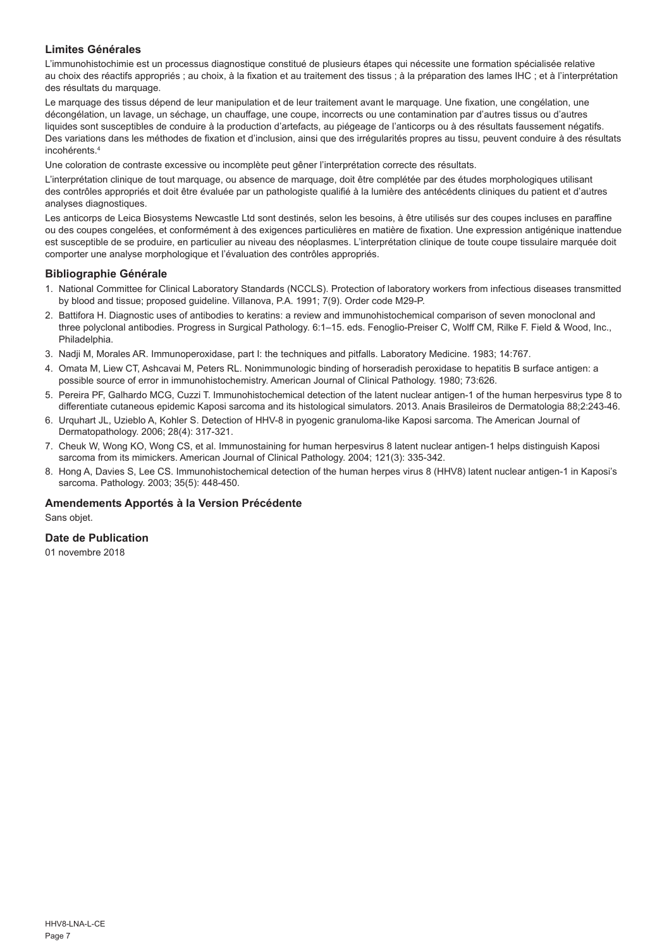## **Limites Générales**

L'immunohistochimie est un processus diagnostique constitué de plusieurs étapes qui nécessite une formation spécialisée relative au choix des réactifs appropriés ; au choix, à la fixation et au traitement des tissus ; à la préparation des lames IHC ; et à l'interprétation des résultats du marquage.

Le marquage des tissus dépend de leur manipulation et de leur traitement avant le marquage. Une fixation, une congélation, une décongélation, un lavage, un séchage, un chauffage, une coupe, incorrects ou une contamination par d'autres tissus ou d'autres liquides sont susceptibles de conduire à la production d'artefacts, au piégeage de l'anticorps ou à des résultats faussement négatifs. Des variations dans les méthodes de fixation et d'inclusion, ainsi que des irrégularités propres au tissu, peuvent conduire à des résultats incohérents.4

Une coloration de contraste excessive ou incomplète peut gêner l'interprétation correcte des résultats.

L'interprétation clinique de tout marquage, ou absence de marquage, doit être complétée par des études morphologiques utilisant des contrôles appropriés et doit être évaluée par un pathologiste qualifié à la lumière des antécédents cliniques du patient et d'autres analyses diagnostiques.

Les anticorps de Leica Biosystems Newcastle Ltd sont destinés, selon les besoins, à être utilisés sur des coupes incluses en paraffine ou des coupes congelées, et conformément à des exigences particulières en matière de fixation. Une expression antigénique inattendue est susceptible de se produire, en particulier au niveau des néoplasmes. L'interprétation clinique de toute coupe tissulaire marquée doit comporter une analyse morphologique et l'évaluation des contrôles appropriés.

#### **Bibliographie Générale**

- 1. National Committee for Clinical Laboratory Standards (NCCLS). Protection of laboratory workers from infectious diseases transmitted by blood and tissue; proposed guideline. Villanova, P.A. 1991; 7(9). Order code M29-P.
- 2. Battifora H. Diagnostic uses of antibodies to keratins: a review and immunohistochemical comparison of seven monoclonal and three polyclonal antibodies. Progress in Surgical Pathology. 6:1–15. eds. Fenoglio-Preiser C, Wolff CM, Rilke F. Field & Wood, Inc., Philadelphia.
- 3. Nadji M, Morales AR. Immunoperoxidase, part I: the techniques and pitfalls. Laboratory Medicine. 1983; 14:767.
- 4. Omata M, Liew CT, Ashcavai M, Peters RL. Nonimmunologic binding of horseradish peroxidase to hepatitis B surface antigen: a possible source of error in immunohistochemistry. American Journal of Clinical Pathology. 1980; 73:626.
- 5. Pereira PF, Galhardo MCG, Cuzzi T. Immunohistochemical detection of the latent nuclear antigen-1 of the human herpesvirus type 8 to differentiate cutaneous epidemic Kaposi sarcoma and its histological simulators. 2013. Anais Brasileiros de Dermatologia 88;2:243-46.
- 6. Urquhart JL, Uzieblo A, Kohler S. Detection of HHV-8 in pyogenic granuloma-like Kaposi sarcoma. The American Journal of Dermatopathology. 2006; 28(4): 317-321.
- 7. Cheuk W, Wong KO, Wong CS, et al. Immunostaining for human herpesvirus 8 latent nuclear antigen-1 helps distinguish Kaposi sarcoma from its mimickers. American Journal of Clinical Pathology. 2004; 121(3): 335-342.
- 8. Hong A, Davies S, Lee CS. Immunohistochemical detection of the human herpes virus 8 (HHV8) latent nuclear antigen-1 in Kaposi's sarcoma. Pathology. 2003; 35(5): 448-450.

## **Amendements Apportés à la Version Précédente**

Sans objet.

## **Date de Publication**

01 novembre 2018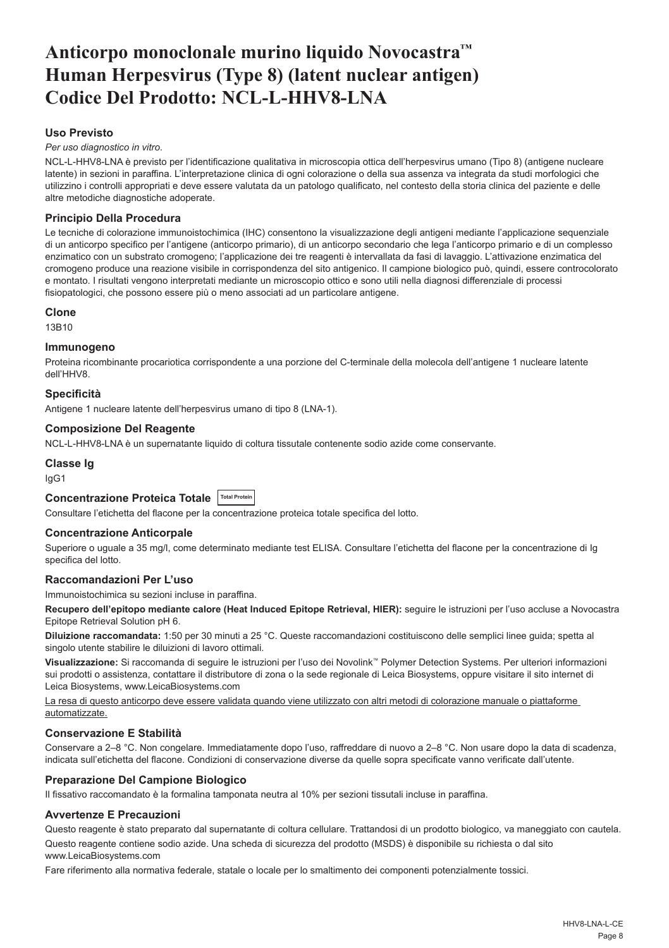## <span id="page-8-0"></span>**Anticorpo monoclonale murino liquido Novocastra™ Human Herpesvirus (Type 8) (latent nuclear antigen) Codice Del Prodotto: NCL-L-HHV8-LNA**

## **Uso Previsto**

*Per uso diagnostico in vitro*.

NCL-L-HHV8-LNA è previsto per l'identificazione qualitativa in microscopia ottica dell'herpesvirus umano (Tipo 8) (antigene nucleare latente) in sezioni in paraffina. L'interpretazione clinica di ogni colorazione o della sua assenza va integrata da studi morfologici che utilizzino i controlli appropriati e deve essere valutata da un patologo qualificato, nel contesto della storia clinica del paziente e delle altre metodiche diagnostiche adoperate.

## **Principio Della Procedura**

Le tecniche di colorazione immunoistochimica (IHC) consentono la visualizzazione degli antigeni mediante l'applicazione sequenziale di un anticorpo specifico per l'antigene (anticorpo primario), di un anticorpo secondario che lega l'anticorpo primario e di un complesso enzimatico con un substrato cromogeno; l'applicazione dei tre reagenti è intervallata da fasi di lavaggio. L'attivazione enzimatica del cromogeno produce una reazione visibile in corrispondenza del sito antigenico. Il campione biologico può, quindi, essere controcolorato e montato. I risultati vengono interpretati mediante un microscopio ottico e sono utili nella diagnosi differenziale di processi fisiopatologici, che possono essere più o meno associati ad un particolare antigene.

#### **Clone**

13B10

#### **Immunogeno**

Proteina ricombinante procariotica corrispondente a una porzione del C-terminale della molecola dell'antigene 1 nucleare latente dell'HHV8.

#### **Specificità**

Antigene 1 nucleare latente dell'herpesvirus umano di tipo 8 (LNA-1).

#### **Composizione Del Reagente**

NCL-L-HHV8-LNA è un supernatante liquido di coltura tissutale contenente sodio azide come conservante.

#### **Classe Ig**

IgG1

## **Concentrazione Proteica Totale Total Protein**

Consultare l'etichetta del flacone per la concentrazione proteica totale specifica del lotto.

#### **Concentrazione Anticorpale**

Superiore o uguale a 35 mg/l, come determinato mediante test ELISA. Consultare l'etichetta del flacone per la concentrazione di Ig specifica del lotto.

## **Raccomandazioni Per L'uso**

Immunoistochimica su sezioni incluse in paraffina.

Recupero dell'epitopo mediante calore (Heat Induced Epitope Retrieval, HIER): seguire le istruzioni per l'uso accluse a Novocastra Epitope Retrieval Solution pH 6.

**Diluizione raccomandata:** 1:50 per 30 minuti a 25 °C. Queste raccomandazioni costituiscono delle semplici linee guida; spetta al singolo utente stabilire le diluizioni di lavoro ottimali.

**Visualizzazione:** Si raccomanda di seguire le istruzioni per l'uso dei Novolink™ Polymer Detection Systems. Per ulteriori informazioni sui prodotti o assistenza, contattare il distributore di zona o la sede regionale di Leica Biosystems, oppure visitare il sito internet di Leica Biosystems, www.LeicaBiosystems.com

La resa di questo anticorpo deve essere validata quando viene utilizzato con altri metodi di colorazione manuale o piattaforme automatizzate.

## **Conservazione E Stabilità**

Conservare a 2–8 °C. Non congelare. Immediatamente dopo l'uso, raffreddare di nuovo a 2–8 °C. Non usare dopo la data di scadenza, indicata sull'etichetta del flacone. Condizioni di conservazione diverse da quelle sopra specificate vanno verificate dall'utente.

## **Preparazione Del Campione Biologico**

Il fissativo raccomandato è la formalina tamponata neutra al 10% per sezioni tissutali incluse in paraffina.

## **Avvertenze E Precauzioni**

Questo reagente è stato preparato dal supernatante di coltura cellulare. Trattandosi di un prodotto biologico, va maneggiato con cautela. Questo reagente contiene sodio azide. Una scheda di sicurezza del prodotto (MSDS) è disponibile su richiesta o dal sito www.LeicaBiosystems.com

Fare riferimento alla normativa federale, statale o locale per lo smaltimento dei componenti potenzialmente tossici.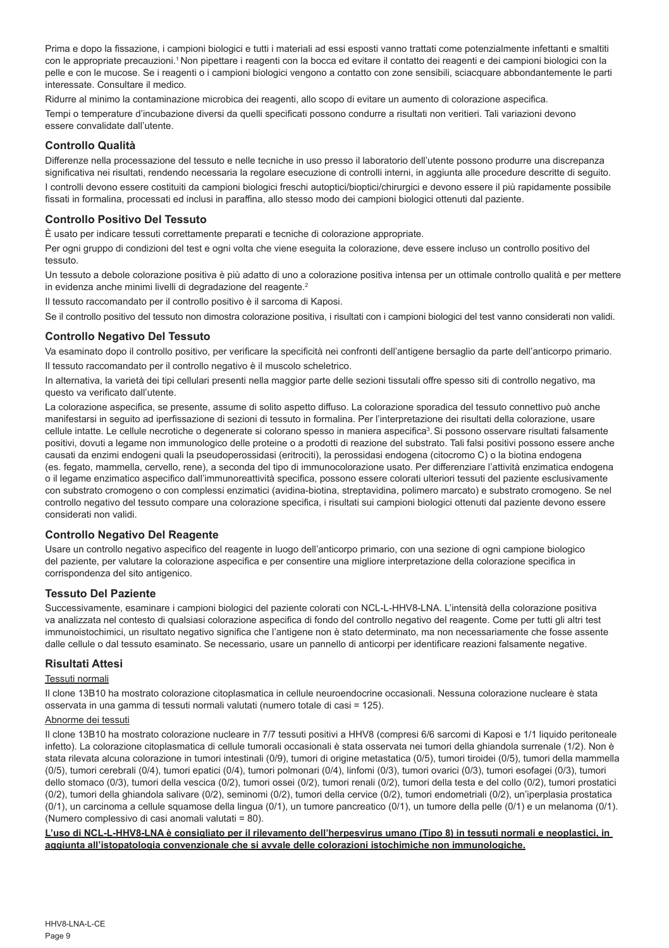Prima e dopo la fissazione, i campioni biologici e tutti i materiali ad essi esposti vanno trattati come potenzialmente infettanti e smaltiti con le appropriate precauzioni.<sup>1</sup> Non pipettare i reagenti con la bocca ed evitare il contatto dei reagenti e dei campioni biologici con la pelle e con le mucose. Se i reagenti o i campioni biologici vengono a contatto con zone sensibili, sciacquare abbondantemente le parti interessate. Consultare il medico.

Ridurre al minimo la contaminazione microbica dei reagenti, allo scopo di evitare un aumento di colorazione aspecifica. Tempi o temperature d'incubazione diversi da quelli specificati possono condurre a risultati non veritieri. Tali variazioni devono essere convalidate dall'utente.

## **Controllo Qualità**

Differenze nella processazione del tessuto e nelle tecniche in uso presso il laboratorio dell'utente possono produrre una discrepanza significativa nei risultati, rendendo necessaria la regolare esecuzione di controlli interni, in aggiunta alle procedure descritte di seguito.

I controlli devono essere costituiti da campioni biologici freschi autoptici/bioptici/chirurgici e devono essere il più rapidamente possibile fissati in formalina, processati ed inclusi in paraffina, allo stesso modo dei campioni biologici ottenuti dal paziente.

## **Controllo Positivo Del Tessuto**

È usato per indicare tessuti correttamente preparati e tecniche di colorazione appropriate.

Per ogni gruppo di condizioni del test e ogni volta che viene eseguita la colorazione, deve essere incluso un controllo positivo del tessuto.

Un tessuto a debole colorazione positiva è più adatto di uno a colorazione positiva intensa per un ottimale controllo qualità e per mettere in evidenza anche minimi livelli di degradazione del reagente.<sup>2</sup>

Il tessuto raccomandato per il controllo positivo è il sarcoma di Kaposi.

Se il controllo positivo del tessuto non dimostra colorazione positiva, i risultati con i campioni biologici del test vanno considerati non validi.

## **Controllo Negativo Del Tessuto**

Va esaminato dopo il controllo positivo, per verificare la specificità nei confronti dell'antigene bersaglio da parte dell'anticorpo primario. Il tessuto raccomandato per il controllo negativo è il muscolo scheletrico.

In alternativa, la varietà dei tipi cellulari presenti nella maggior parte delle sezioni tissutali offre spesso siti di controllo negativo, ma questo va verificato dall'utente.

La colorazione aspecifica, se presente, assume di solito aspetto diffuso. La colorazione sporadica del tessuto connettivo può anche manifestarsi in seguito ad iperfissazione di sezioni di tessuto in formalina. Per l'interpretazione dei risultati della colorazione, usare cellule intatte. Le cellule necrotiche o degenerate si colorano spesso in maniera aspecifica<sup>3</sup>. Si possono osservare risultati falsamente positivi, dovuti a legame non immunologico delle proteine o a prodotti di reazione del substrato. Tali falsi positivi possono essere anche causati da enzimi endogeni quali la pseudoperossidasi (eritrociti), la perossidasi endogena (citocromo C) o la biotina endogena (es. fegato, mammella, cervello, rene), a seconda del tipo di immunocolorazione usato. Per differenziare l'attività enzimatica endogena o il legame enzimatico aspecifico dall'immunoreattività specifica, possono essere colorati ulteriori tessuti del paziente esclusivamente con substrato cromogeno o con complessi enzimatici (avidina-biotina, streptavidina, polimero marcato) e substrato cromogeno. Se nel controllo negativo del tessuto compare una colorazione specifica, i risultati sui campioni biologici ottenuti dal paziente devono essere considerati non validi.

## **Controllo Negativo Del Reagente**

Usare un controllo negativo aspecifico del reagente in luogo dell'anticorpo primario, con una sezione di ogni campione biologico del paziente, per valutare la colorazione aspecifica e per consentire una migliore interpretazione della colorazione specifica in corrispondenza del sito antigenico.

## **Tessuto Del Paziente**

Successivamente, esaminare i campioni biologici del paziente colorati con NCL-L-HHV8-LNA. L'intensità della colorazione positiva va analizzata nel contesto di qualsiasi colorazione aspecifica di fondo del controllo negativo del reagente. Come per tutti gli altri test immunoistochimici, un risultato negativo significa che l'antigene non è stato determinato, ma non necessariamente che fosse assente dalle cellule o dal tessuto esaminato. Se necessario, usare un pannello di anticorpi per identificare reazioni falsamente negative.

## **Risultati Attesi**

#### Tessuti normali

Il clone 13B10 ha mostrato colorazione citoplasmatica in cellule neuroendocrine occasionali. Nessuna colorazione nucleare è stata osservata in una gamma di tessuti normali valutati (numero totale di casi = 125).

#### Abnorme dei tessuti

Il clone 13B10 ha mostrato colorazione nucleare in 7/7 tessuti positivi a HHV8 (compresi 6/6 sarcomi di Kaposi e 1/1 liquido peritoneale infetto). La colorazione citoplasmatica di cellule tumorali occasionali è stata osservata nei tumori della ghiandola surrenale (1/2). Non è stata rilevata alcuna colorazione in tumori intestinali (0/9), tumori di origine metastatica (0/5), tumori tiroidei (0/5), tumori della mammella (0/5), tumori cerebrali (0/4), tumori epatici (0/4), tumori polmonari (0/4), linfomi (0/3), tumori ovarici (0/3), tumori esofagei (0/3), tumori dello stomaco (0/3), tumori della vescica (0/2), tumori ossei (0/2), tumori renali (0/2), tumori della testa e del collo (0/2), tumori prostatici (0/2), tumori della ghiandola salivare (0/2), seminomi (0/2), tumori della cervice (0/2), tumori endometriali (0/2), un'iperplasia prostatica (0/1), un carcinoma a cellule squamose della lingua (0/1), un tumore pancreatico (0/1), un tumore della pelle (0/1) e un melanoma (0/1). (Numero complessivo di casi anomali valutati = 80).

**L'uso di NCL-L-HHV8-LNA è consigliato per il rilevamento dell'herpesvirus umano (Tipo 8) in tessuti normali e neoplastici, in aggiunta all'istopatologia convenzionale che si avvale delle colorazioni istochimiche non immunologiche.**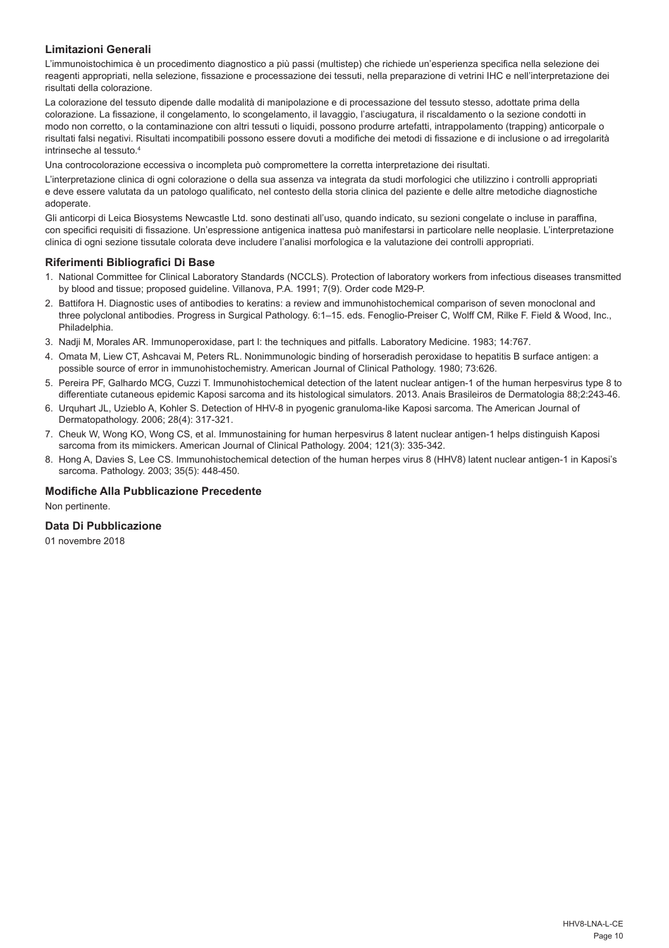## **Limitazioni Generali**

L'immunoistochimica è un procedimento diagnostico a più passi (multistep) che richiede un'esperienza specifica nella selezione dei reagenti appropriati, nella selezione, fissazione e processazione dei tessuti, nella preparazione di vetrini IHC e nell'interpretazione dei risultati della colorazione.

La colorazione del tessuto dipende dalle modalità di manipolazione e di processazione del tessuto stesso, adottate prima della colorazione. La fissazione, il congelamento, lo scongelamento, il lavaggio, l'asciugatura, il riscaldamento o la sezione condotti in modo non corretto, o la contaminazione con altri tessuti o liquidi, possono produrre artefatti, intrappolamento (trapping) anticorpale o risultati falsi negativi. Risultati incompatibili possono essere dovuti a modifiche dei metodi di fissazione e di inclusione o ad irregolarità intrinseche al tessuto.4

Una controcolorazione eccessiva o incompleta può compromettere la corretta interpretazione dei risultati.

L'interpretazione clinica di ogni colorazione o della sua assenza va integrata da studi morfologici che utilizzino i controlli appropriati e deve essere valutata da un patologo qualificato, nel contesto della storia clinica del paziente e delle altre metodiche diagnostiche adoperate.

Gli anticorpi di Leica Biosystems Newcastle Ltd. sono destinati all'uso, quando indicato, su sezioni congelate o incluse in paraffina, con specifici requisiti di fissazione. Un'espressione antigenica inattesa può manifestarsi in particolare nelle neoplasie. L'interpretazione clinica di ogni sezione tissutale colorata deve includere l'analisi morfologica e la valutazione dei controlli appropriati.

### **Riferimenti Bibliografici Di Base**

- 1. National Committee for Clinical Laboratory Standards (NCCLS). Protection of laboratory workers from infectious diseases transmitted by blood and tissue; proposed guideline. Villanova, P.A. 1991; 7(9). Order code M29-P.
- 2. Battifora H. Diagnostic uses of antibodies to keratins: a review and immunohistochemical comparison of seven monoclonal and three polyclonal antibodies. Progress in Surgical Pathology. 6:1–15. eds. Fenoglio-Preiser C, Wolff CM, Rilke F. Field & Wood, Inc., Philadelphia.
- 3. Nadji M, Morales AR. Immunoperoxidase, part I: the techniques and pitfalls. Laboratory Medicine. 1983; 14:767.
- 4. Omata M, Liew CT, Ashcavai M, Peters RL. Nonimmunologic binding of horseradish peroxidase to hepatitis B surface antigen: a possible source of error in immunohistochemistry. American Journal of Clinical Pathology. 1980; 73:626.
- 5. Pereira PF, Galhardo MCG, Cuzzi T. Immunohistochemical detection of the latent nuclear antigen-1 of the human herpesvirus type 8 to differentiate cutaneous epidemic Kaposi sarcoma and its histological simulators. 2013. Anais Brasileiros de Dermatologia 88;2:243-46.
- 6. Urquhart JL, Uzieblo A, Kohler S. Detection of HHV-8 in pyogenic granuloma-like Kaposi sarcoma. The American Journal of Dermatopathology. 2006; 28(4): 317-321.
- 7. Cheuk W, Wong KO, Wong CS, et al. Immunostaining for human herpesvirus 8 latent nuclear antigen-1 helps distinguish Kaposi sarcoma from its mimickers. American Journal of Clinical Pathology. 2004; 121(3): 335-342.
- 8. Hong A, Davies S, Lee CS. Immunohistochemical detection of the human herpes virus 8 (HHV8) latent nuclear antigen-1 in Kaposi's sarcoma. Pathology. 2003; 35(5): 448-450.

#### **Modifiche Alla Pubblicazione Precedente**

Non pertinente.

## **Data Di Pubblicazione**

01 novembre 2018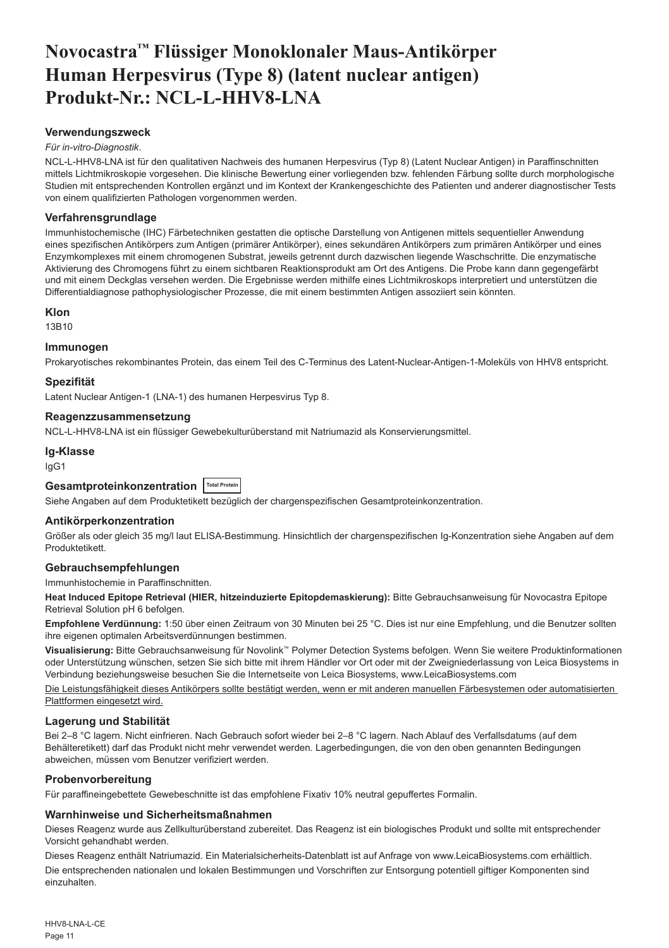## <span id="page-11-0"></span>**Novocastra™ Flüssiger Monoklonaler Maus-Antikörper Human Herpesvirus (Type 8) (latent nuclear antigen) Produkt-Nr.: NCL-L-HHV8-LNA**

#### **Verwendungszweck**

#### *Für in-vitro-Diagnostik*.

NCL-L-HHV8-LNA ist für den qualitativen Nachweis des humanen Herpesvirus (Typ 8) (Latent Nuclear Antigen) in Paraffinschnitten mittels Lichtmikroskopie vorgesehen. Die klinische Bewertung einer vorliegenden bzw. fehlenden Färbung sollte durch morphologische Studien mit entsprechenden Kontrollen ergänzt und im Kontext der Krankengeschichte des Patienten und anderer diagnostischer Tests von einem qualifizierten Pathologen vorgenommen werden.

#### **Verfahrensgrundlage**

Immunhistochemische (IHC) Färbetechniken gestatten die optische Darstellung von Antigenen mittels sequentieller Anwendung eines spezifischen Antikörpers zum Antigen (primärer Antikörper), eines sekundären Antikörpers zum primären Antikörper und eines Enzymkomplexes mit einem chromogenen Substrat, jeweils getrennt durch dazwischen liegende Waschschritte. Die enzymatische Aktivierung des Chromogens führt zu einem sichtbaren Reaktionsprodukt am Ort des Antigens. Die Probe kann dann gegengefärbt und mit einem Deckglas versehen werden. Die Ergebnisse werden mithilfe eines Lichtmikroskops interpretiert und unterstützen die Differentialdiagnose pathophysiologischer Prozesse, die mit einem bestimmten Antigen assoziiert sein könnten.

#### **Klon**

13B10

## **Immunogen**

Prokaryotisches rekombinantes Protein, das einem Teil des C-Terminus des Latent-Nuclear-Antigen-1-Moleküls von HHV8 entspricht.

#### **Spezifität**

Latent Nuclear Antigen-1 (LNA-1) des humanen Herpesvirus Typ 8.

#### **Reagenzzusammensetzung**

NCL-L-HHV8-LNA ist ein flüssiger Gewebekulturüberstand mit Natriumazid als Konservierungsmittel.

## **Ig-Klasse**

IgG1

## Gesamtproteinkonzentration **Total Protein**

Siehe Angaben auf dem Produktetikett bezüglich der chargenspezifischen Gesamtproteinkonzentration.

## **Antikörperkonzentration**

Größer als oder gleich 35 mg/l laut ELISA-Bestimmung. Hinsichtlich der chargenspezifischen Ig-Konzentration siehe Angaben auf dem Produktetikett.

## **Gebrauchsempfehlungen**

Immunhistochemie in Paraffinschnitten.

**Heat Induced Epitope Retrieval (HIER, hitzeinduzierte Epitopdemaskierung):** Bitte Gebrauchsanweisung für Novocastra Epitope Retrieval Solution pH 6 befolgen.

**Empfohlene Verdünnung:** 1:50 über einen Zeitraum von 30 Minuten bei 25 °C. Dies ist nur eine Empfehlung, und die Benutzer sollten ihre eigenen optimalen Arbeitsverdünnungen bestimmen.

**Visualisierung:** Bitte Gebrauchsanweisung für Novolink™ Polymer Detection Systems befolgen. Wenn Sie weitere Produktinformationen oder Unterstützung wünschen, setzen Sie sich bitte mit ihrem Händler vor Ort oder mit der Zweigniederlassung von Leica Biosystems in Verbindung beziehungsweise besuchen Sie die Internetseite von Leica Biosystems, www.LeicaBiosystems.com

Die Leistungsfähigkeit dieses Antikörpers sollte bestätigt werden, wenn er mit anderen manuellen Färbesystemen oder automatisierten Plattformen eingesetzt wird.

## **Lagerung und Stabilität**

Bei 2–8 °C lagern. Nicht einfrieren. Nach Gebrauch sofort wieder bei 2–8 °C lagern. Nach Ablauf des Verfallsdatums (auf dem Behälteretikett) darf das Produkt nicht mehr verwendet werden. Lagerbedingungen, die von den oben genannten Bedingungen abweichen, müssen vom Benutzer verifiziert werden.

## **Probenvorbereitung**

Für paraffineingebettete Gewebeschnitte ist das empfohlene Fixativ 10% neutral gepuffertes Formalin.

## **Warnhinweise und Sicherheitsmaßnahmen**

Dieses Reagenz wurde aus Zellkulturüberstand zubereitet. Das Reagenz ist ein biologisches Produkt und sollte mit entsprechender Vorsicht gehandhabt werden.

Dieses Reagenz enthält Natriumazid. Ein Materialsicherheits-Datenblatt ist auf Anfrage von www.LeicaBiosystems.com erhältlich. Die entsprechenden nationalen und lokalen Bestimmungen und Vorschriften zur Entsorgung potentiell giftiger Komponenten sind einzuhalten.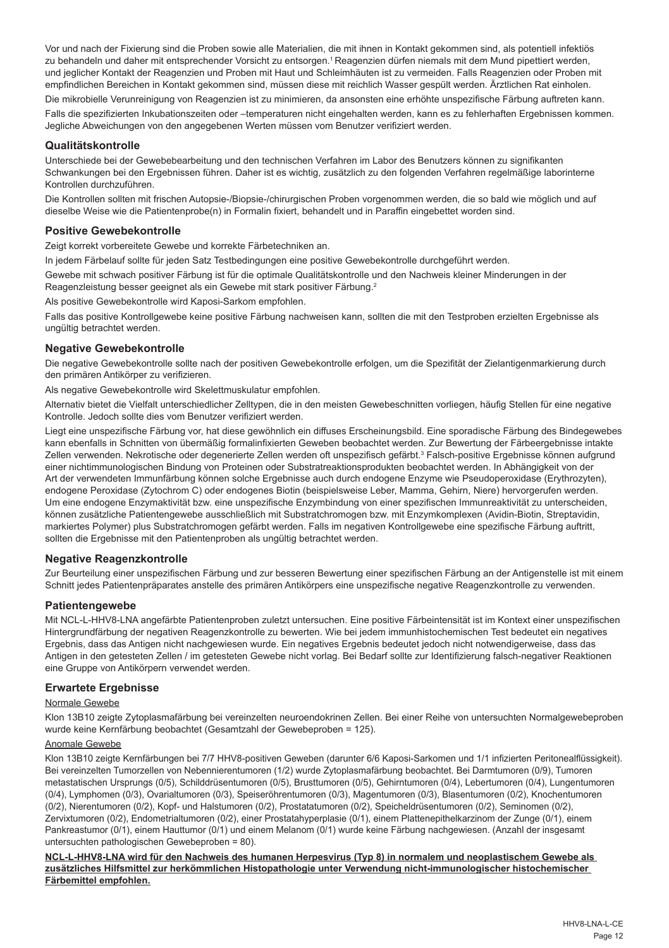Vor und nach der Fixierung sind die Proben sowie alle Materialien, die mit ihnen in Kontakt gekommen sind, als potentiell infektiös zu behandeln und daher mit entsprechender Vorsicht zu entsorgen.<sup>1</sup> Reagenzien dürfen niemals mit dem Mund pipettiert werden, und jeglicher Kontakt der Reagenzien und Proben mit Haut und Schleimhäuten ist zu vermeiden. Falls Reagenzien oder Proben mit empfindlichen Bereichen in Kontakt gekommen sind, müssen diese mit reichlich Wasser gespült werden. Ärztlichen Rat einholen.

Die mikrobielle Verunreinigung von Reagenzien ist zu minimieren, da ansonsten eine erhöhte unspezifische Färbung auftreten kann. Falls die spezifizierten Inkubationszeiten oder –temperaturen nicht eingehalten werden, kann es zu fehlerhaften Ergebnissen kommen. Jegliche Abweichungen von den angegebenen Werten müssen vom Benutzer verifiziert werden.

## **Qualitätskontrolle**

Unterschiede bei der Gewebebearbeitung und den technischen Verfahren im Labor des Benutzers können zu signifikanten Schwankungen bei den Ergebnissen führen. Daher ist es wichtig, zusätzlich zu den folgenden Verfahren regelmäßige laborinterne Kontrollen durchzuführen.

Die Kontrollen sollten mit frischen Autopsie-/Biopsie-/chirurgischen Proben vorgenommen werden, die so bald wie möglich und auf dieselbe Weise wie die Patientenprobe(n) in Formalin fixiert, behandelt und in Paraffin eingebettet worden sind.

## **Positive Gewebekontrolle**

Zeigt korrekt vorbereitete Gewebe und korrekte Färbetechniken an.

In jedem Färbelauf sollte für jeden Satz Testbedingungen eine positive Gewebekontrolle durchgeführt werden.

Gewebe mit schwach positiver Färbung ist für die optimale Qualitätskontrolle und den Nachweis kleiner Minderungen in der Reagenzleistung besser geeignet als ein Gewebe mit stark positiver Färbung.<sup>2</sup>

Als positive Gewebekontrolle wird Kaposi-Sarkom empfohlen.

Falls das positive Kontrollgewebe keine positive Färbung nachweisen kann, sollten die mit den Testproben erzielten Ergebnisse als ungültig betrachtet werden.

## **Negative Gewebekontrolle**

Die negative Gewebekontrolle sollte nach der positiven Gewebekontrolle erfolgen, um die Spezifität der Zielantigenmarkierung durch den primären Antikörper zu verifizieren.

Als negative Gewebekontrolle wird Skelettmuskulatur empfohlen.

Alternativ bietet die Vielfalt unterschiedlicher Zelltypen, die in den meisten Gewebeschnitten vorliegen, häufig Stellen für eine negative Kontrolle. Jedoch sollte dies vom Benutzer verifiziert werden.

Liegt eine unspezifische Färbung vor, hat diese gewöhnlich ein diffuses Erscheinungsbild. Eine sporadische Färbung des Bindegewebes kann ebenfalls in Schnitten von übermäßig formalinfixierten Geweben beobachtet werden. Zur Bewertung der Färbeergebnisse intakte Zellen verwenden. Nekrotische oder degenerierte Zellen werden oft unspezifisch gefärbt.<sup>3</sup> Falsch-positive Ergebnisse können aufgrund einer nichtimmunologischen Bindung von Proteinen oder Substratreaktionsprodukten beobachtet werden. In Abhängigkeit von der Art der verwendeten Immunfärbung können solche Ergebnisse auch durch endogene Enzyme wie Pseudoperoxidase (Erythrozyten), endogene Peroxidase (Zytochrom C) oder endogenes Biotin (beispielsweise Leber, Mamma, Gehirn, Niere) hervorgerufen werden. Um eine endogene Enzymaktivität bzw. eine unspezifische Enzymbindung von einer spezifischen Immunreaktivität zu unterscheiden, können zusätzliche Patientengewebe ausschließlich mit Substratchromogen bzw. mit Enzymkomplexen (Avidin-Biotin, Streptavidin, markiertes Polymer) plus Substratchromogen gefärbt werden. Falls im negativen Kontrollgewebe eine spezifische Färbung auftritt, sollten die Ergebnisse mit den Patientenproben als ungültig betrachtet werden.

## **Negative Reagenzkontrolle**

Zur Beurteilung einer unspezifischen Färbung und zur besseren Bewertung einer spezifischen Färbung an der Antigenstelle ist mit einem Schnitt jedes Patientenpräparates anstelle des primären Antikörpers eine unspezifische negative Reagenzkontrolle zu verwenden.

## **Patientengewebe**

Mit NCL-L-HHV8-LNA angefärbte Patientenproben zuletzt untersuchen. Eine positive Färbeintensität ist im Kontext einer unspezifischen Hintergrundfärbung der negativen Reagenzkontrolle zu bewerten. Wie bei jedem immunhistochemischen Test bedeutet ein negatives Ergebnis, dass das Antigen nicht nachgewiesen wurde. Ein negatives Ergebnis bedeutet jedoch nicht notwendigerweise, dass das Antigen in den getesteten Zellen / im getesteten Gewebe nicht vorlag. Bei Bedarf sollte zur Identifizierung falsch-negativer Reaktionen eine Gruppe von Antikörpern verwendet werden.

## **Erwartete Ergebnisse**

## Normale Gewebe

Klon 13B10 zeigte Zytoplasmafärbung bei vereinzelten neuroendokrinen Zellen. Bei einer Reihe von untersuchten Normalgewebeproben wurde keine Kernfärbung beobachtet (Gesamtzahl der Gewebeproben = 125).

## Anomale Gewebe

Klon 13B10 zeigte Kernfärbungen bei 7/7 HHV8-positiven Geweben (darunter 6/6 Kaposi-Sarkomen und 1/1 infizierten Peritonealflüssigkeit). Bei vereinzelten Tumorzellen von Nebennierentumoren (1/2) wurde Zytoplasmafärbung beobachtet. Bei Darmtumoren (0/9), Tumoren metastatischen Ursprungs (0/5), Schilddrüsentumoren (0/5), Brusttumoren (0/5), Gehirntumoren (0/4), Lebertumoren (0/4), Lungentumoren (0/4), Lymphomen (0/3), Ovarialtumoren (0/3), Speiseröhrentumoren (0/3), Magentumoren (0/3), Blasentumoren (0/2), Knochentumoren (0/2), Nierentumoren (0/2), Kopf- und Halstumoren (0/2), Prostatatumoren (0/2), Speicheldrüsentumoren (0/2), Seminomen (0/2), Zervixtumoren (0/2), Endometrialtumoren (0/2), einer Prostatahyperplasie (0/1), einem Plattenepithelkarzinom der Zunge (0/1), einem Pankreastumor (0/1), einem Hauttumor (0/1) und einem Melanom (0/1) wurde keine Färbung nachgewiesen. (Anzahl der insgesamt untersuchten pathologischen Gewebeproben = 80).

**NCL-L-HHV8-LNA wird für den Nachweis des humanen Herpesvirus (Typ 8) in normalem und neoplastischem Gewebe als zusätzliches Hilfsmittel zur herkömmlichen Histopathologie unter Verwendung nicht-immunologischer histochemischer Färbemittel empfohlen.**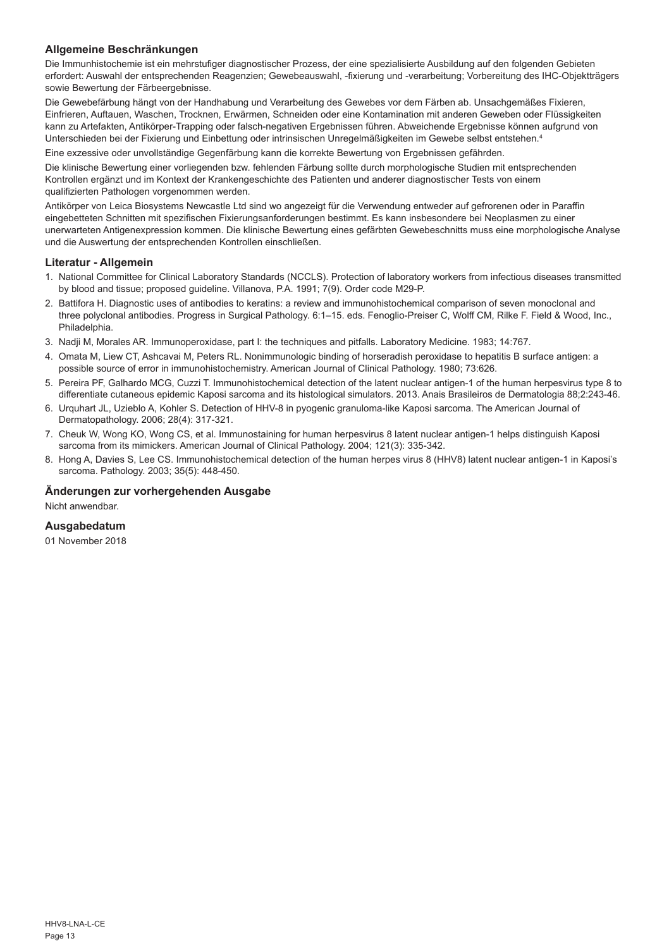## **Allgemeine Beschränkungen**

Die Immunhistochemie ist ein mehrstufiger diagnostischer Prozess, der eine spezialisierte Ausbildung auf den folgenden Gebieten erfordert: Auswahl der entsprechenden Reagenzien; Gewebeauswahl, -fixierung und -verarbeitung; Vorbereitung des IHC-Objektträgers sowie Bewertung der Färbeergebnisse.

Die Gewebefärbung hängt von der Handhabung und Verarbeitung des Gewebes vor dem Färben ab. Unsachgemäßes Fixieren, Einfrieren, Auftauen, Waschen, Trocknen, Erwärmen, Schneiden oder eine Kontamination mit anderen Geweben oder Flüssigkeiten kann zu Artefakten, Antikörper-Trapping oder falsch-negativen Ergebnissen führen. Abweichende Ergebnisse können aufgrund von Unterschieden bei der Fixierung und Einbettung oder intrinsischen Unregelmäßigkeiten im Gewebe selbst entstehen.4

Eine exzessive oder unvollständige Gegenfärbung kann die korrekte Bewertung von Ergebnissen gefährden.

Die klinische Bewertung einer vorliegenden bzw. fehlenden Färbung sollte durch morphologische Studien mit entsprechenden Kontrollen ergänzt und im Kontext der Krankengeschichte des Patienten und anderer diagnostischer Tests von einem qualifizierten Pathologen vorgenommen werden.

Antikörper von Leica Biosystems Newcastle Ltd sind wo angezeigt für die Verwendung entweder auf gefrorenen oder in Paraffin eingebetteten Schnitten mit spezifischen Fixierungsanforderungen bestimmt. Es kann insbesondere bei Neoplasmen zu einer unerwarteten Antigenexpression kommen. Die klinische Bewertung eines gefärbten Gewebeschnitts muss eine morphologische Analyse und die Auswertung der entsprechenden Kontrollen einschließen.

### **Literatur - Allgemein**

- 1. National Committee for Clinical Laboratory Standards (NCCLS). Protection of laboratory workers from infectious diseases transmitted by blood and tissue; proposed guideline. Villanova, P.A. 1991; 7(9). Order code M29-P.
- 2. Battifora H. Diagnostic uses of antibodies to keratins: a review and immunohistochemical comparison of seven monoclonal and three polyclonal antibodies. Progress in Surgical Pathology. 6:1–15. eds. Fenoglio-Preiser C, Wolff CM, Rilke F. Field & Wood, Inc., Philadelphia.
- 3. Nadji M, Morales AR. Immunoperoxidase, part I: the techniques and pitfalls. Laboratory Medicine. 1983; 14:767.
- 4. Omata M, Liew CT, Ashcavai M, Peters RL. Nonimmunologic binding of horseradish peroxidase to hepatitis B surface antigen: a possible source of error in immunohistochemistry. American Journal of Clinical Pathology. 1980; 73:626.
- 5. Pereira PF, Galhardo MCG, Cuzzi T. Immunohistochemical detection of the latent nuclear antigen-1 of the human herpesvirus type 8 to differentiate cutaneous epidemic Kaposi sarcoma and its histological simulators. 2013. Anais Brasileiros de Dermatologia 88;2:243-46.
- 6. Urquhart JL, Uzieblo A, Kohler S. Detection of HHV-8 in pyogenic granuloma-like Kaposi sarcoma. The American Journal of Dermatopathology. 2006; 28(4): 317-321.
- 7. Cheuk W, Wong KO, Wong CS, et al. Immunostaining for human herpesvirus 8 latent nuclear antigen-1 helps distinguish Kaposi sarcoma from its mimickers. American Journal of Clinical Pathology. 2004; 121(3): 335-342.
- 8. Hong A, Davies S, Lee CS. Immunohistochemical detection of the human herpes virus 8 (HHV8) latent nuclear antigen-1 in Kaposi's sarcoma. Pathology. 2003; 35(5): 448-450.

#### **Änderungen zur vorhergehenden Ausgabe**

Nicht anwendbar.

## **Ausgabedatum**

01 November 2018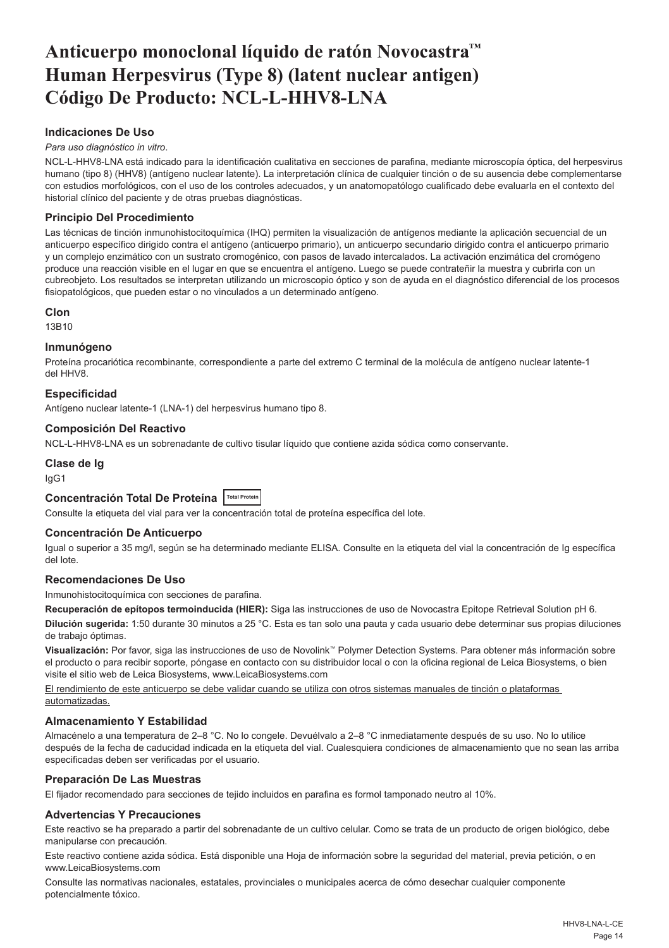## <span id="page-14-0"></span>**Anticuerpo monoclonal líquido de ratón Novocastra™ Human Herpesvirus (Type 8) (latent nuclear antigen) Código De Producto: NCL-L-HHV8-LNA**

## **Indicaciones De Uso**

#### *Para uso diagnóstico in vitro*.

NCL-L-HHV8-LNA está indicado para la identificación cualitativa en secciones de parafina, mediante microscopía óptica, del herpesvirus humano (tipo 8) (HHV8) (antígeno nuclear latente). La interpretación clínica de cualquier tinción o de su ausencia debe complementarse con estudios morfológicos, con el uso de los controles adecuados, y un anatomopatólogo cualificado debe evaluarla en el contexto del historial clínico del paciente y de otras pruebas diagnósticas.

## **Principio Del Procedimiento**

Las técnicas de tinción inmunohistocitoquímica (IHQ) permiten la visualización de antígenos mediante la aplicación secuencial de un anticuerpo específico dirigido contra el antígeno (anticuerpo primario), un anticuerpo secundario dirigido contra el anticuerpo primario y un complejo enzimático con un sustrato cromogénico, con pasos de lavado intercalados. La activación enzimática del cromógeno produce una reacción visible en el lugar en que se encuentra el antígeno. Luego se puede contrateñir la muestra y cubrirla con un cubreobjeto. Los resultados se interpretan utilizando un microscopio óptico y son de ayuda en el diagnóstico diferencial de los procesos fisiopatológicos, que pueden estar o no vinculados a un determinado antígeno.

#### **Clon**

13B10

#### **Inmunógeno**

Proteína procariótica recombinante, correspondiente a parte del extremo C terminal de la molécula de antígeno nuclear latente-1 del HHV8.

## **Especificidad**

Antígeno nuclear latente-1 (LNA-1) del herpesvirus humano tipo 8.

#### **Composición Del Reactivo**

NCL-L-HHV8-LNA es un sobrenadante de cultivo tisular líquido que contiene azida sódica como conservante.

### **Clase de Ig**

IgG1

## **Concentración Total De Proteína Total Protein**

Consulte la etiqueta del vial para ver la concentración total de proteína específica del lote.

#### **Concentración De Anticuerpo**

Igual o superior a 35 mg/l, según se ha determinado mediante ELISA. Consulte en la etiqueta del vial la concentración de Ig específica del lote.

## **Recomendaciones De Uso**

Inmunohistocitoquímica con secciones de parafina.

**Recuperación de epítopos termoinducida (HIER):** Siga las instrucciones de uso de Novocastra Epitope Retrieval Solution pH 6.

**Dilución sugerida:** 1:50 durante 30 minutos a 25 °C. Esta es tan solo una pauta y cada usuario debe determinar sus propias diluciones de trabajo óptimas.

**Visualización:** Por favor, siga las instrucciones de uso de Novolink™ Polymer Detection Systems. Para obtener más información sobre el producto o para recibir soporte, póngase en contacto con su distribuidor local o con la oficina regional de Leica Biosystems, o bien visite el sitio web de Leica Biosystems, www.LeicaBiosystems.com

El rendimiento de este anticuerpo se debe validar cuando se utiliza con otros sistemas manuales de tinción o plataformas automatizadas.

## **Almacenamiento Y Estabilidad**

Almacénelo a una temperatura de 2–8 °C. No lo congele. Devuélvalo a 2–8 °C inmediatamente después de su uso. No lo utilice después de la fecha de caducidad indicada en la etiqueta del vial. Cualesquiera condiciones de almacenamiento que no sean las arriba especificadas deben ser verificadas por el usuario.

## **Preparación De Las Muestras**

El fijador recomendado para secciones de tejido incluidos en parafina es formol tamponado neutro al 10%.

## **Advertencias Y Precauciones**

Este reactivo se ha preparado a partir del sobrenadante de un cultivo celular. Como se trata de un producto de origen biológico, debe manipularse con precaución.

Este reactivo contiene azida sódica. Está disponible una Hoja de información sobre la seguridad del material, previa petición, o en www.LeicaBiosystems.com

Consulte las normativas nacionales, estatales, provinciales o municipales acerca de cómo desechar cualquier componente potencialmente tóxico.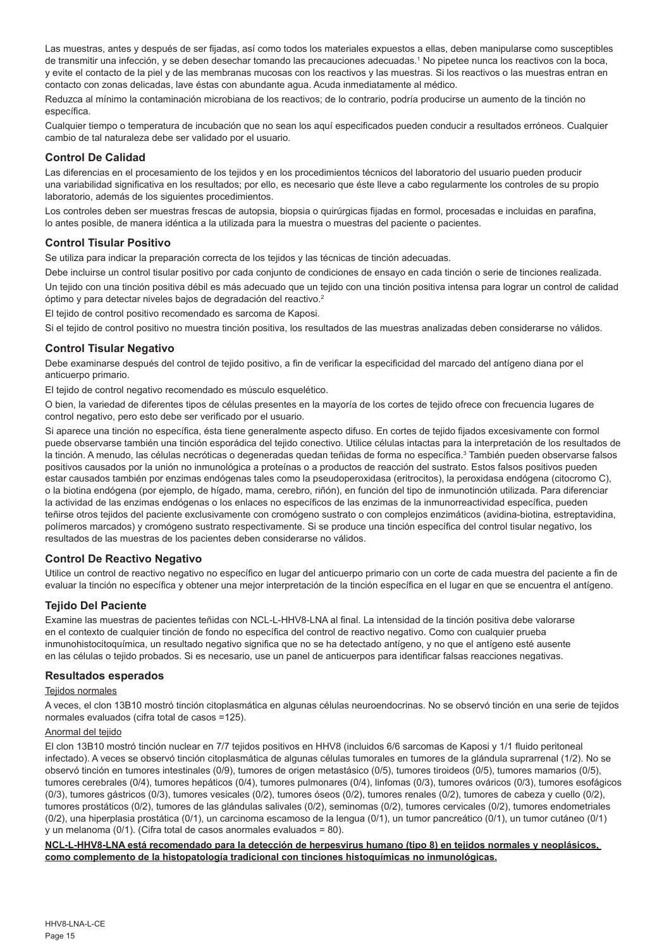Las muestras, antes y después de ser fijadas, así como todos los materiales expuestos a ellas, deben manipularse como susceptibles de transmitir una infección, y se deben desechar tomando las precauciones adecuadas.<sup>1</sup> No pipetee nunca los reactivos con la boca, y evite el contacto de la piel y de las membranas mucosas con los reactivos y las muestras. Si los reactivos o las muestras entran en contacto con zonas delicadas, lave éstas con abundante agua. Acuda inmediatamente al médico.

Reduzca al mínimo la contaminación microbiana de los reactivos; de lo contrario, podría producirse un aumento de la tinción no específica.

Cualquier tiempo o temperatura de incubación que no sean los aquí especificados pueden conducir a resultados erróneos. Cualquier cambio de tal naturaleza debe ser validado por el usuario.

#### **Control De Calidad**

Las diferencias en el procesamiento de los tejidos y en los procedimientos técnicos del laboratorio del usuario pueden producir una variabilidad significativa en los resultados; por ello, es necesario que éste lleve a cabo regularmente los controles de su propio laboratorio, además de los siguientes procedimientos.

Los controles deben ser muestras frescas de autopsia, biopsia o quirúrgicas fijadas en formol, procesadas e incluidas en parafina, lo antes posible, de manera idéntica a la utilizada para la muestra o muestras del paciente o pacientes.

## **Control Tisular Positivo**

Se utiliza para indicar la preparación correcta de los tejidos y las técnicas de tinción adecuadas.

Debe incluirse un control tisular positivo por cada conjunto de condiciones de ensayo en cada tinción o serie de tinciones realizada. Un tejido con una tinción positiva débil es más adecuado que un tejido con una tinción positiva intensa para lograr un control de calidad óptimo y para detectar niveles bajos de degradación del reactivo.<sup>2</sup>

El tejido de control positivo recomendado es sarcoma de Kaposi.

Si el tejido de control positivo no muestra tinción positiva, los resultados de las muestras analizadas deben considerarse no válidos.

## **Control Tisular Negativo**

Debe examinarse después del control de tejido positivo, a fin de verificar la especificidad del marcado del antígeno diana por el anticuerpo primario.

El tejido de control negativo recomendado es músculo esquelético.

O bien, la variedad de diferentes tipos de células presentes en la mayoría de los cortes de tejido ofrece con frecuencia lugares de control negativo, pero esto debe ser verificado por el usuario.

Si aparece una tinción no específica, ésta tiene generalmente aspecto difuso. En cortes de tejido fijados excesivamente con formol puede observarse también una tinción esporádica del tejido conectivo. Utilice células intactas para la interpretación de los resultados de la tinción. A menudo, las células necróticas o degeneradas quedan teñidas de forma no específica.<sup>3</sup> También pueden observarse falsos positivos causados por la unión no inmunológica a proteínas o a productos de reacción del sustrato. Estos falsos positivos pueden estar causados también por enzimas endógenas tales como la pseudoperoxidasa (eritrocitos), la peroxidasa endógena (citocromo C), o la biotina endógena (por ejemplo, de hígado, mama, cerebro, riñón), en función del tipo de inmunotinción utilizada. Para diferenciar la actividad de las enzimas endógenas o los enlaces no específicos de las enzimas de la inmunorreactividad específica, pueden teñirse otros tejidos del paciente exclusivamente con cromógeno sustrato o con complejos enzimáticos (avidina-biotina, estreptavidina, polímeros marcados) y cromógeno sustrato respectivamente. Si se produce una tinción específica del control tisular negativo, los resultados de las muestras de los pacientes deben considerarse no válidos.

#### **Control De Reactivo Negativo**

Utilice un control de reactivo negativo no específico en lugar del anticuerpo primario con un corte de cada muestra del paciente a fin de evaluar la tinción no específica y obtener una mejor interpretación de la tinción específica en el lugar en que se encuentra el antígeno.

## **Tejido Del Paciente**

Examine las muestras de pacientes teñidas con NCL-L-HHV8-LNA al final. La intensidad de la tinción positiva debe valorarse en el contexto de cualquier tinción de fondo no específica del control de reactivo negativo. Como con cualquier prueba inmunohistocitoquímica, un resultado negativo significa que no se ha detectado antígeno, y no que el antígeno esté ausente en las células o tejido probados. Si es necesario, use un panel de anticuerpos para identificar falsas reacciones negativas.

#### **Resultados esperados**

#### Teiidos normales

A veces, el clon 13B10 mostró tinción citoplasmática en algunas células neuroendocrinas. No se observó tinción en una serie de tejidos normales evaluados (cifra total de casos =125).

#### Anormal del tejido

El clon 13B10 mostró tinción nuclear en 7/7 tejidos positivos en HHV8 (incluidos 6/6 sarcomas de Kaposi y 1/1 fluido peritoneal infectado). A veces se observó tinción citoplasmática de algunas células tumorales en tumores de la glándula suprarrenal (1/2). No se observó tinción en tumores intestinales (0/9), tumores de origen metastásico (0/5), tumores tiroideos (0/5), tumores mamarios (0/5), tumores cerebrales (0/4), tumores hepáticos (0/4), tumores pulmonares (0/4), linfomas (0/3), tumores ováricos (0/3), tumores esofágicos (0/3), tumores gástricos (0/3), tumores vesicales (0/2), tumores óseos (0/2), tumores renales (0/2), tumores de cabeza y cuello (0/2), tumores prostáticos (0/2), tumores de las glándulas salivales (0/2), seminomas (0/2), tumores cervicales (0/2), tumores endometriales (0/2), una hiperplasia prostática (0/1), un carcinoma escamoso de la lengua (0/1), un tumor pancreático (0/1), un tumor cutáneo (0/1) y un melanoma (0/1). (Cifra total de casos anormales evaluados = 80).

## **NCL-L-HHV8-LNA está recomendado para la detección de herpesvirus humano (tipo 8) en tejidos normales y neoplásicos, como complemento de la histopatología tradicional con tinciones histoquímicas no inmunológicas.**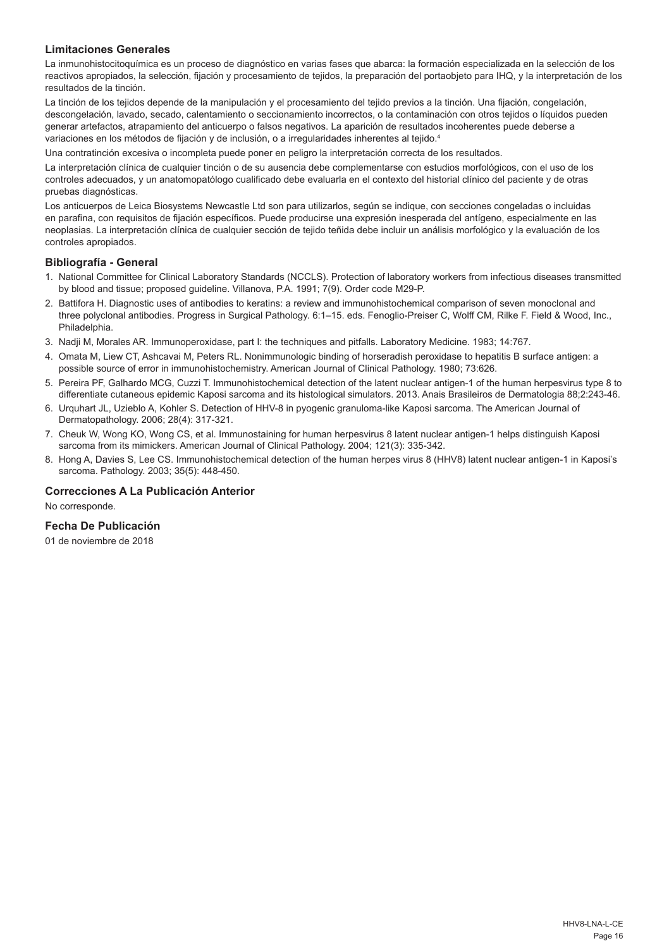## **Limitaciones Generales**

La inmunohistocitoquímica es un proceso de diagnóstico en varias fases que abarca: la formación especializada en la selección de los reactivos apropiados, la selección, fijación y procesamiento de tejidos, la preparación del portaobjeto para IHQ, y la interpretación de los resultados de la tinción.

La tinción de los tejidos depende de la manipulación y el procesamiento del tejido previos a la tinción. Una fijación, congelación, descongelación, lavado, secado, calentamiento o seccionamiento incorrectos, o la contaminación con otros tejidos o líquidos pueden generar artefactos, atrapamiento del anticuerpo o falsos negativos. La aparición de resultados incoherentes puede deberse a variaciones en los métodos de fijación y de inclusión, o a irregularidades inherentes al tejido.<sup>4</sup>

Una contratinción excesiva o incompleta puede poner en peligro la interpretación correcta de los resultados.

La interpretación clínica de cualquier tinción o de su ausencia debe complementarse con estudios morfológicos, con el uso de los controles adecuados, y un anatomopatólogo cualificado debe evaluarla en el contexto del historial clínico del paciente y de otras pruebas diagnósticas.

Los anticuerpos de Leica Biosystems Newcastle Ltd son para utilizarlos, según se indique, con secciones congeladas o incluidas en parafina, con requisitos de fijación específicos. Puede producirse una expresión inesperada del antígeno, especialmente en las neoplasias. La interpretación clínica de cualquier sección de tejido teñida debe incluir un análisis morfológico y la evaluación de los controles apropiados.

#### **Bibliografía - General**

- 1. National Committee for Clinical Laboratory Standards (NCCLS). Protection of laboratory workers from infectious diseases transmitted by blood and tissue; proposed guideline. Villanova, P.A. 1991; 7(9). Order code M29-P.
- 2. Battifora H. Diagnostic uses of antibodies to keratins: a review and immunohistochemical comparison of seven monoclonal and three polyclonal antibodies. Progress in Surgical Pathology. 6:1–15. eds. Fenoglio-Preiser C, Wolff CM, Rilke F. Field & Wood, Inc., Philadelphia.
- 3. Nadji M, Morales AR. Immunoperoxidase, part I: the techniques and pitfalls. Laboratory Medicine. 1983; 14:767.
- 4. Omata M, Liew CT, Ashcavai M, Peters RL. Nonimmunologic binding of horseradish peroxidase to hepatitis B surface antigen: a possible source of error in immunohistochemistry. American Journal of Clinical Pathology. 1980; 73:626.
- 5. Pereira PF, Galhardo MCG, Cuzzi T. Immunohistochemical detection of the latent nuclear antigen-1 of the human herpesvirus type 8 to differentiate cutaneous epidemic Kaposi sarcoma and its histological simulators. 2013. Anais Brasileiros de Dermatologia 88;2:243-46.
- 6. Urquhart JL, Uzieblo A, Kohler S. Detection of HHV-8 in pyogenic granuloma-like Kaposi sarcoma. The American Journal of Dermatopathology. 2006; 28(4): 317-321.
- 7. Cheuk W, Wong KO, Wong CS, et al. Immunostaining for human herpesvirus 8 latent nuclear antigen-1 helps distinguish Kaposi sarcoma from its mimickers. American Journal of Clinical Pathology. 2004; 121(3): 335-342.
- 8. Hong A, Davies S, Lee CS. Immunohistochemical detection of the human herpes virus 8 (HHV8) latent nuclear antigen-1 in Kaposi's sarcoma. Pathology. 2003; 35(5): 448-450.

## **Correcciones A La Publicación Anterior**

No corresponde.

## **Fecha De Publicación**

01 de noviembre de 2018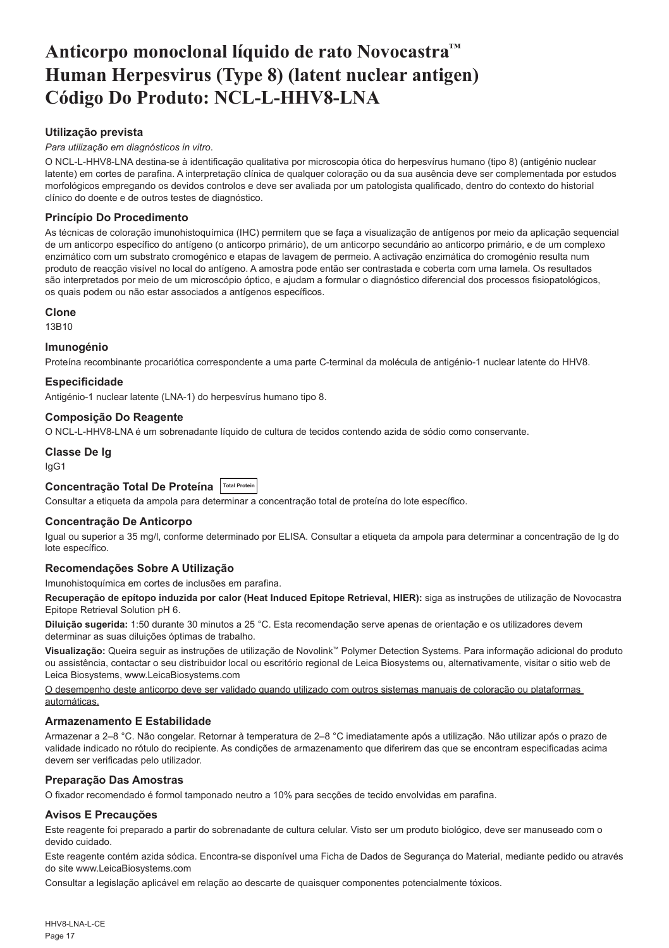## <span id="page-17-0"></span>**Anticorpo monoclonal líquido de rato Novocastra™ Human Herpesvirus (Type 8) (latent nuclear antigen) Código Do Produto: NCL-L-HHV8-LNA**

## **Utilização prevista**

#### *Para utilização em diagnósticos in vitro*.

O NCL-L-HHV8-LNA destina-se à identificação qualitativa por microscopia ótica do herpesvírus humano (tipo 8) (antigénio nuclear latente) em cortes de parafina. A interpretação clínica de qualquer coloração ou da sua ausência deve ser complementada por estudos morfológicos empregando os devidos controlos e deve ser avaliada por um patologista qualificado, dentro do contexto do historial clínico do doente e de outros testes de diagnóstico.

## **Princípio Do Procedimento**

As técnicas de coloração imunohistoquímica (IHC) permitem que se faça a visualização de antígenos por meio da aplicação sequencial de um anticorpo específico do antígeno (o anticorpo primário), de um anticorpo secundário ao anticorpo primário, e de um complexo enzimático com um substrato cromogénico e etapas de lavagem de permeio. A activação enzimática do cromogénio resulta num produto de reacção visível no local do antígeno. A amostra pode então ser contrastada e coberta com uma lamela. Os resultados são interpretados por meio de um microscópio óptico, e ajudam a formular o diagnóstico diferencial dos processos fisiopatológicos, os quais podem ou não estar associados a antígenos específicos.

#### **Clone**

13B10

#### **Imunogénio**

Proteína recombinante procariótica correspondente a uma parte C-terminal da molécula de antigénio-1 nuclear latente do HHV8.

## **Especificidade**

Antigénio-1 nuclear latente (LNA-1) do herpesvírus humano tipo 8.

#### **Composição Do Reagente**

O NCL-L-HHV8-LNA é um sobrenadante líquido de cultura de tecidos contendo azida de sódio como conservante.

## **Classe De Ig**

IgG1

## **Concentração Total De Proteína Total Protein**

Consultar a etiqueta da ampola para determinar a concentração total de proteína do lote específico.

## **Concentração De Anticorpo**

Igual ou superior a 35 mg/l, conforme determinado por ELISA. Consultar a etiqueta da ampola para determinar a concentração de Ig do lote específico.

## **Recomendações Sobre A Utilização**

Imunohistoquímica em cortes de inclusões em parafina.

**Recuperação de epítopo induzida por calor (Heat Induced Epitope Retrieval, HIER):** siga as instruções de utilização de Novocastra Epitope Retrieval Solution pH 6.

**Diluição sugerida:** 1:50 durante 30 minutos a 25 °C. Esta recomendação serve apenas de orientação e os utilizadores devem determinar as suas diluições óptimas de trabalho.

**Visualização:** Queira seguir as instruções de utilização de Novolink™ Polymer Detection Systems. Para informação adicional do produto ou assistência, contactar o seu distribuidor local ou escritório regional de Leica Biosystems ou, alternativamente, visitar o sitio web de Leica Biosystems, www.LeicaBiosystems.com

O desempenho deste anticorpo deve ser validado quando utilizado com outros sistemas manuais de coloração ou plataformas automáticas.

## **Armazenamento E Estabilidade**

Armazenar a 2–8 °C. Não congelar. Retornar à temperatura de 2–8 °C imediatamente após a utilização. Não utilizar após o prazo de validade indicado no rótulo do recipiente. As condições de armazenamento que diferirem das que se encontram especificadas acima devem ser verificadas pelo utilizador.

## **Preparação Das Amostras**

O fixador recomendado é formol tamponado neutro a 10% para secções de tecido envolvidas em parafina.

## **Avisos E Precauções**

Este reagente foi preparado a partir do sobrenadante de cultura celular. Visto ser um produto biológico, deve ser manuseado com o devido cuidado.

Este reagente contém azida sódica. Encontra-se disponível uma Ficha de Dados de Segurança do Material, mediante pedido ou através do site www.LeicaBiosystems.com

Consultar a legislação aplicável em relação ao descarte de quaisquer componentes potencialmente tóxicos.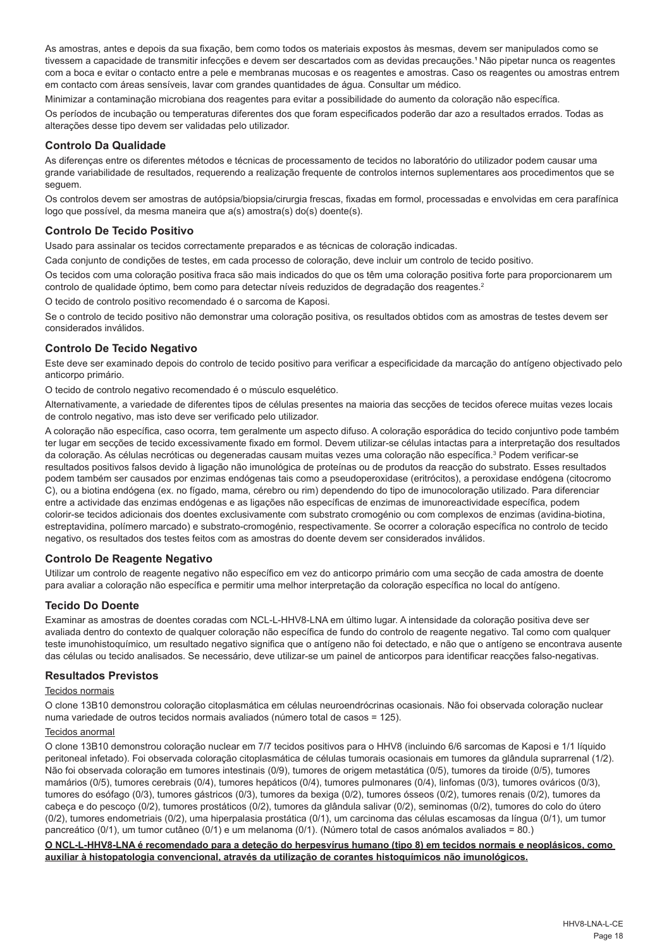As amostras, antes e depois da sua fixação, bem como todos os materiais expostos às mesmas, devem ser manipulados como se tivessem a capacidade de transmitir infecções e devem ser descartados com as devidas precauções.<sup>1</sup> Não pipetar nunca os reagentes com a boca e evitar o contacto entre a pele e membranas mucosas e os reagentes e amostras. Caso os reagentes ou amostras entrem em contacto com áreas sensíveis, lavar com grandes quantidades de água. Consultar um médico.

Minimizar a contaminação microbiana dos reagentes para evitar a possibilidade do aumento da coloração não específica.

Os períodos de incubação ou temperaturas diferentes dos que foram especificados poderão dar azo a resultados errados. Todas as alterações desse tipo devem ser validadas pelo utilizador.

## **Controlo Da Qualidade**

As diferenças entre os diferentes métodos e técnicas de processamento de tecidos no laboratório do utilizador podem causar uma grande variabilidade de resultados, requerendo a realização frequente de controlos internos suplementares aos procedimentos que se seguem.

Os controlos devem ser amostras de autópsia/biopsia/cirurgia frescas, fixadas em formol, processadas e envolvidas em cera parafínica logo que possível, da mesma maneira que a(s) amostra(s) do(s) doente(s).

### **Controlo De Tecido Positivo**

Usado para assinalar os tecidos correctamente preparados e as técnicas de coloração indicadas.

Cada conjunto de condições de testes, em cada processo de coloração, deve incluir um controlo de tecido positivo.

Os tecidos com uma coloração positiva fraca são mais indicados do que os têm uma coloração positiva forte para proporcionarem um controlo de qualidade óptimo, bem como para detectar níveis reduzidos de degradação dos reagentes.<sup>2</sup>

O tecido de controlo positivo recomendado é o sarcoma de Kaposi.

Se o controlo de tecido positivo não demonstrar uma coloração positiva, os resultados obtidos com as amostras de testes devem ser considerados inválidos.

## **Controlo De Tecido Negativo**

Este deve ser examinado depois do controlo de tecido positivo para verificar a especificidade da marcação do antígeno objectivado pelo anticorpo primário.

O tecido de controlo negativo recomendado é o músculo esquelético.

Alternativamente, a variedade de diferentes tipos de células presentes na maioria das secções de tecidos oferece muitas vezes locais de controlo negativo, mas isto deve ser verificado pelo utilizador.

A coloração não específica, caso ocorra, tem geralmente um aspecto difuso. A coloração esporádica do tecido conjuntivo pode também ter lugar em secções de tecido excessivamente fixado em formol. Devem utilizar-se células intactas para a interpretação dos resultados da coloração. As células necróticas ou degeneradas causam muitas vezes uma coloração não específica.<sup>3</sup> Podem verificar-se resultados positivos falsos devido à ligação não imunológica de proteínas ou de produtos da reacção do substrato. Esses resultados podem também ser causados por enzimas endógenas tais como a pseudoperoxidase (eritrócitos), a peroxidase endógena (citocromo C), ou a biotina endógena (ex. no fígado, mama, cérebro ou rim) dependendo do tipo de imunocoloração utilizado. Para diferenciar entre a actividade das enzimas endógenas e as ligações não específicas de enzimas de imunoreactividade específica, podem colorir-se tecidos adicionais dos doentes exclusivamente com substrato cromogénio ou com complexos de enzimas (avidina-biotina, estreptavidina, polímero marcado) e substrato-cromogénio, respectivamente. Se ocorrer a coloração específica no controlo de tecido negativo, os resultados dos testes feitos com as amostras do doente devem ser considerados inválidos.

## **Controlo De Reagente Negativo**

Utilizar um controlo de reagente negativo não específico em vez do anticorpo primário com uma secção de cada amostra de doente para avaliar a coloração não específica e permitir uma melhor interpretação da coloração específica no local do antígeno.

## **Tecido Do Doente**

Examinar as amostras de doentes coradas com NCL-L-HHV8-LNA em último lugar. A intensidade da coloração positiva deve ser avaliada dentro do contexto de qualquer coloração não específica de fundo do controlo de reagente negativo. Tal como com qualquer teste imunohistoquímico, um resultado negativo significa que o antígeno não foi detectado, e não que o antígeno se encontrava ausente das células ou tecido analisados. Se necessário, deve utilizar-se um painel de anticorpos para identificar reacções falso-negativas.

#### **Resultados Previstos**

#### Tecidos normais

O clone 13B10 demonstrou coloração citoplasmática em células neuroendrócrinas ocasionais. Não foi observada coloração nuclear numa variedade de outros tecidos normais avaliados (número total de casos = 125).

#### Tecidos anormal

O clone 13B10 demonstrou coloração nuclear em 7/7 tecidos positivos para o HHV8 (incluindo 6/6 sarcomas de Kaposi e 1/1 líquido peritoneal infetado). Foi observada coloração citoplasmática de células tumorais ocasionais em tumores da glândula suprarrenal (1/2). Não foi observada coloração em tumores intestinais (0/9), tumores de origem metastática (0/5), tumores da tiroide (0/5), tumores mamários (0/5), tumores cerebrais (0/4), tumores hepáticos (0/4), tumores pulmonares (0/4), linfomas (0/3), tumores ováricos (0/3), tumores do esófago (0/3), tumores gástricos (0/3), tumores da bexiga (0/2), tumores ósseos (0/2), tumores renais (0/2), tumores da cabeça e do pescoço (0/2), tumores prostáticos (0/2), tumores da glândula salivar (0/2), seminomas (0/2), tumores do colo do útero (0/2), tumores endometriais (0/2), uma hiperpalasia prostática (0/1), um carcinoma das células escamosas da língua (0/1), um tumor pancreático (0/1), um tumor cutâneo (0/1) e um melanoma (0/1). (Número total de casos anómalos avaliados = 80.)

#### **O NCL-L-HHV8-LNA é recomendado para a deteção do herpesvírus humano (tipo 8) em tecidos normais e neoplásicos, como auxiliar à histopatologia convencional, através da utilização de corantes histoquímicos não imunológicos.**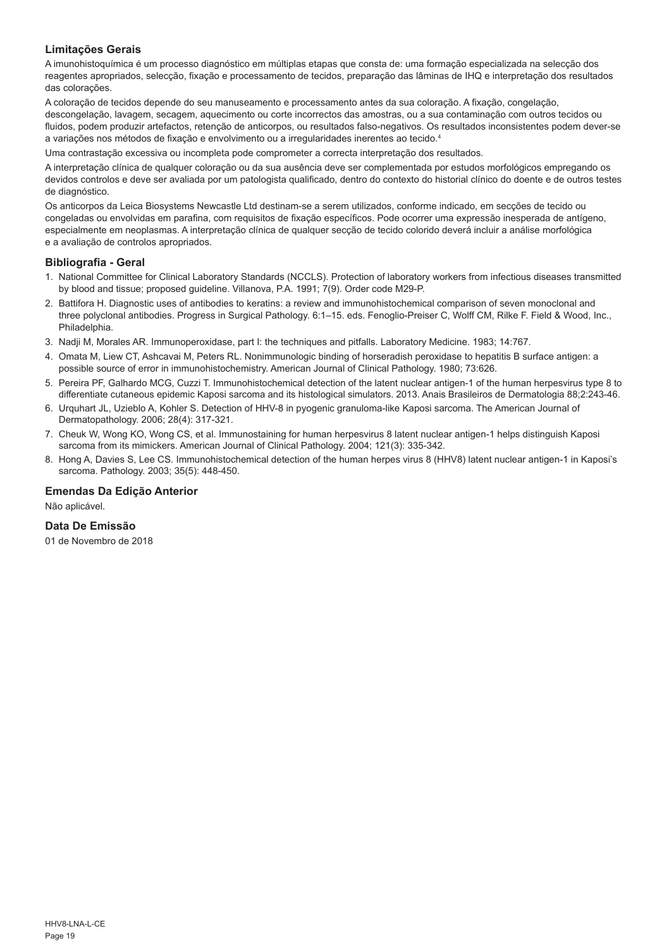## **Limitações Gerais**

A imunohistoquímica é um processo diagnóstico em múltiplas etapas que consta de: uma formação especializada na selecção dos reagentes apropriados, selecção, fixação e processamento de tecidos, preparação das lâminas de IHQ e interpretação dos resultados das colorações.

A coloração de tecidos depende do seu manuseamento e processamento antes da sua coloração. A fixação, congelação, descongelação, lavagem, secagem, aquecimento ou corte incorrectos das amostras, ou a sua contaminação com outros tecidos ou fluidos, podem produzir artefactos, retenção de anticorpos, ou resultados falso-negativos. Os resultados inconsistentes podem dever-se a variações nos métodos de fixação e envolvimento ou a irregularidades inerentes ao tecido.4

Uma contrastação excessiva ou incompleta pode comprometer a correcta interpretação dos resultados.

A interpretação clínica de qualquer coloração ou da sua ausência deve ser complementada por estudos morfológicos empregando os devidos controlos e deve ser avaliada por um patologista qualificado, dentro do contexto do historial clínico do doente e de outros testes de diagnóstico.

Os anticorpos da Leica Biosystems Newcastle Ltd destinam-se a serem utilizados, conforme indicado, em secções de tecido ou congeladas ou envolvidas em parafina, com requisitos de fixação específicos. Pode ocorrer uma expressão inesperada de antígeno, especialmente em neoplasmas. A interpretação clínica de qualquer secção de tecido colorido deverá incluir a análise morfológica e a avaliação de controlos apropriados.

#### **Bibliografia - Geral**

- 1. National Committee for Clinical Laboratory Standards (NCCLS). Protection of laboratory workers from infectious diseases transmitted by blood and tissue; proposed guideline. Villanova, P.A. 1991; 7(9). Order code M29-P.
- 2. Battifora H. Diagnostic uses of antibodies to keratins: a review and immunohistochemical comparison of seven monoclonal and three polyclonal antibodies. Progress in Surgical Pathology. 6:1–15. eds. Fenoglio-Preiser C, Wolff CM, Rilke F. Field & Wood, Inc., Philadelphia.
- 3. Nadji M, Morales AR. Immunoperoxidase, part I: the techniques and pitfalls. Laboratory Medicine. 1983; 14:767.
- 4. Omata M, Liew CT, Ashcavai M, Peters RL. Nonimmunologic binding of horseradish peroxidase to hepatitis B surface antigen: a possible source of error in immunohistochemistry. American Journal of Clinical Pathology. 1980; 73:626.
- 5. Pereira PF, Galhardo MCG, Cuzzi T. Immunohistochemical detection of the latent nuclear antigen-1 of the human herpesvirus type 8 to differentiate cutaneous epidemic Kaposi sarcoma and its histological simulators. 2013. Anais Brasileiros de Dermatologia 88;2:243-46.
- 6. Urquhart JL, Uzieblo A, Kohler S. Detection of HHV-8 in pyogenic granuloma-like Kaposi sarcoma. The American Journal of Dermatopathology. 2006; 28(4): 317-321.
- 7. Cheuk W, Wong KO, Wong CS, et al. Immunostaining for human herpesvirus 8 latent nuclear antigen-1 helps distinguish Kaposi sarcoma from its mimickers. American Journal of Clinical Pathology. 2004; 121(3): 335-342.
- 8. Hong A, Davies S, Lee CS. Immunohistochemical detection of the human herpes virus 8 (HHV8) latent nuclear antigen-1 in Kaposi's sarcoma. Pathology. 2003; 35(5): 448-450.

## **Emendas Da Edição Anterior**

Não aplicável.

## **Data De Emissão**

01 de Novembro de 2018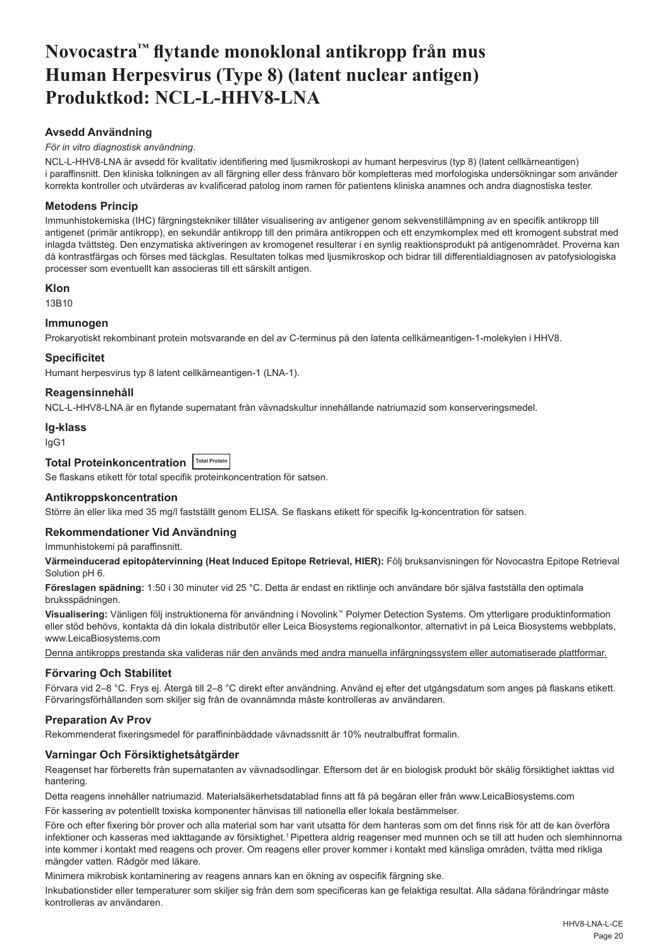## <span id="page-20-0"></span>**Novocastra™ flytande monoklonal antikropp från mus Human Herpesvirus (Type 8) (latent nuclear antigen) Produktkod: NCL-L-HHV8-LNA**

## **Avsedd Användning**

## *För in vitro diagnostisk användning*.

NCL-L-HHV8-LNA är avsedd för kvalitativ identifiering med ljusmikroskopi av humant herpesvirus (typ 8) (latent cellkärneantigen) i paraffinsnitt. Den kliniska tolkningen av all färgning eller dess frånvaro bör kompletteras med morfologiska undersökningar som använder korrekta kontroller och utvärderas av kvalificerad patolog inom ramen för patientens kliniska anamnes och andra diagnostiska tester.

## **Metodens Princip**

Immunhistokemiska (IHC) färgningstekniker tillåter visualisering av antigener genom sekvenstillämpning av en specifik antikropp till antigenet (primär antikropp), en sekundär antikropp till den primära antikroppen och ett enzymkomplex med ett kromogent substrat med inlagda tvättsteg. Den enzymatiska aktiveringen av kromogenet resulterar i en synlig reaktionsprodukt på antigenområdet. Proverna kan då kontrastfärgas och förses med täckglas. Resultaten tolkas med ljusmikroskop och bidrar till differentialdiagnosen av patofysiologiska processer som eventuellt kan associeras till ett särskilt antigen.

#### **Klon**

13B10

## **Immunogen**

Prokaryotiskt rekombinant protein motsvarande en del av C-terminus på den latenta cellkärneantigen-1-molekylen i HHV8.

## **Specificitet**

Humant herpesvirus typ 8 latent cellkärneantigen-1 (LNA-1).

## **Reagensinnehåll**

NCL-L-HHV8-LNA är en flytande supernatant från vävnadskultur innehållande natriumazid som konserveringsmedel.

#### **Ig-klass**

IgG1

## **Total Proteinkoncentration** Total Protein

Se flaskans etikett för total specifik proteinkoncentration för satsen.

#### **Antikroppskoncentration**

Större än eller lika med 35 mg/l fastställt genom ELISA. Se flaskans etikett för specifik Ig-koncentration för satsen.

#### **Rekommendationer Vid Användning**

Immunhistokemi på paraffinsnitt.

**Värmeinducerad epitopåtervinning (Heat Induced Epitope Retrieval, HIER):** Följ bruksanvisningen för Novocastra Epitope Retrieval Solution pH 6.

**Föreslagen spädning:** 1:50 i 30 minuter vid 25 °C. Detta är endast en riktlinje och användare bör själva fastställa den optimala bruksspädningen.

**Visualisering:** Vänligen följ instruktionerna för användning i Novolink™ Polymer Detection Systems. Om ytterligare produktinformation eller stöd behövs, kontakta då din lokala distributör eller Leica Biosystems regionalkontor, alternativt in på Leica Biosystems webbplats, www.LeicaBiosystems.com

Denna antikropps prestanda ska valideras när den används med andra manuella infärgningssystem eller automatiserade plattformar.

## **Förvaring Och Stabilitet**

Förvara vid 2–8 °C. Frys ej. Återgå till 2–8 °C direkt efter användning. Använd ej efter det utgångsdatum som anges på flaskans etikett. Förvaringsförhållanden som skiljer sig från de ovannämnda måste kontrolleras av användaren.

## **Preparation Av Prov**

Rekommenderat fixeringsmedel för paraffininbäddade vävnadssnitt är 10% neutralbuffrat formalin.

## **Varningar Och Försiktighetsåtgärder**

Reagenset har förberetts från supernatanten av vävnadsodlingar. Eftersom det är en biologisk produkt bör skälig försiktighet iakttas vid hantering.

Detta reagens innehåller natriumazid. Materialsäkerhetsdatablad finns att få på begäran eller från www.LeicaBiosystems.com

För kassering av potentiellt toxiska komponenter hänvisas till nationella eller lokala bestämmelser.

Före och efter fixering bör prover och alla material som har varit utsatta för dem hanteras som om det finns risk för att de kan överföra infektioner och kasseras med iakttagande av försiktighet.<sup>1</sup> Pipettera aldrig reagenser med munnen och se till att huden och slemhinnorna inte kommer i kontakt med reagens och prover. Om reagens eller prover kommer i kontakt med känsliga områden, tvätta med rikliga mängder vatten. Rådgör med läkare.

Minimera mikrobisk kontaminering av reagens annars kan en ökning av ospecifik färgning ske.

Inkubationstider eller temperaturer som skiljer sig från dem som specificeras kan ge felaktiga resultat. Alla sådana förändringar måste kontrolleras av användaren.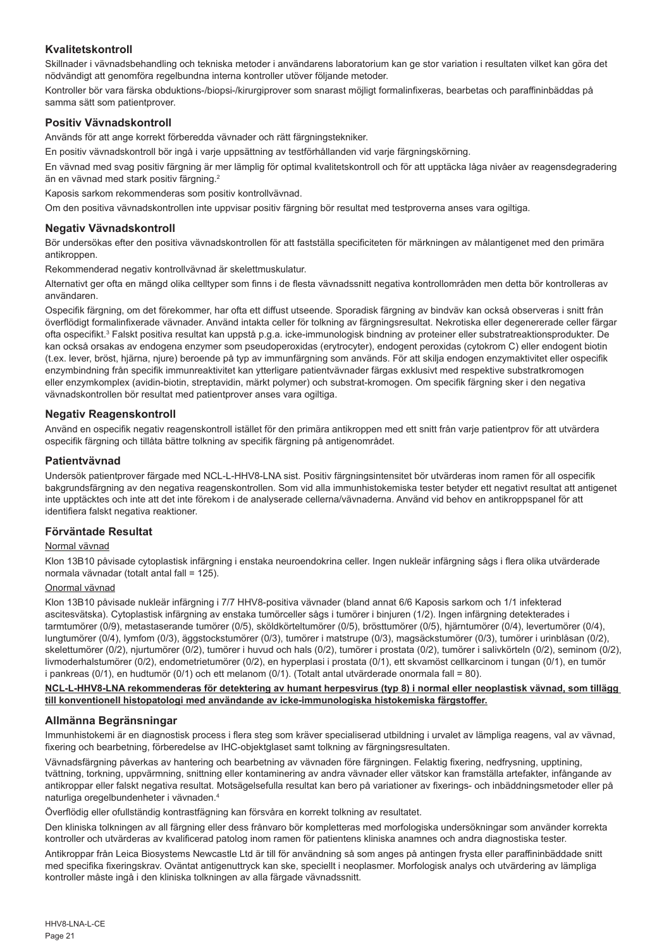## **Kvalitetskontroll**

Skillnader i vävnadsbehandling och tekniska metoder i användarens laboratorium kan ge stor variation i resultaten vilket kan göra det nödvändigt att genomföra regelbundna interna kontroller utöver följande metoder.

Kontroller bör vara färska obduktions-/biopsi-/kirurgiprover som snarast möjligt formalinfixeras, bearbetas och paraffininbäddas på samma sätt som patientprover.

## **Positiv Vävnadskontroll**

Används för att ange korrekt förberedda vävnader och rätt färgningstekniker.

En positiv vävnadskontroll bör ingå i varje uppsättning av testförhållanden vid varje färgningskörning.

En vävnad med svag positiv färgning är mer lämplig för optimal kvalitetskontroll och för att upptäcka låga nivåer av reagensdegradering än en vävnad med stark positiv färgning.<sup>2</sup>

Kaposis sarkom rekommenderas som positiv kontrollvävnad.

Om den positiva vävnadskontrollen inte uppvisar positiv färgning bör resultat med testproverna anses vara ogiltiga.

#### **Negativ Vävnadskontroll**

Bör undersökas efter den positiva vävnadskontrollen för att fastställa specificiteten för märkningen av målantigenet med den primära antikroppen.

Rekommenderad negativ kontrollvävnad är skelettmuskulatur.

Alternativt ger ofta en mängd olika celltyper som finns i de flesta vävnadssnitt negativa kontrollområden men detta bör kontrolleras av användaren.

Ospecifik färgning, om det förekommer, har ofta ett diffust utseende. Sporadisk färgning av bindväv kan också observeras i snitt från överflödigt formalinfixerade vävnader. Använd intakta celler för tolkning av färgningsresultat. Nekrotiska eller degenererade celler färgar ofta ospecifikt.<sup>3</sup> Falskt positiva resultat kan uppstå p.g.a. icke-immunologisk bindning av proteiner eller substratreaktionsprodukter. De kan också orsakas av endogena enzymer som pseudoperoxidas (erytrocyter), endogent peroxidas (cytokrom C) eller endogent biotin (t.ex. lever, bröst, hjärna, njure) beroende på typ av immunfärgning som används. För att skilja endogen enzymaktivitet eller ospecifik enzymbindning från specifik immunreaktivitet kan ytterligare patientvävnader färgas exklusivt med respektive substratkromogen eller enzymkomplex (avidin-biotin, streptavidin, märkt polymer) och substrat-kromogen. Om specifik färgning sker i den negativa vävnadskontrollen bör resultat med patientprover anses vara ogiltiga.

## **Negativ Reagenskontroll**

Använd en ospecifik negativ reagenskontroll istället för den primära antikroppen med ett snitt från varje patientprov för att utvärdera ospecifik färgning och tillåta bättre tolkning av specifik färgning på antigenområdet.

#### **Patientvävnad**

Undersök patientprover färgade med NCL-L-HHV8-LNA sist. Positiv färgningsintensitet bör utvärderas inom ramen för all ospecifik bakgrundsfärgning av den negativa reagenskontrollen. Som vid alla immunhistokemiska tester betyder ett negativt resultat att antigenet inte upptäcktes och inte att det inte förekom i de analyserade cellerna/vävnaderna. Använd vid behov en antikroppspanel för att identifiera falskt negativa reaktioner.

#### **Förväntade Resultat**

#### Normal vävnad

Klon 13B10 påvisade cytoplastisk infärgning i enstaka neuroendokrina celler. Ingen nukleär infärgning sågs i flera olika utvärderade normala vävnadar (totalt antal fall = 125).

## Onormal vävnad

Klon 13B10 påvisade nukleär infärgning i 7/7 HHV8-positiva vävnader (bland annat 6/6 Kaposis sarkom och 1/1 infekterad ascitesvätska). Cytoplastisk infärgning av enstaka tumörceller sågs i tumörer i binjuren (1/2). Ingen infärgning detekterades i tarmtumörer (0/9), metastaserande tumörer (0/5), sköldkörteltumörer (0/5), brösttumörer (0/5), hjärntumörer (0/4), levertumörer (0/4), lungtumörer (0/4), lymfom (0/3), äggstockstumörer (0/3), tumörer i matstrupe (0/3), magsäckstumörer (0/3), tumörer i urinblåsan (0/2), skelettumörer (0/2), njurtumörer (0/2), tumörer i huvud och hals (0/2), tumörer i prostata (0/2), tumörer i salivkörteln (0/2), seminom (0/2), livmoderhalstumörer (0/2), endometrietumörer (0/2), en hyperplasi i prostata (0/1), ett skvamöst cellkarcinom i tungan (0/1), en tumör i pankreas (0/1), en hudtumör (0/1) och ett melanom (0/1). (Totalt antal utvärderade onormala fall = 80).

#### **NCL-L-HHV8-LNA rekommenderas för detektering av humant herpesvirus (typ 8) i normal eller neoplastisk vävnad, som tillägg till konventionell histopatologi med användande av icke-immunologiska histokemiska färgstoffer.**

## **Allmänna Begränsningar**

Immunhistokemi är en diagnostisk process i flera steg som kräver specialiserad utbildning i urvalet av lämpliga reagens, val av vävnad, fixering och bearbetning, förberedelse av IHC-objektglaset samt tolkning av färgningsresultaten.

Vävnadsfärgning påverkas av hantering och bearbetning av vävnaden före färgningen. Felaktig fixering, nedfrysning, upptining, tvättning, torkning, uppvärmning, snittning eller kontaminering av andra vävnader eller vätskor kan framställa artefakter, infångande av antikroppar eller falskt negativa resultat. Motsägelsefulla resultat kan bero på variationer av fixerings- och inbäddningsmetoder eller på naturliga oregelbundenheter i vävnaden.4

Överflödig eller ofullständig kontrastfägning kan försvåra en korrekt tolkning av resultatet.

Den kliniska tolkningen av all färgning eller dess frånvaro bör kompletteras med morfologiska undersökningar som använder korrekta kontroller och utvärderas av kvalificerad patolog inom ramen för patientens kliniska anamnes och andra diagnostiska tester.

Antikroppar från Leica Biosystems Newcastle Ltd är till för användning så som anges på antingen frysta eller paraffininbäddade snitt med specifika fixeringskrav. Oväntat antigenuttryck kan ske, speciellt i neoplasmer. Morfologisk analys och utvärdering av lämpliga kontroller måste ingå i den kliniska tolkningen av alla färgade vävnadssnitt.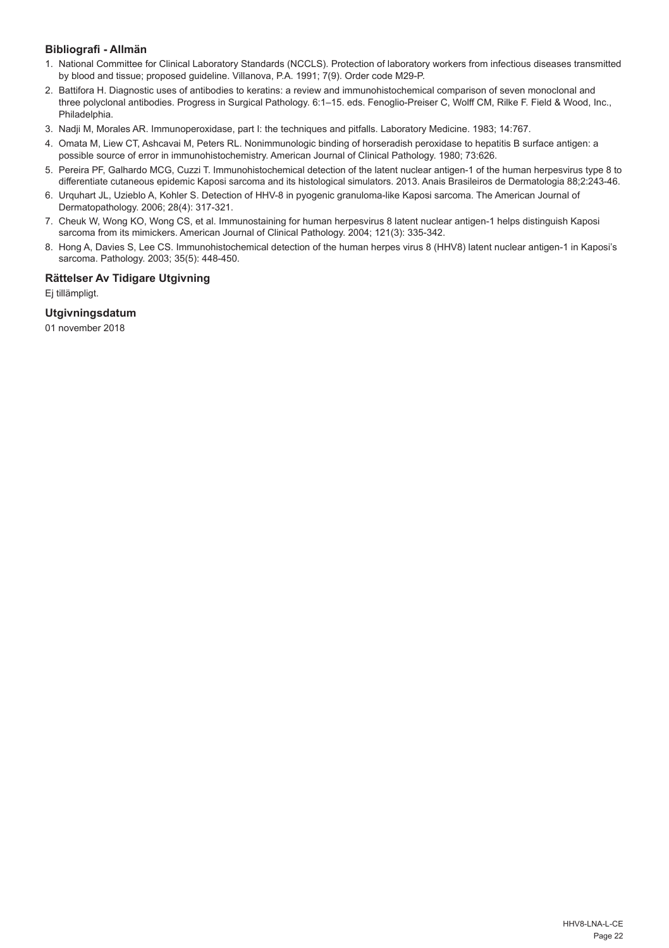## **Bibliografi - Allmän**

- 1. National Committee for Clinical Laboratory Standards (NCCLS). Protection of laboratory workers from infectious diseases transmitted by blood and tissue; proposed guideline. Villanova, P.A. 1991; 7(9). Order code M29-P.
- 2. Battifora H. Diagnostic uses of antibodies to keratins: a review and immunohistochemical comparison of seven monoclonal and three polyclonal antibodies. Progress in Surgical Pathology. 6:1–15. eds. Fenoglio-Preiser C, Wolff CM, Rilke F. Field & Wood, Inc., Philadelphia.
- 3. Nadji M, Morales AR. Immunoperoxidase, part I: the techniques and pitfalls. Laboratory Medicine. 1983; 14:767.
- 4. Omata M, Liew CT, Ashcavai M, Peters RL. Nonimmunologic binding of horseradish peroxidase to hepatitis B surface antigen: a possible source of error in immunohistochemistry. American Journal of Clinical Pathology. 1980; 73:626.
- 5. Pereira PF, Galhardo MCG, Cuzzi T. Immunohistochemical detection of the latent nuclear antigen-1 of the human herpesvirus type 8 to differentiate cutaneous epidemic Kaposi sarcoma and its histological simulators. 2013. Anais Brasileiros de Dermatologia 88;2:243-46.
- 6. Urquhart JL, Uzieblo A, Kohler S. Detection of HHV-8 in pyogenic granuloma-like Kaposi sarcoma. The American Journal of Dermatopathology. 2006; 28(4): 317-321.
- 7. Cheuk W, Wong KO, Wong CS, et al. Immunostaining for human herpesvirus 8 latent nuclear antigen-1 helps distinguish Kaposi sarcoma from its mimickers. American Journal of Clinical Pathology. 2004; 121(3): 335-342.
- 8. Hong A, Davies S, Lee CS. Immunohistochemical detection of the human herpes virus 8 (HHV8) latent nuclear antigen-1 in Kaposi's sarcoma. Pathology. 2003; 35(5): 448-450.

## **Rättelser Av Tidigare Utgivning**

Ej tillämpligt.

## **Utgivningsdatum**

01 november 2018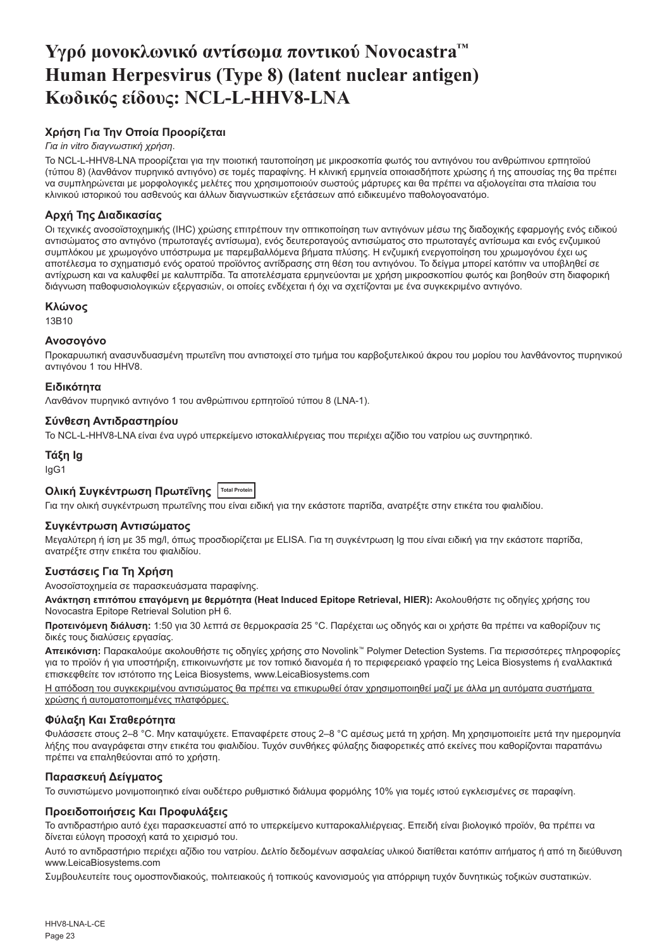## <span id="page-23-0"></span>**Υγρό μονοκλωνικό αντίσωμα ποντικού Novocastra™ Human Herpesvirus (Type 8) (latent nuclear antigen) Κωδικός είδους: NCL-L-HHV8-LNA**

## **Χρήση Για Την Οποία Προορίζεται**

## *Για in vitro διαγνωστική χρήση*.

Το NCL-L-HHV8-LNA προορίζεται για την ποιοτική ταυτοποίηση με μικροσκοπία φωτός του αντιγόνου του ανθρώπινου ερπητοϊού (τύπου 8) (λανθάνον πυρηνικό αντιγόνο) σε τομές παραφίνης. Η κλινική ερμηνεία οποιασδήποτε χρώσης ή της απουσίας της θα πρέπει να συμπληρώνεται με μορφολογικές μελέτες που χρησιμοποιούν σωστούς μάρτυρες και θα πρέπει να αξιολογείται στα πλαίσια του κλινικού ιστορικού του ασθενούς και άλλων διαγνωστικών εξετάσεων από ειδικευμένο παθολογοανατόμο.

## **Αρχή Της Διαδικασίας**

Οι τεχνικές ανοσοϊστοχημικής (IHC) χρώσης επιτρέπουν την οπτικοποίηση των αντιγόνων μέσω της διαδοχικής εφαρμογής ενός ειδικού αντισώματος στο αντιγόνο (πρωτοταγές αντίσωμα), ενός δευτεροταγούς αντισώματος στο πρωτοταγές αντίσωμα και ενός ενζυμικού συμπλόκου με χρωμογόνο υπόστρωμα με παρεμβαλλόμενα βήματα πλύσης. Η ενζυμική ενεργοποίηση του χρωμογόνου έχει ως αποτέλεσμα το σχηματισμό ενός ορατού προϊόντος αντίδρασης στη θέση του αντιγόνου. Το δείγμα μπορεί κατόπιν να υποβληθεί σε αντίχρωση και να καλυφθεί με καλυπτρίδα. Τα αποτελέσματα ερμηνεύονται με χρήση μικροσκοπίου φωτός και βοηθούν στη διαφορική διάγνωση παθοφυσιολογικών εξεργασιών, οι οποίες ενδέχεται ή όχι να σχετίζονται με ένα συγκεκριμένο αντιγόνο.

## **Κλώνος**

13B10

## **Ανοσογόνο**

Προκαρυωτική ανασυνδυασμένη πρωτεΐνη που αντιστοιχεί στο τμήμα του καρβοξυτελικού άκρου του μορίου του λανθάνοντος πυρηνικού αντιγόνου 1 του HHV8.

## **Ειδικότητα**

Λανθάνον πυρηνικό αντιγόνο 1 του ανθρώπινου ερπητοϊού τύπου 8 (LNA-1).

## **Σύνθεση Αντιδραστηρίου**

Το NCL-L-HHV8-LNA είναι ένα υγρό υπερκείμενο ιστοκαλλιέργειας που περιέχει αζίδιο του νατρίου ως συντηρητικό.

#### **Τάξη Ig** IgG1

## **Ολική Συγκέντρωση Πρωτεΐνης Total Protein**

Για την ολική συγκέντρωση πρωτεΐνης που είναι ειδική για την εκάστοτε παρτίδα, ανατρέξτε στην ετικέτα του φιαλιδίου.

## **Συγκέντρωση Αντισώματος**

Μεγαλύτερη ή ίση με 35 mg/l, όπως προσδιορίζεται με ELISA. Για τη συγκέντρωση Ig που είναι ειδική για την εκάστοτε παρτίδα, ανατρέξτε στην ετικέτα του φιαλιδίου.

## **Συστάσεις Για Τη Χρήση**

Ανοσοϊστοχημεία σε παρασκευάσματα παραφίνης.

**Ανάκτηση επιτόπου επαγόμενη με θερμότητα (Heat Induced Epitope Retrieval, HIER):** Ακολουθήστε τις οδηγίες χρήσης του Novocastra Epitope Retrieval Solution pH 6.

**Προτεινόμενη διάλυση:** 1:50 για 30 λεπτά σε θερμοκρασία 25 °C. Παρέχεται ως οδηγός και οι χρήστε θα πρέπει να καθορίζουν τις δικές τους διαλύσεις εργασίας.

**Απεικόνιση:** Παρακαλούμε ακολουθήστε τις οδηγίες χρήσης στο Novolink™ Polymer Detection Systems. Για περισσότερες πληροφορίες για το προϊόν ή για υποστήριξη, επικοινωνήστε με τον τοπικό διανομέα ή το περιφερειακό γραφείο της Leica Biosystems ή εναλλακτικά επισκεφθείτε τον ιστότοπο της Leica Biosystems, www.LeicaBiosystems.com

Η απόδοση του συγκεκριμένου αντισώματος θα πρέπει να επικυρωθεί όταν χρησιμοποιηθεί μαζί με άλλα μη αυτόματα συστήματα χρώσης ή αυτοματοποιημένες πλατφόρμες.

## **Φύλαξη Και Σταθερότητα**

Φυλάσσετε στους 2–8 °C. Μην καταψύχετε. Επαναφέρετε στους 2–8 °C αμέσως μετά τη χρήση. Μη χρησιμοποιείτε μετά την ημερομηνία λήξης που αναγράφεται στην ετικέτα του φιαλιδίου. Τυχόν συνθήκες φύλαξης διαφορετικές από εκείνες που καθορίζονται παραπάνω πρέπει να επαληθεύονται από το χρήστη.

## **Παρασκευή Δείγματος**

Το συνιστώμενο μονιμοποιητικό είναι ουδέτερο ρυθμιστικό διάλυμα φορμόλης 10% για τομές ιστού εγκλεισμένες σε παραφίνη.

## **Προειδοποιήσεις Και Προφυλάξεις**

Το αντιδραστήριο αυτό έχει παρασκευαστεί από το υπερκείμενο κυτταροκαλλιέργειας. Επειδή είναι βιολογικό προϊόν, θα πρέπει να δίνεται εύλογη προσοχή κατά το χειρισμό του.

Αυτό το αντιδραστήριο περιέχει αζίδιο του νατρίου. Δελτίο δεδομένων ασφαλείας υλικού διατίθεται κατόπιν αιτήματος ή από τη διεύθυνση www.LeicaBiosystems.com

Συμβουλευτείτε τους ομοσπονδιακούς, πολιτειακούς ή τοπικούς κανονισμούς για απόρριψη τυχόν δυνητικώς τοξικών συστατικών.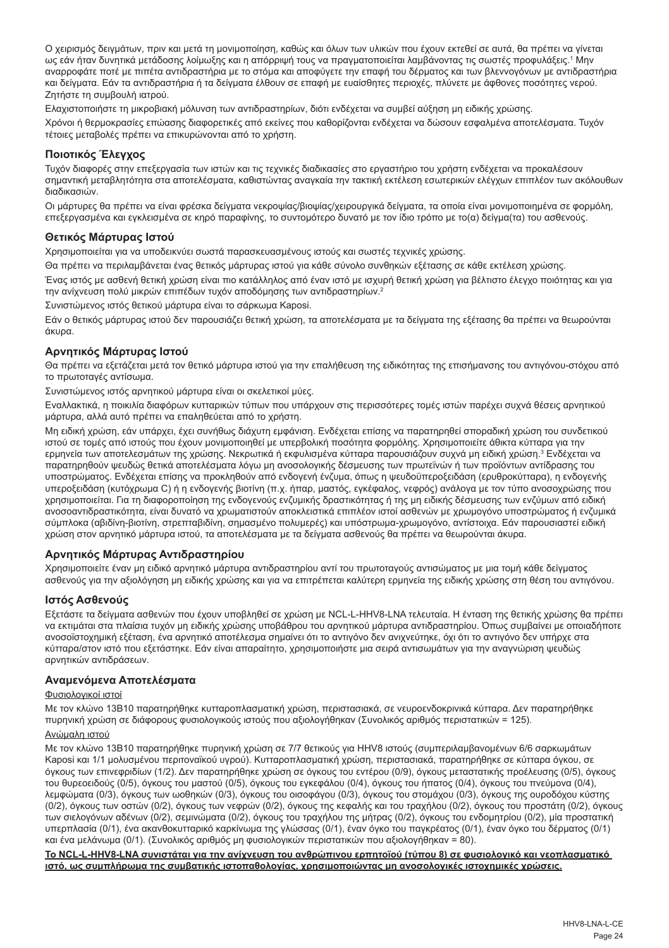Ο χειρισμός δειγμάτων, πριν και μετά τη μονιμοποίηση, καθώς και όλων των υλικών που έχουν εκτεθεί σε αυτά, θα πρέπει να γίνεται ως εάν ήταν δυνητικά μετάδοσης λοίμωξης και η απόρριψή τους να πραγματοποιείται λαμβάνοντας τις σωστές προφυλάξεις.' Μην αναρροφάτε ποτέ με πιπέτα αντιδραστήρια με το στόμα και αποφύγετε την επαφή του δέρματος και των βλεννογόνων με αντιδραστήρια και δείγματα. Εάν τα αντιδραστήρια ή τα δείγματα έλθουν σε επαφή με ευαίσθητες περιοχές, πλύνετε με άφθονες ποσότητες νερού. Ζητήστε τη συμβουλή ιατρού.

Ελαχιστοποιήστε τη μικροβιακή μόλυνση των αντιδραστηρίων, διότι ενδέχεται να συμβεί αύξηση μη ειδικής χρώσης.

Χρόνοι ή θερμοκρασίες επώασης διαφορετικές από εκείνες που καθορίζονται ενδέχεται να δώσουν εσφαλμένα αποτελέσματα. Τυχόν τέτοιες μεταβολές πρέπει να επικυρώνονται από το χρήστη.

## **Ποιοτικός Έλεγχος**

Τυχόν διαφορές στην επεξεργασία των ιστών και τις τεχνικές διαδικασίες στο εργαστήριο του χρήστη ενδέχεται να προκαλέσουν σημαντική μεταβλητότητα στα αποτελέσματα, καθιστώντας αναγκαία την τακτική εκτέλεση εσωτερικών ελέγχων επιπλέον των ακόλουθων διαδικασιών.

Οι μάρτυρες θα πρέπει να είναι φρέσκα δείγματα νεκροψίας/βιοψίας/χειρουργικά δείγματα, τα οποία είναι μονιμοποιημένα σε φορμόλη, επεξεργασμένα και εγκλεισμένα σε κηρό παραφίνης, το συντομότερο δυνατό με τον ίδιο τρόπο με το(α) δείγμα(τα) του ασθενούς.

## **Θετικός Μάρτυρας Ιστού**

Χρησιμοποιείται για να υποδεικνύει σωστά παρασκευασμένους ιστούς και σωστές τεχνικές χρώσης.

Θα πρέπει να περιλαμβάνεται ένας θετικός μάρτυρας ιστού για κάθε σύνολο συνθηκών εξέτασης σε κάθε εκτέλεση χρώσης.

Ένας ιστός με ασθενή θετική χρώση είναι πιο κατάλληλος από έναν ιστό με ισχυρή θετική χρώση για βέλτιστο έλεγχο ποιότητας και για την ανίχνευση πολύ μικρών επιπέδων τυχόν αποδόμησης των αντιδραστηρίων.<sup>2</sup>

Συνιστώμενος ιστός θετικού μάρτυρα είναι το σάρκωμα Kaposi.

Εάν ο θετικός μάρτυρας ιστού δεν παρουσιάζει θετική χρώση, τα αποτελέσματα με τα δείγματα της εξέτασης θα πρέπει να θεωρούνται άκυρα.

## **Αρνητικός Μάρτυρας Ιστού**

Θα πρέπει να εξετάζεται μετά τον θετικό μάρτυρα ιστού για την επαλήθευση της ειδικότητας της επισήμανσης του αντιγόνου-στόχου από το πρωτοταγές αντίσωμα.

Συνιστώμενος ιστός αρνητικού μάρτυρα είναι οι σκελετικοί μύες.

Εναλλακτικά, η ποικιλία διαφόρων κυτταρικών τύπων που υπάρχουν στις περισσότερες τομές ιστών παρέχει συχνά θέσεις αρνητικού μάρτυρα, αλλά αυτό πρέπει να επαληθεύεται από το χρήστη.

Μη ειδική χρώση, εάν υπάρχει, έχει συνήθως διάχυτη εμφάνιση. Ενδέχεται επίσης να παρατηρηθεί σποραδική χρώση του συνδετικού ιστού σε τομές από ιστούς που έχουν μονιμοποιηθεί με υπερβολική ποσότητα φορμόλης. Χρησιμοποιείτε άθικτα κύτταρα για την ερμηνεία των αποτελεσμάτων της χρώσης. Νεκρωτικά ή εκφυλισμένα κύτταρα παρουσιάζουν συχνά μη ειδική χρώση.<sup>3</sup> Ενδέχεται να παρατηρηθούν ψευδώς θετικά αποτελέσματα λόγω μη ανοσολογικής δέσμευσης των πρωτεϊνών ή των προϊόντων αντίδρασης του υποστρώματος. Ενδέχεται επίσης να προκληθούν από ενδογενή ένζυμα, όπως η ψευδοϋπεροξειδάση (ερυθροκύτταρα), η ενδογενής υπεροξειδάση (κυτόχρωμα C) ή η ενδογενής βιοτίνη (π.χ. ήπαρ, μαστός, εγκέφαλος, νεφρός) ανάλογα με τον τύπο ανοσοχρώσης που χρησιμοποιείται. Για τη διαφοροποίηση της ενδογενούς ενζυμικής δραστικότητας ή της μη ειδικής δέσμευσης των ενζύμων από ειδική ανοσοαντιδραστικότητα, είναι δυνατό να χρωματιστούν αποκλειστικά επιπλέον ιστοί ασθενών με χρωμογόνο υποστρώματος ή ενζυμικά σύμπλοκα (αβιδίνη-βιοτίνη, στρεπταβιδίνη, σημασμένο πολυμερές) και υπόστρωμα-χρωμογόνο, αντίστοιχα. Εάν παρουσιαστεί ειδική χρώση στον αρνητικό μάρτυρα ιστού, τα αποτελέσματα με τα δείγματα ασθενούς θα πρέπει να θεωρούνται άκυρα.

## **Αρνητικός Μάρτυρας Αντιδραστηρίου**

Χρησιμοποιείτε έναν μη ειδικό αρνητικό μάρτυρα αντιδραστηρίου αντί του πρωτοταγούς αντισώματος με μια τομή κάθε δείγματος ασθενούς για την αξιολόγηση μη ειδικής χρώσης και για να επιτρέπεται καλύτερη ερμηνεία της ειδικής χρώσης στη θέση του αντιγόνου.

## **Ιστός Ασθενούς**

Εξετάστε τα δείγματα ασθενών που έχουν υποβληθεί σε χρώση με NCL-L-HHV8-LNA τελευταία. Η ένταση της θετικής χρώσης θα πρέπει να εκτιμάται στα πλαίσια τυχόν μη ειδικής χρώσης υποβάθρου του αρνητικού μάρτυρα αντιδραστηρίου. Όπως συμβαίνει με οποιαδήποτε ανοσοϊστοχημική εξέταση, ένα αρνητικό αποτέλεσμα σημαίνει ότι το αντιγόνο δεν ανιχνεύτηκε, όχι ότι το αντιγόνο δεν υπήρχε στα κύτταρα/στον ιστό που εξετάστηκε. Εάν είναι απαραίτητο, χρησιμοποιήστε μια σειρά αντισωμάτων για την αναγνώριση ψευδώς αρνητικών αντιδράσεων.

## **Αναμενόμενα Αποτελέσματα**

#### Φυσιολογικοί ιστοί

Με τον κλώνο 13B10 παρατηρήθηκε κυτταροπλασματική χρώση, περιστασιακά, σε νευροενδοκρινικά κύτταρα. Δεν παρατηρήθηκε πυρηνική χρώση σε διάφορους φυσιολογικούς ιστούς που αξιολογήθηκαν (Συνολικός αριθμός περιστατικών = 125).

## Ανώμαλη ιστού

Με τον κλώνο 13B10 παρατηρήθηκε πυρηνική χρώση σε 7/7 θετικούς για HHV8 ιστούς (συμπεριλαμβανομένων 6/6 σαρκωμάτων Kaposi και 1/1 μολυσμένου περιτοναϊκού υγρού). Κυτταροπλασματική χρώση, περιστασιακά, παρατηρήθηκε σε κύτταρα όγκου, σε όγκους των επινεφριδίων (1/2). Δεν παρατηρήθηκε χρώση σε όγκους του εντέρου (0/9), όγκους μεταστατικής προέλευσης (0/5), όγκους του θυρεοειδούς (0/5), όγκους του μαστού (0/5), όγκους του εγκεφάλου (0/4), όγκους του ήπατος (0/4), όγκους του πνεύμονα (0/4), λεμφώματα (0/3), όγκους των ωοθηκών (0/3), όγκους του οισοφάγου (0/3), όγκους του στομάχου (0/3), όγκους της ουροδόχου κύστης (0/2), όγκους των οστών (0/2), όγκους των νεφρών (0/2), όγκους της κεφαλής και του τραχήλου (0/2), όγκους του προστάτη (0/2), όγκους των σιελογόνων αδένων (0/2), σεμινώματα (0/2), όγκους του τραχήλου της μήτρας (0/2), όγκους του ενδομητρίου (0/2), μία προστατική υπερπλασία (0/1), ένα ακανθοκυτταρικό καρκίνωμα της γλώσσας (0/1), έναν όγκο του παγκρέατος (0/1), έναν όγκο του δέρματος (0/1) και ένα μελάνωμα (0/1). (Συνολικός αριθμός μη φυσιολογικών περιστατικών που αξιολογήθηκαν = 80).

**Το NCL-L-HHV8-LNA συνιστάται για την ανίχνευση του ανθρώπινου ερπητοϊού (τύπου 8) σε φυσιολογικό και νεοπλασματικό ιστό, ως συμπλήρωμα της συμβατικής ιστοπαθολογίας, χρησιμοποιώντας μη ανοσολογικές ιστοχημικές χρώσεις.**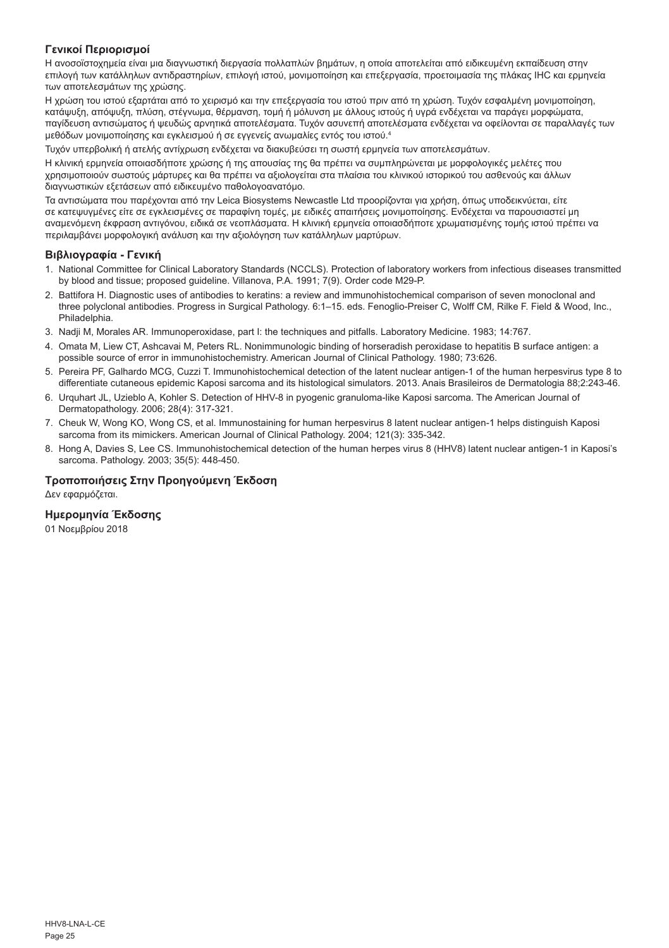## **Γενικοί Περιορισμοί**

Η ανοσοϊστοχημεία είναι μια διαγνωστική διεργασία πολλαπλών βημάτων, η οποία αποτελείται από ειδικευμένη εκπαίδευση στην επιλογή των κατάλληλων αντιδραστηρίων, επιλογή ιστού, μονιμοποίηση και επεξεργασία, προετοιμασία της πλάκας IHC και ερμηνεία των αποτελεσμάτων της χρώσης.

Η χρώση του ιστού εξαρτάται από το χειρισμό και την επεξεργασία του ιστού πριν από τη χρώση. Τυχόν εσφαλμένη μονιμοποίηση, κατάψυξη, απόψυξη, πλύση, στέγνωμα, θέρμανση, τομή ή μόλυνση με άλλους ιστούς ή υγρά ενδέχεται να παράγει μορφώματα, παγίδευση αντισώματος ή ψευδώς αρνητικά αποτελέσματα. Τυχόν ασυνεπή αποτελέσματα ενδέχεται να οφείλονται σε παραλλαγές των μεθόδων μονιμοποίησης και εγκλεισμού ή σε εγγενείς ανωμαλίες εντός του ιστού.4

Τυχόν υπερβολική ή ατελής αντίχρωση ενδέχεται να διακυβεύσει τη σωστή ερμηνεία των αποτελεσμάτων.

Η κλινική ερμηνεία οποιασδήποτε χρώσης ή της απουσίας της θα πρέπει να συμπληρώνεται με μορφολογικές μελέτες που χρησιμοποιούν σωστούς μάρτυρες και θα πρέπει να αξιολογείται στα πλαίσια του κλινικού ιστορικού του ασθενούς και άλλων διαγνωστικών εξετάσεων από ειδικευμένο παθολογοανατόμο.

Τα αντισώματα που παρέχονται από την Leica Biosystems Newcastle Ltd προορίζονται για χρήση, όπως υποδεικνύεται, είτε σε κατεψυγμένες είτε σε εγκλεισμένες σε παραφίνη τομές, με ειδικές απαιτήσεις μονιμοποίησης. Ενδέχεται να παρουσιαστεί μη αναμενόμενη έκφραση αντιγόνου, ειδικά σε νεοπλάσματα. Η κλινική ερμηνεία οποιασδήποτε χρωματισμένης τομής ιστού πρέπει να περιλαμβάνει μορφολογική ανάλυση και την αξιολόγηση των κατάλληλων μαρτύρων.

#### **Βιβλιογραφία - Γενική**

- 1. National Committee for Clinical Laboratory Standards (NCCLS). Protection of laboratory workers from infectious diseases transmitted by blood and tissue; proposed guideline. Villanova, P.A. 1991; 7(9). Order code M29-P.
- 2. Battifora H. Diagnostic uses of antibodies to keratins: a review and immunohistochemical comparison of seven monoclonal and three polyclonal antibodies. Progress in Surgical Pathology. 6:1–15. eds. Fenoglio-Preiser C, Wolff CM, Rilke F. Field & Wood, Inc., Philadelphia.
- 3. Nadji M, Morales AR. Immunoperoxidase, part I: the techniques and pitfalls. Laboratory Medicine. 1983; 14:767.
- 4. Omata M, Liew CT, Ashcavai M, Peters RL. Nonimmunologic binding of horseradish peroxidase to hepatitis B surface antigen: a possible source of error in immunohistochemistry. American Journal of Clinical Pathology. 1980; 73:626.
- 5. Pereira PF, Galhardo MCG, Cuzzi T. Immunohistochemical detection of the latent nuclear antigen-1 of the human herpesvirus type 8 to differentiate cutaneous epidemic Kaposi sarcoma and its histological simulators. 2013. Anais Brasileiros de Dermatologia 88;2:243-46.
- 6. Urquhart JL, Uzieblo A, Kohler S. Detection of HHV-8 in pyogenic granuloma-like Kaposi sarcoma. The American Journal of Dermatopathology. 2006; 28(4): 317-321.
- 7. Cheuk W, Wong KO, Wong CS, et al. Immunostaining for human herpesvirus 8 latent nuclear antigen-1 helps distinguish Kaposi sarcoma from its mimickers. American Journal of Clinical Pathology. 2004; 121(3): 335-342.
- 8. Hong A, Davies S, Lee CS. Immunohistochemical detection of the human herpes virus 8 (HHV8) latent nuclear antigen-1 in Kaposi's sarcoma. Pathology. 2003; 35(5): 448-450.

## **Τροποποιήσεις Στην Προηγούμενη Έκδοση**

Δεν εφαρμόζεται.

## **Ημερομηνία Έκδοσης**

01 Νοεμβρίου 2018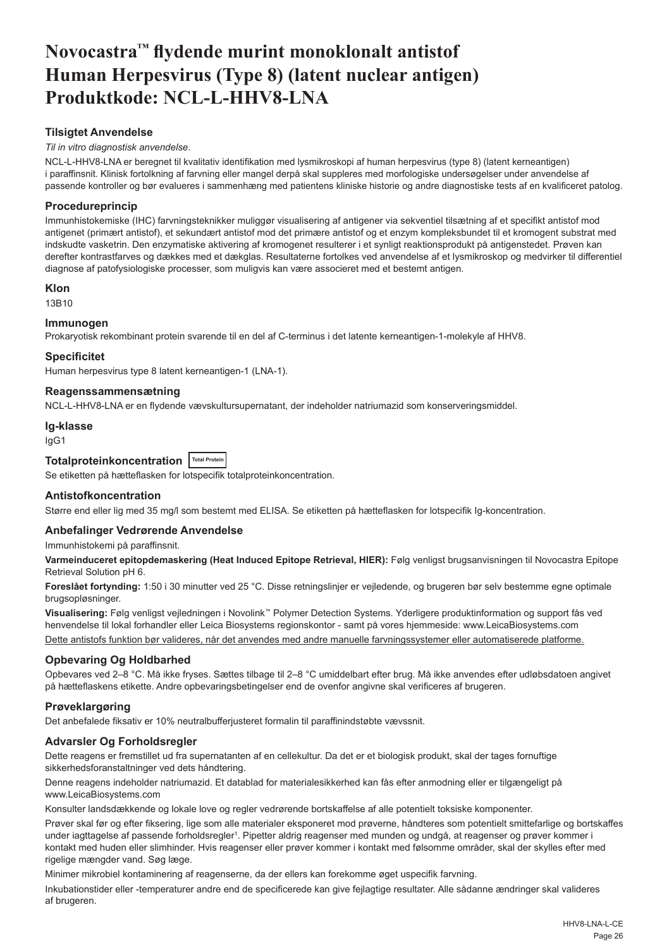## <span id="page-26-0"></span>**Novocastra™ flydende murint monoklonalt antistof Human Herpesvirus (Type 8) (latent nuclear antigen) Produktkode: NCL-L-HHV8-LNA**

## **Tilsigtet Anvendelse**

#### *Til in vitro diagnostisk anvendelse*.

NCL-L-HHV8-LNA er beregnet til kvalitativ identifikation med lysmikroskopi af human herpesvirus (type 8) (latent kerneantigen) i paraffinsnit. Klinisk fortolkning af farvning eller mangel derpå skal suppleres med morfologiske undersøgelser under anvendelse af passende kontroller og bør evalueres i sammenhæng med patientens kliniske historie og andre diagnostiske tests af en kvalificeret patolog.

## **Procedureprincip**

Immunhistokemiske (IHC) farvningsteknikker muliggør visualisering af antigener via sekventiel tilsætning af et specifikt antistof mod antigenet (primært antistof), et sekundært antistof mod det primære antistof og et enzym kompleksbundet til et kromogent substrat med indskudte vasketrin. Den enzymatiske aktivering af kromogenet resulterer i et synligt reaktionsprodukt på antigenstedet. Prøven kan derefter kontrastfarves og dækkes med et dækglas. Resultaterne fortolkes ved anvendelse af et lysmikroskop og medvirker til differentiel diagnose af patofysiologiske processer, som muligvis kan være associeret med et bestemt antigen.

## **Klon**

13B10

## **Immunogen**

Prokaryotisk rekombinant protein svarende til en del af C-terminus i det latente kerneantigen-1-molekyle af HHV8.

## **Specificitet**

Human herpesvirus type 8 latent kerneantigen-1 (LNA-1).

## **Reagenssammensætning**

NCL-L-HHV8-LNA er en flydende vævskultursupernatant, der indeholder natriumazid som konserveringsmiddel.

#### **Ig-klasse**

IgG1

## **Totalproteinkoncentration Total Protein**

Se etiketten på hætteflasken for lotspecifik totalproteinkoncentration.

## **Antistofkoncentration**

Større end eller lig med 35 mg/l som bestemt med ELISA. Se etiketten på hætteflasken for lotspecifik Ig-koncentration.

## **Anbefalinger Vedrørende Anvendelse**

Immunhistokemi på paraffinsnit.

**Varmeinduceret epitopdemaskering (Heat Induced Epitope Retrieval, HIER):** Følg venligst brugsanvisningen til Novocastra Epitope Retrieval Solution pH 6.

**Foreslået fortynding:** 1:50 i 30 minutter ved 25 °C. Disse retningslinjer er vejledende, og brugeren bør selv bestemme egne optimale brugsopløsninger.

**Visualisering:** Følg venligst vejledningen i Novolink™ Polymer Detection Systems. Yderligere produktinformation og support fås ved henvendelse til lokal forhandler eller Leica Biosystems regionskontor - samt på vores hjemmeside: www.LeicaBiosystems.com

Dette antistofs funktion bør valideres, når det anvendes med andre manuelle farvningssystemer eller automatiserede platforme.

## **Opbevaring Og Holdbarhed**

Opbevares ved 2–8 °C. Må ikke fryses. Sættes tilbage til 2–8 °C umiddelbart efter brug. Må ikke anvendes efter udløbsdatoen angivet på hætteflaskens etikette. Andre opbevaringsbetingelser end de ovenfor angivne skal verificeres af brugeren.

## **Prøveklargøring**

Det anbefalede fiksativ er 10% neutralbufferjusteret formalin til paraffinindstøbte vævssnit.

## **Advarsler Og Forholdsregler**

Dette reagens er fremstillet ud fra supernatanten af en cellekultur. Da det er et biologisk produkt, skal der tages fornuftige sikkerhedsforanstaltninger ved dets håndtering.

Denne reagens indeholder natriumazid. Et datablad for materialesikkerhed kan fås efter anmodning eller er tilgængeligt på www.LeicaBiosystems.com

Konsulter landsdækkende og lokale love og regler vedrørende bortskaffelse af alle potentielt toksiske komponenter.

Prøver skal før og efter fiksering, lige som alle materialer eksponeret mod prøverne, håndteres som potentielt smittefarlige og bortskaffes under iagttagelse af passende forholdsregler<sup>1</sup>. Pipetter aldrig reagenser med munden og undgå, at reagenser og prøver kommer i kontakt med huden eller slimhinder. Hvis reagenser eller prøver kommer i kontakt med følsomme områder, skal der skylles efter med rigelige mængder vand. Søg læge.

Minimer mikrobiel kontaminering af reagenserne, da der ellers kan forekomme øget uspecifik farvning.

Inkubationstider eller -temperaturer andre end de specificerede kan give fejlagtige resultater. Alle sådanne ændringer skal valideres af brugeren.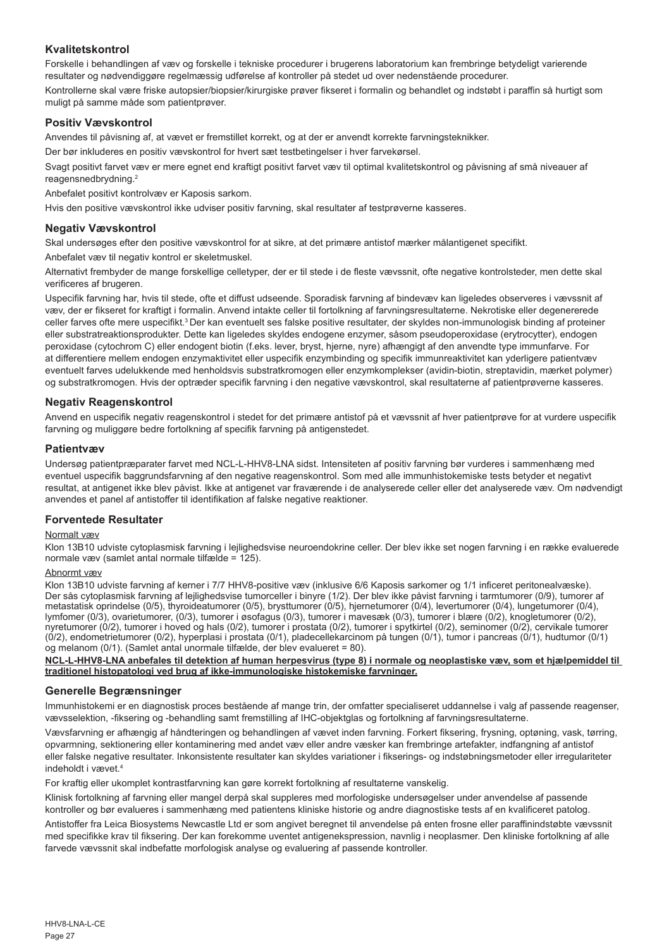## **Kvalitetskontrol**

Forskelle i behandlingen af væv og forskelle i tekniske procedurer i brugerens laboratorium kan frembringe betydeligt varierende resultater og nødvendiggøre regelmæssig udførelse af kontroller på stedet ud over nedenstående procedurer. Kontrollerne skal være friske autopsier/biopsier/kirurgiske prøver fikseret i formalin og behandlet og indstøbt i paraffin så hurtigt som muligt på samme måde som patientprøver.

## **Positiv Vævskontrol**

Anvendes til påvisning af, at vævet er fremstillet korrekt, og at der er anvendt korrekte farvningsteknikker.

Der bør inkluderes en positiv vævskontrol for hvert sæt testbetingelser i hver farvekørsel.

Svagt positivt farvet væv er mere egnet end kraftigt positivt farvet væv til optimal kvalitetskontrol og påvisning af små niveauer af reagensnedbrydning.<sup>2</sup>

Anbefalet positivt kontrolvæv er Kaposis sarkom.

Hvis den positive vævskontrol ikke udviser positiv farvning, skal resultater af testprøverne kasseres.

## **Negativ Vævskontrol**

Skal undersøges efter den positive vævskontrol for at sikre, at det primære antistof mærker målantigenet specifikt.

Anbefalet væv til negativ kontrol er skeletmuskel.

Alternativt frembyder de mange forskellige celletyper, der er til stede i de fleste vævssnit, ofte negative kontrolsteder, men dette skal verificeres af brugeren.

Uspecifik farvning har, hvis til stede, ofte et diffust udseende. Sporadisk farvning af bindevæv kan ligeledes observeres i vævssnit af væv, der er fikseret for kraftigt i formalin. Anvend intakte celler til fortolkning af farvningsresultaterne. Nekrotiske eller degenererede celler farves ofte mere uspecifikt.<sup>3</sup>Der kan eventuelt ses falske positive resultater, der skyldes non-immunologisk binding af proteiner eller substratreaktionsprodukter. Dette kan ligeledes skyldes endogene enzymer, såsom pseudoperoxidase (erytrocytter), endogen peroxidase (cytochrom C) eller endogent biotin (f.eks. lever, bryst, hjerne, nyre) afhængigt af den anvendte type immunfarve. For at differentiere mellem endogen enzymaktivitet eller uspecifik enzymbinding og specifik immunreaktivitet kan yderligere patientvæv eventuelt farves udelukkende med henholdsvis substratkromogen eller enzymkomplekser (avidin-biotin, streptavidin, mærket polymer) og substratkromogen. Hvis der optræder specifik farvning i den negative vævskontrol, skal resultaterne af patientprøverne kasseres.

## **Negativ Reagenskontrol**

Anvend en uspecifik negativ reagenskontrol i stedet for det primære antistof på et vævssnit af hver patientprøve for at vurdere uspecifik farvning og muliggøre bedre fortolkning af specifik farvning på antigenstedet.

## **Patientvæv**

Undersøg patientpræparater farvet med NCL-L-HHV8-LNA sidst. Intensiteten af positiv farvning bør vurderes i sammenhæng med eventuel uspecifik baggrundsfarvning af den negative reagenskontrol. Som med alle immunhistokemiske tests betyder et negativt resultat, at antigenet ikke blev påvist. Ikke at antigenet var fraværende i de analyserede celler eller det analyserede væv. Om nødvendigt anvendes et panel af antistoffer til identifikation af falske negative reaktioner.

## **Forventede Resultater**

## Normalt væv

Klon 13B10 udviste cytoplasmisk farvning i lejlighedsvise neuroendokrine celler. Der blev ikke set nogen farvning i en række evaluerede normale væv (samlet antal normale tilfælde = 125).

#### Abnormt væv

Klon 13B10 udviste farvning af kerner i 7/7 HHV8-positive væv (inklusive 6/6 Kaposis sarkomer og 1/1 inficeret peritonealvæske). Der sås cytoplasmisk farvning af lejlighedsvise tumorceller i binyre (1/2). Der blev ikke påvist farvning i tarmtumorer (0/9), tumorer af metastatisk oprindelse (0/5), thyroideatumorer (0/5), brysttumorer (0/5), hjernetumorer (0/4), levertumorer (0/4), lungetumorer (0/4), lymfomer (0/3), ovarietumorer, (0/3), tumorer i øsofagus (0/3), tumorer i mavesæk (0/3), tumorer i blære (0/2), knogletumorer (0/2), nyretumorer (0/2), tumorer i hoved og hals (0/2), tumorer i prostata (0/2), tumorer i spytkirtel (0/2), seminomer (0/2), cervikale tumorer (0/2), endometrietumorer (0/2), hyperplasi i prostata (0/1), pladecellekarcinom på tungen (0/1), tumor i pancreas (0/1), hudtumor (0/1) og melanom (0/1). (Samlet antal unormale tilfælde, der blev evalueret = 80).

#### **NCL-L-HHV8-LNA anbefales til detektion af human herpesvirus (type 8) i normale og neoplastiske væv, som et hjælpemiddel til traditionel histopatologi ved brug af ikke-immunologiske histokemiske farvninger.**

## **Generelle Begrænsninger**

Immunhistokemi er en diagnostisk proces bestående af mange trin, der omfatter specialiseret uddannelse i valg af passende reagenser, vævsselektion, -fiksering og -behandling samt fremstilling af IHC-objektglas og fortolkning af farvningsresultaterne.

Vævsfarvning er afhængig af håndteringen og behandlingen af vævet inden farvning. Forkert fiksering, frysning, optøning, vask, tørring, opvarmning, sektionering eller kontaminering med andet væv eller andre væsker kan frembringe artefakter, indfangning af antistof eller falske negative resultater. Inkonsistente resultater kan skyldes variationer i fikserings- og indstøbningsmetoder eller irregulariteter indeholdt i vævet<sup>4</sup>

For kraftig eller ukomplet kontrastfarvning kan gøre korrekt fortolkning af resultaterne vanskelig.

Klinisk fortolkning af farvning eller mangel derpå skal suppleres med morfologiske undersøgelser under anvendelse af passende kontroller og bør evalueres i sammenhæng med patientens kliniske historie og andre diagnostiske tests af en kvalificeret patolog.

Antistoffer fra Leica Biosystems Newcastle Ltd er som angivet beregnet til anvendelse på enten frosne eller paraffinindstøbte vævssnit med specifikke krav til fiksering. Der kan forekomme uventet antigenekspression, navnlig i neoplasmer. Den kliniske fortolkning af alle farvede vævssnit skal indbefatte morfologisk analyse og evaluering af passende kontroller.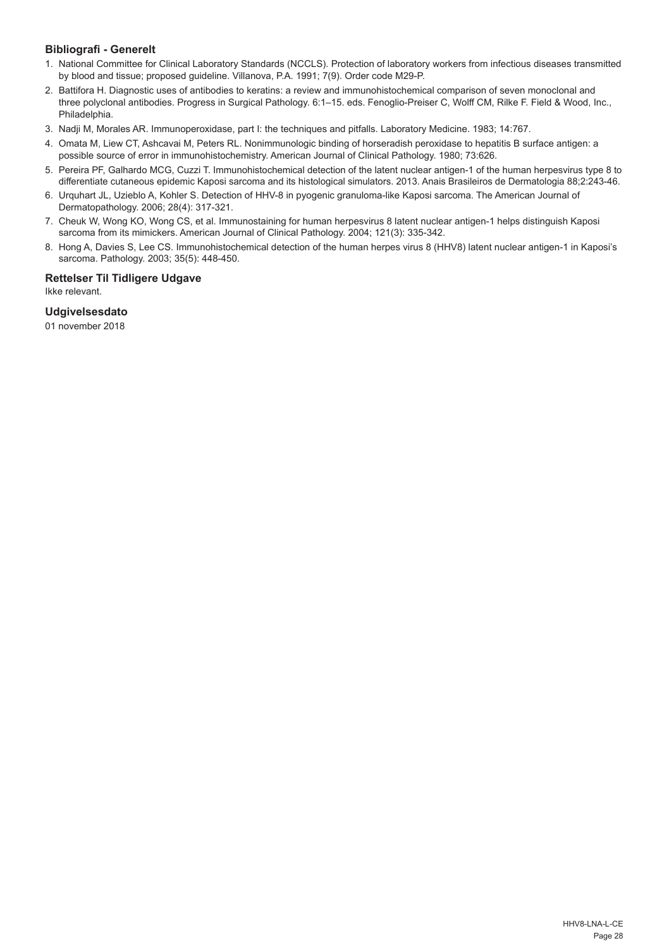## **Bibliografi - Generelt**

- 1. National Committee for Clinical Laboratory Standards (NCCLS). Protection of laboratory workers from infectious diseases transmitted by blood and tissue; proposed guideline. Villanova, P.A. 1991; 7(9). Order code M29-P.
- 2. Battifora H. Diagnostic uses of antibodies to keratins: a review and immunohistochemical comparison of seven monoclonal and three polyclonal antibodies. Progress in Surgical Pathology. 6:1–15. eds. Fenoglio-Preiser C, Wolff CM, Rilke F. Field & Wood, Inc., Philadelphia.
- 3. Nadji M, Morales AR. Immunoperoxidase, part I: the techniques and pitfalls. Laboratory Medicine. 1983; 14:767.
- 4. Omata M, Liew CT, Ashcavai M, Peters RL. Nonimmunologic binding of horseradish peroxidase to hepatitis B surface antigen: a possible source of error in immunohistochemistry. American Journal of Clinical Pathology. 1980; 73:626.
- 5. Pereira PF, Galhardo MCG, Cuzzi T. Immunohistochemical detection of the latent nuclear antigen-1 of the human herpesvirus type 8 to differentiate cutaneous epidemic Kaposi sarcoma and its histological simulators. 2013. Anais Brasileiros de Dermatologia 88;2:243-46.
- 6. Urquhart JL, Uzieblo A, Kohler S. Detection of HHV-8 in pyogenic granuloma-like Kaposi sarcoma. The American Journal of Dermatopathology. 2006; 28(4): 317-321.
- 7. Cheuk W, Wong KO, Wong CS, et al. Immunostaining for human herpesvirus 8 latent nuclear antigen-1 helps distinguish Kaposi sarcoma from its mimickers. American Journal of Clinical Pathology. 2004; 121(3): 335-342.
- 8. Hong A, Davies S, Lee CS. Immunohistochemical detection of the human herpes virus 8 (HHV8) latent nuclear antigen-1 in Kaposi's sarcoma. Pathology. 2003; 35(5): 448-450.

## **Rettelser Til Tidligere Udgave**

Ikke relevant.

## **Udgivelsesdato**

01 november 2018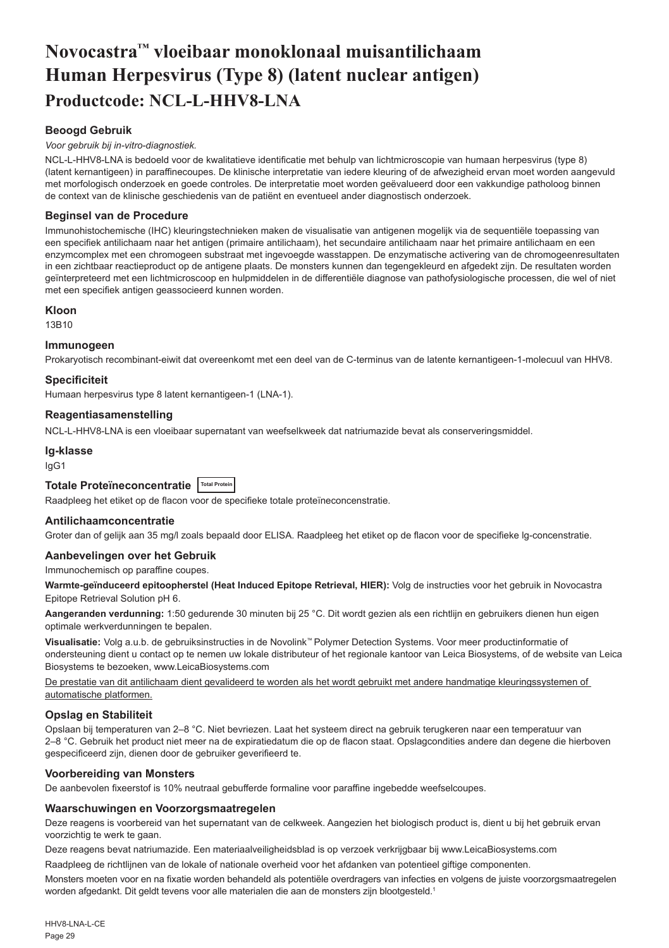## <span id="page-29-0"></span>**Novocastra™ vloeibaar monoklonaal muisantilichaam Human Herpesvirus (Type 8) (latent nuclear antigen) Productcode: NCL-L-HHV8-LNA**

## **Beoogd Gebruik**

#### *Voor gebruik bij in-vitro-diagnostiek.*

NCL-L-HHV8-LNA is bedoeld voor de kwalitatieve identificatie met behulp van lichtmicroscopie van humaan herpesvirus (type 8) (latent kernantigeen) in paraffinecoupes. De klinische interpretatie van iedere kleuring of de afwezigheid ervan moet worden aangevuld met morfologisch onderzoek en goede controles. De interpretatie moet worden geëvalueerd door een vakkundige patholoog binnen de context van de klinische geschiedenis van de patiënt en eventueel ander diagnostisch onderzoek.

#### **Beginsel van de Procedure**

Immunohistochemische (IHC) kleuringstechnieken maken de visualisatie van antigenen mogelijk via de sequentiële toepassing van een specifiek antilichaam naar het antigen (primaire antilichaam), het secundaire antilichaam naar het primaire antilichaam en een enzymcomplex met een chromogeen substraat met ingevoegde wasstappen. De enzymatische activering van de chromogeenresultaten in een zichtbaar reactieproduct op de antigene plaats. De monsters kunnen dan tegengekleurd en afgedekt zijn. De resultaten worden geïnterpreteerd met een lichtmicroscoop en hulpmiddelen in de differentiële diagnose van pathofysiologische processen, die wel of niet met een specifiek antigen geassocieerd kunnen worden.

#### **Kloon**

13B10

#### **Immunogeen**

Prokaryotisch recombinant-eiwit dat overeenkomt met een deel van de C-terminus van de latente kernantigeen-1-molecuul van HHV8.

#### **Specificiteit**

Humaan herpesvirus type 8 latent kernantigeen-1 (LNA-1).

#### **Reagentiasamenstelling**

NCL-L-HHV8-LNA is een vloeibaar supernatant van weefselkweek dat natriumazide bevat als conserveringsmiddel.

## **Ig-klasse**

IgG1

## **Totale Proteïneconcentratie Total Protein**

Raadpleeg het etiket op de flacon voor de specifieke totale proteïneconcenstratie.

#### **Antilichaamconcentratie**

Groter dan of gelijk aan 35 mg/l zoals bepaald door ELISA. Raadpleeg het etiket op de flacon voor de specifieke lg-concenstratie.

#### **Aanbevelingen over het Gebruik**

Immunochemisch op paraffine coupes.

**Warmte-geïnduceerd epitoopherstel (Heat Induced Epitope Retrieval, HIER):** Volg de instructies voor het gebruik in Novocastra Epitope Retrieval Solution pH 6.

**Aangeranden verdunning:** 1:50 gedurende 30 minuten bij 25 °C. Dit wordt gezien als een richtlijn en gebruikers dienen hun eigen optimale werkverdunningen te bepalen.

**Visualisatie:** Volg a.u.b. de gebruiksinstructies in de Novolink™ Polymer Detection Systems. Voor meer productinformatie of ondersteuning dient u contact op te nemen uw lokale distributeur of het regionale kantoor van Leica Biosystems, of de website van Leica Biosystems te bezoeken, www.LeicaBiosystems.com

De prestatie van dit antilichaam dient gevalideerd te worden als het wordt gebruikt met andere handmatige kleuringssystemen of automatische platformen.

#### **Opslag en Stabiliteit**

Opslaan bij temperaturen van 2–8 °C. Niet bevriezen. Laat het systeem direct na gebruik terugkeren naar een temperatuur van 2–8 °C. Gebruik het product niet meer na de expiratiedatum die op de flacon staat. Opslagcondities andere dan degene die hierboven gespecificeerd zijn, dienen door de gebruiker geverifieerd te.

#### **Voorbereiding van Monsters**

De aanbevolen fixeerstof is 10% neutraal gebufferde formaline voor paraffine ingebedde weefselcoupes.

## **Waarschuwingen en Voorzorgsmaatregelen**

Deze reagens is voorbereid van het supernatant van de celkweek. Aangezien het biologisch product is, dient u bij het gebruik ervan voorzichtig te werk te gaan.

Deze reagens bevat natriumazide. Een materiaalveiligheidsblad is op verzoek verkrijgbaar bij www.LeicaBiosystems.com

Raadpleeg de richtlijnen van de lokale of nationale overheid voor het afdanken van potentieel giftige componenten.

Monsters moeten voor en na fixatie worden behandeld als potentiële overdragers van infecties en volgens de juiste voorzorgsmaatregelen worden afgedankt. Dit geldt tevens voor alle materialen die aan de monsters zijn blootgesteld.1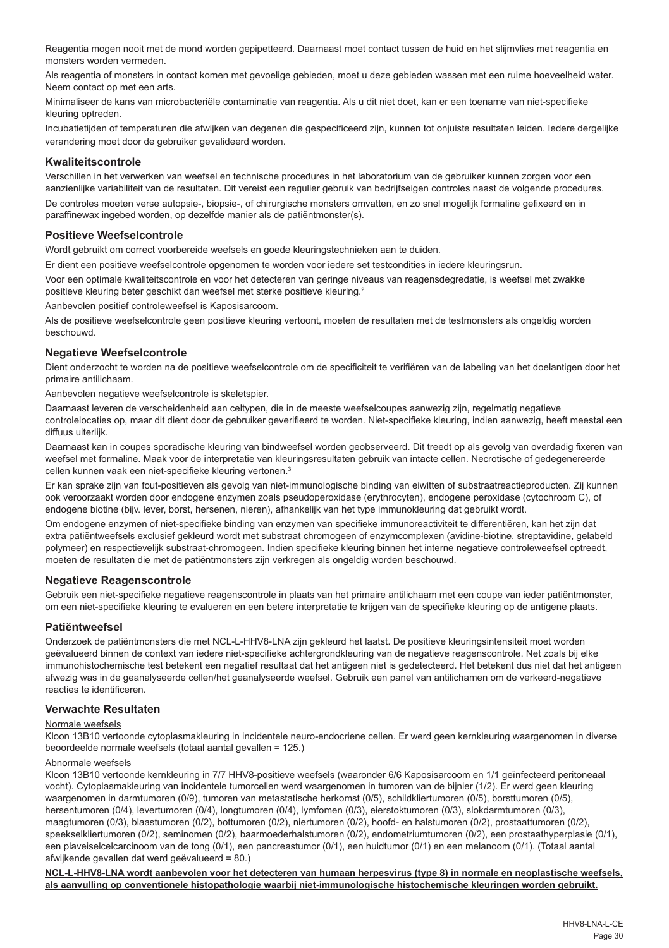Reagentia mogen nooit met de mond worden gepipetteerd. Daarnaast moet contact tussen de huid en het slijmvlies met reagentia en monsters worden vermeden.

Als reagentia of monsters in contact komen met gevoelige gebieden, moet u deze gebieden wassen met een ruime hoeveelheid water. Neem contact op met een arts.

Minimaliseer de kans van microbacteriële contaminatie van reagentia. Als u dit niet doet, kan er een toename van niet-specifieke kleuring optreden.

Incubatietijden of temperaturen die afwijken van degenen die gespecificeerd zijn, kunnen tot onjuiste resultaten leiden. Iedere dergelijke verandering moet door de gebruiker gevalideerd worden.

## **Kwaliteitscontrole**

Verschillen in het verwerken van weefsel en technische procedures in het laboratorium van de gebruiker kunnen zorgen voor een aanzienlijke variabiliteit van de resultaten. Dit vereist een regulier gebruik van bedrijfseigen controles naast de volgende procedures. De controles moeten verse autopsie-, biopsie-, of chirurgische monsters omvatten, en zo snel mogelijk formaline gefixeerd en in paraffinewax ingebed worden, op dezelfde manier als de patiëntmonster(s).

#### **Positieve Weefselcontrole**

Wordt gebruikt om correct voorbereide weefsels en goede kleuringstechnieken aan te duiden.

Er dient een positieve weefselcontrole opgenomen te worden voor iedere set testcondities in iedere kleuringsrun.

Voor een optimale kwaliteitscontrole en voor het detecteren van geringe niveaus van reagensdegredatie, is weefsel met zwakke positieve kleuring beter geschikt dan weefsel met sterke positieve kleuring.<sup>2</sup>

Aanbevolen positief controleweefsel is Kaposisarcoom.

Als de positieve weefselcontrole geen positieve kleuring vertoont, moeten de resultaten met de testmonsters als ongeldig worden beschouwd.

#### **Negatieve Weefselcontrole**

Dient onderzocht te worden na de positieve weefselcontrole om de specificiteit te verifiëren van de labeling van het doelantigen door het primaire antilichaam.

Aanbevolen negatieve weefselcontrole is skeletspier.

Daarnaast leveren de verscheidenheid aan celtypen, die in de meeste weefselcoupes aanwezig zijn, regelmatig negatieve controlelocaties op, maar dit dient door de gebruiker geverifieerd te worden. Niet-specifieke kleuring, indien aanwezig, heeft meestal een diffuus uiterlijk.

Daarnaast kan in coupes sporadische kleuring van bindweefsel worden geobserveerd. Dit treedt op als gevolg van overdadig fixeren van weefsel met formaline. Maak voor de interpretatie van kleuringsresultaten gebruik van intacte cellen. Necrotische of gedegenereerde cellen kunnen vaak een niet-specifieke kleuring vertonen.<sup>3</sup>

Er kan sprake zijn van fout-positieven als gevolg van niet-immunologische binding van eiwitten of substraatreactieproducten. Zij kunnen ook veroorzaakt worden door endogene enzymen zoals pseudoperoxidase (erythrocyten), endogene peroxidase (cytochroom C), of endogene biotine (bijv. lever, borst, hersenen, nieren), afhankelijk van het type immunokleuring dat gebruikt wordt.

Om endogene enzymen of niet-specifieke binding van enzymen van specifieke immunoreactiviteit te differentiëren, kan het zijn dat extra patiëntweefsels exclusief gekleurd wordt met substraat chromogeen of enzymcomplexen (avidine-biotine, streptavidine, gelabeld polymeer) en respectievelijk substraat-chromogeen. Indien specifieke kleuring binnen het interne negatieve controleweefsel optreedt, moeten de resultaten die met de patiëntmonsters zijn verkregen als ongeldig worden beschouwd.

## **Negatieve Reagenscontrole**

Gebruik een niet-specifieke negatieve reagenscontrole in plaats van het primaire antilichaam met een coupe van ieder patiëntmonster, om een niet-specifieke kleuring te evalueren en een betere interpretatie te krijgen van de specifieke kleuring op de antigene plaats.

## **Patiëntweefsel**

Onderzoek de patiëntmonsters die met NCL-L-HHV8-LNA zijn gekleurd het laatst. De positieve kleuringsintensiteit moet worden geëvalueerd binnen de context van iedere niet-specifieke achtergrondkleuring van de negatieve reagenscontrole. Net zoals bij elke immunohistochemische test betekent een negatief resultaat dat het antigeen niet is gedetecteerd. Het betekent dus niet dat het antigeen afwezig was in de geanalyseerde cellen/het geanalyseerde weefsel. Gebruik een panel van antilichamen om de verkeerd-negatieve reacties te identificeren.

## **Verwachte Resultaten**

#### Normale weefsels

Kloon 13B10 vertoonde cytoplasmakleuring in incidentele neuro-endocriene cellen. Er werd geen kernkleuring waargenomen in diverse beoordeelde normale weefsels (totaal aantal gevallen = 125.)

### Abnormale weefsels

Kloon 13B10 vertoonde kernkleuring in 7/7 HHV8-positieve weefsels (waaronder 6/6 Kaposisarcoom en 1/1 geïnfecteerd peritoneaal vocht). Cytoplasmakleuring van incidentele tumorcellen werd waargenomen in tumoren van de bijnier (1/2). Er werd geen kleuring waargenomen in darmtumoren (0/9), tumoren van metastatische herkomst (0/5), schildkliertumoren (0/5), borsttumoren (0/5), hersentumoren (0/4), levertumoren (0/4), longtumoren (0/4), lymfomen (0/3), eierstoktumoren (0/3), slokdarmtumoren (0/3), maagtumoren (0/3), blaastumoren (0/2), bottumoren (0/2), niertumoren (0/2), hoofd- en halstumoren (0/2), prostaattumoren (0/2), speekselkliertumoren (0/2), seminomen (0/2), baarmoederhalstumoren (0/2), endometriumtumoren (0/2), een prostaathyperplasie (0/1), een plaveiselcelcarcinoom van de tong (0/1), een pancreastumor (0/1), een huidtumor (0/1) en een melanoom (0/1). (Totaal aantal afwijkende gevallen dat werd geëvalueerd = 80.)

**NCL-L-HHV8-LNA wordt aanbevolen voor het detecteren van humaan herpesvirus (type 8) in normale en neoplastische weefsels, als aanvulling op conventionele histopathologie waarbij niet-immunologische histochemische kleuringen worden gebruikt.**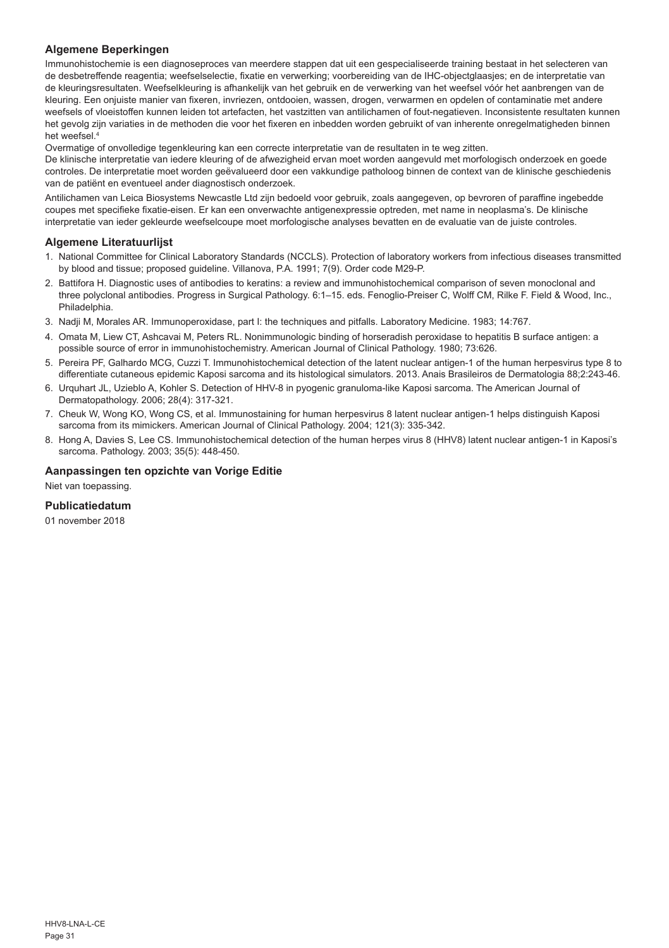## **Algemene Beperkingen**

Immunohistochemie is een diagnoseproces van meerdere stappen dat uit een gespecialiseerde training bestaat in het selecteren van de desbetreffende reagentia; weefselselectie, fixatie en verwerking; voorbereiding van de IHC-objectglaasjes; en de interpretatie van de kleuringsresultaten. Weefselkleuring is afhankelijk van het gebruik en de verwerking van het weefsel vóór het aanbrengen van de kleuring. Een onjuiste manier van fixeren, invriezen, ontdooien, wassen, drogen, verwarmen en opdelen of contaminatie met andere weefsels of vloeistoffen kunnen leiden tot artefacten, het vastzitten van antilichamen of fout-negatieven. Inconsistente resultaten kunnen het gevolg zijn variaties in de methoden die voor het fixeren en inbedden worden gebruikt of van inherente onregelmatigheden binnen het weefsel.4

Overmatige of onvolledige tegenkleuring kan een correcte interpretatie van de resultaten in te weg zitten.

De klinische interpretatie van iedere kleuring of de afwezigheid ervan moet worden aangevuld met morfologisch onderzoek en goede controles. De interpretatie moet worden geëvalueerd door een vakkundige patholoog binnen de context van de klinische geschiedenis van de patiënt en eventueel ander diagnostisch onderzoek.

Antilichamen van Leica Biosystems Newcastle Ltd zijn bedoeld voor gebruik, zoals aangegeven, op bevroren of paraffine ingebedde coupes met specifieke fixatie-eisen. Er kan een onverwachte antigenexpressie optreden, met name in neoplasma's. De klinische interpretatie van ieder gekleurde weefselcoupe moet morfologische analyses bevatten en de evaluatie van de juiste controles.

## **Algemene Literatuurlijst**

- 1. National Committee for Clinical Laboratory Standards (NCCLS). Protection of laboratory workers from infectious diseases transmitted by blood and tissue; proposed guideline. Villanova, P.A. 1991; 7(9). Order code M29-P.
- 2. Battifora H. Diagnostic uses of antibodies to keratins: a review and immunohistochemical comparison of seven monoclonal and three polyclonal antibodies. Progress in Surgical Pathology. 6:1–15. eds. Fenoglio-Preiser C, Wolff CM, Rilke F. Field & Wood, Inc., **Philadelphia**
- 3. Nadji M, Morales AR. Immunoperoxidase, part I: the techniques and pitfalls. Laboratory Medicine. 1983; 14:767.
- 4. Omata M, Liew CT, Ashcavai M, Peters RL. Nonimmunologic binding of horseradish peroxidase to hepatitis B surface antigen: a possible source of error in immunohistochemistry. American Journal of Clinical Pathology. 1980; 73:626.
- 5. Pereira PF, Galhardo MCG, Cuzzi T. Immunohistochemical detection of the latent nuclear antigen-1 of the human herpesvirus type 8 to differentiate cutaneous epidemic Kaposi sarcoma and its histological simulators. 2013. Anais Brasileiros de Dermatologia 88;2:243-46.
- 6. Urquhart JL, Uzieblo A, Kohler S. Detection of HHV-8 in pyogenic granuloma-like Kaposi sarcoma. The American Journal of Dermatopathology. 2006; 28(4): 317-321.
- 7. Cheuk W, Wong KO, Wong CS, et al. Immunostaining for human herpesvirus 8 latent nuclear antigen-1 helps distinguish Kaposi sarcoma from its mimickers. American Journal of Clinical Pathology. 2004; 121(3): 335-342.
- 8. Hong A, Davies S, Lee CS. Immunohistochemical detection of the human herpes virus 8 (HHV8) latent nuclear antigen-1 in Kaposi's sarcoma. Pathology. 2003; 35(5): 448-450.

## **Aanpassingen ten opzichte van Vorige Editie**

Niet van toepassing.

#### **Publicatiedatum**

01 november 2018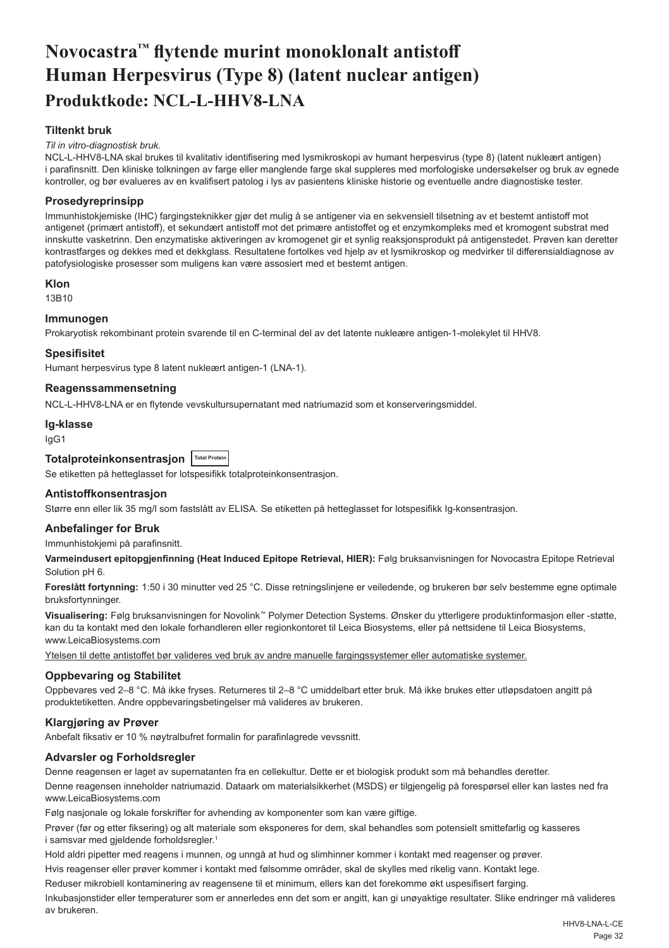## <span id="page-32-0"></span>**Novocastra™ flytende murint monoklonalt antistoff Human Herpesvirus (Type 8) (latent nuclear antigen) Produktkode: NCL-L-HHV8-LNA**

## **Tiltenkt bruk**

#### *Til in vitro-diagnostisk bruk.*

NCL-L-HHV8-LNA skal brukes til kvalitativ identifisering med lysmikroskopi av humant herpesvirus (type 8) (latent nukleært antigen) i parafinsnitt. Den kliniske tolkningen av farge eller manglende farge skal suppleres med morfologiske undersøkelser og bruk av egnede kontroller, og bør evalueres av en kvalifisert patolog i lys av pasientens kliniske historie og eventuelle andre diagnostiske tester.

## **Prosedyreprinsipp**

Immunhistokjemiske (IHC) fargingsteknikker gjør det mulig å se antigener via en sekvensiell tilsetning av et bestemt antistoff mot antigenet (primært antistoff), et sekundært antistoff mot det primære antistoffet og et enzymkompleks med et kromogent substrat med innskutte vasketrinn. Den enzymatiske aktiveringen av kromogenet gir et synlig reaksjonsprodukt på antigenstedet. Prøven kan deretter kontrastfarges og dekkes med et dekkglass. Resultatene fortolkes ved hjelp av et lysmikroskop og medvirker til differensialdiagnose av patofysiologiske prosesser som muligens kan være assosiert med et bestemt antigen.

#### **Klon**

13B10

#### **Immunogen**

Prokaryotisk rekombinant protein svarende til en C-terminal del av det latente nukleære antigen-1-molekylet til HHV8.

#### **Spesifisitet**

Humant herpesvirus type 8 latent nukleært antigen-1 (LNA-1).

#### **Reagenssammensetning**

NCL-L-HHV8-LNA er en flytende vevskultursupernatant med natriumazid som et konserveringsmiddel.

#### **Ig-klasse**

IgG1

## **Totalproteinkonsentrasjon Total Protein**

Se etiketten på hetteglasset for lotspesifikk totalproteinkonsentrasjon.

#### **Antistoffkonsentrasjon**

Større enn eller lik 35 mg/l som fastslått av ELISA. Se etiketten på hetteglasset for lotspesifikk Ig-konsentrasjon.

## **Anbefalinger for Bruk**

Immunhistokjemi på parafinsnitt.

**Varmeindusert epitopgjenfinning (Heat Induced Epitope Retrieval, HIER):** Følg bruksanvisningen for Novocastra Epitope Retrieval Solution pH 6.

**Foreslått fortynning:** 1:50 i 30 minutter ved 25 °C. Disse retningslinjene er veiledende, og brukeren bør selv bestemme egne optimale bruksfortynninger.

**Visualisering:** Følg bruksanvisningen for Novolink™ Polymer Detection Systems. Ønsker du ytterligere produktinformasjon eller -støtte, kan du ta kontakt med den lokale forhandleren eller regionkontoret til Leica Biosystems, eller på nettsidene til Leica Biosystems, www.LeicaBiosystems.com

Ytelsen til dette antistoffet bør valideres ved bruk av andre manuelle fargingssystemer eller automatiske systemer.

#### **Oppbevaring og Stabilitet**

Oppbevares ved 2–8 °C. Må ikke fryses. Returneres til 2–8 °C umiddelbart etter bruk. Må ikke brukes etter utløpsdatoen angitt på produktetiketten. Andre oppbevaringsbetingelser må valideres av brukeren.

## **Klargjøring av Prøver**

Anbefalt fiksativ er 10 % nøytralbufret formalin for parafinlagrede vevssnitt.

#### **Advarsler og Forholdsregler**

Denne reagensen er laget av supernatanten fra en cellekultur. Dette er et biologisk produkt som må behandles deretter.

Denne reagensen inneholder natriumazid. Dataark om materialsikkerhet (MSDS) er tilgjengelig på forespørsel eller kan lastes ned fra www.LeicaBiosystems.com

Følg nasjonale og lokale forskrifter for avhending av komponenter som kan være giftige.

Prøver (før og etter fiksering) og alt materiale som eksponeres for dem, skal behandles som potensielt smittefarlig og kasseres i samsvar med gjeldende forholdsregler.<sup>1</sup>

Hold aldri pipetter med reagens i munnen, og unngå at hud og slimhinner kommer i kontakt med reagenser og prøver.

Hvis reagenser eller prøver kommer i kontakt med følsomme områder, skal de skylles med rikelig vann. Kontakt lege.

Reduser mikrobiell kontaminering av reagensene til et minimum, ellers kan det forekomme økt uspesifisert farging.

Inkubasjonstider eller temperaturer som er annerledes enn det som er angitt, kan gi unøyaktige resultater. Slike endringer må valideres av brukeren.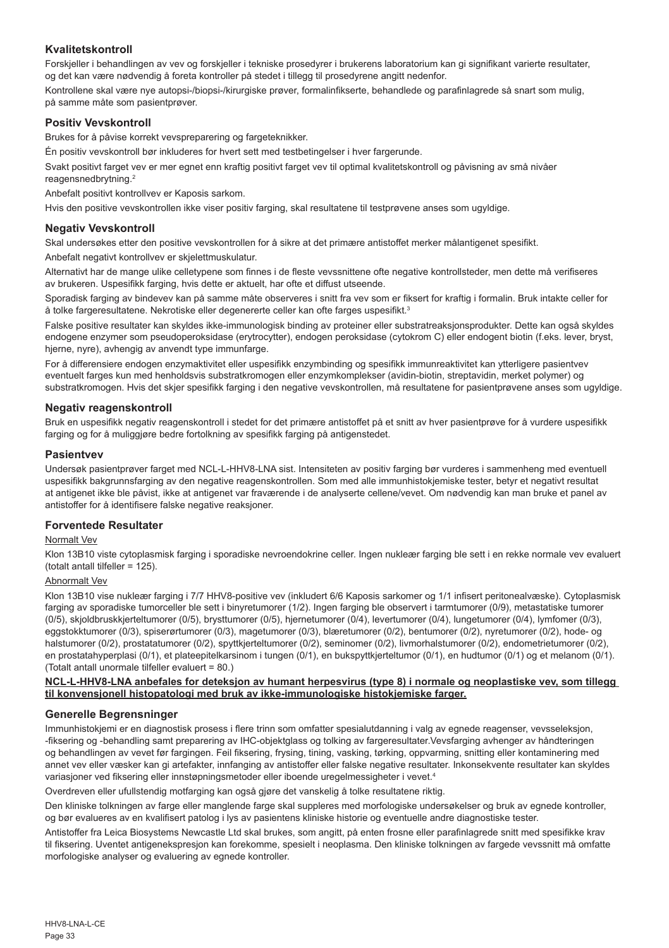## **Kvalitetskontroll**

Forskjeller i behandlingen av vev og forskjeller i tekniske prosedyrer i brukerens laboratorium kan gi signifikant varierte resultater, og det kan være nødvendig å foreta kontroller på stedet i tillegg til prosedyrene angitt nedenfor.

Kontrollene skal være nye autopsi-/biopsi-/kirurgiske prøver, formalinfikserte, behandlede og parafinlagrede så snart som mulig, på samme måte som pasientprøver.

### **Positiv Vevskontroll**

Brukes for å påvise korrekt vevspreparering og fargeteknikker.

Én positiv vevskontroll bør inkluderes for hvert sett med testbetingelser i hver fargerunde.

Svakt positivt farget vev er mer egnet enn kraftig positivt farget vev til optimal kvalitetskontroll og påvisning av små nivåer reagensnedbrytning.<sup>2</sup>

Anbefalt positivt kontrollvev er Kaposis sarkom.

Hvis den positive vevskontrollen ikke viser positiv farging, skal resultatene til testprøvene anses som ugyldige.

#### **Negativ Vevskontroll**

Skal undersøkes etter den positive vevskontrollen for å sikre at det primære antistoffet merker målantigenet spesifikt. Anbefalt negativt kontrollvev er skjelettmuskulatur.

Alternativt har de mange ulike celletypene som finnes i de fleste vevssnittene ofte negative kontrollsteder, men dette må verifiseres av brukeren. Uspesifikk farging, hvis dette er aktuelt, har ofte et diffust utseende.

Sporadisk farging av bindevev kan på samme måte observeres i snitt fra vev som er fiksert for kraftig i formalin. Bruk intakte celler for å tolke fargeresultatene. Nekrotiske eller degenererte celler kan ofte farges uspesifikt.<sup>3</sup>

Falske positive resultater kan skyldes ikke-immunologisk binding av proteiner eller substratreaksjonsprodukter. Dette kan også skyldes endogene enzymer som pseudoperoksidase (erytrocytter), endogen peroksidase (cytokrom C) eller endogent biotin (f.eks. lever, bryst, hjerne, nyre), avhengig av anvendt type immunfarge.

For å differensiere endogen enzymaktivitet eller uspesifikk enzymbinding og spesifikk immunreaktivitet kan ytterligere pasientvev eventuelt farges kun med henholdsvis substratkromogen eller enzymkomplekser (avidin-biotin, streptavidin, merket polymer) og substratkromogen. Hvis det skjer spesifikk farging i den negative vevskontrollen, må resultatene for pasientprøvene anses som ugyldige.

#### **Negativ reagenskontroll**

Bruk en uspesifikk negativ reagenskontroll i stedet for det primære antistoffet på et snitt av hver pasientprøve for å vurdere uspesifikk farging og for å muliggjøre bedre fortolkning av spesifikk farging på antigenstedet.

#### **Pasientvev**

Undersøk pasientprøver farget med NCL-L-HHV8-LNA sist. Intensiteten av positiv farging bør vurderes i sammenheng med eventuell uspesifikk bakgrunnsfarging av den negative reagenskontrollen. Som med alle immunhistokjemiske tester, betyr et negativt resultat at antigenet ikke ble påvist, ikke at antigenet var fraværende i de analyserte cellene/vevet. Om nødvendig kan man bruke et panel av antistoffer for å identifisere falske negative reaksjoner.

#### **Forventede Resultater**

#### Normalt Vev

Klon 13B10 viste cytoplasmisk farging i sporadiske nevroendokrine celler. Ingen nukleær farging ble sett i en rekke normale vev evaluert (totalt antall tilfeller = 125).

#### Abnormalt Vev

Klon 13B10 vise nukleær farging i 7/7 HHV8-positive vev (inkludert 6/6 Kaposis sarkomer og 1/1 infisert peritonealvæske). Cytoplasmisk farging av sporadiske tumorceller ble sett i binyretumorer (1/2). Ingen farging ble observert i tarmtumorer (0/9), metastatiske tumorer (0/5), skjoldbruskkjerteltumorer (0/5), brysttumorer (0/5), hjernetumorer (0/4), levertumorer (0/4), lungetumorer (0/4), lymfomer (0/3), eggstokktumorer (0/3), spiserørtumorer (0/3), magetumorer (0/3), blæretumorer (0/2), bentumorer (0/2), nyretumorer (0/2), hode- og halstumorer (0/2), prostatatumorer (0/2), spyttkjerteltumorer (0/2), seminomer (0/2), livmorhalstumorer (0/2), endometrietumorer (0/2), en prostatahyperplasi (0/1), et plateepitelkarsinom i tungen (0/1), en bukspyttkjerteltumor (0/1), en hudtumor (0/1) og et melanom (0/1). (Totalt antall unormale tilfeller evaluert = 80.)

#### **NCL-L-HHV8-LNA anbefales for deteksjon av humant herpesvirus (type 8) i normale og neoplastiske vev, som tillegg til konvensjonell histopatologi med bruk av ikke-immunologiske histokjemiske farger.**

#### **Generelle Begrensninger**

Immunhistokjemi er en diagnostisk prosess i flere trinn som omfatter spesialutdanning i valg av egnede reagenser, vevsseleksjon, -fiksering og -behandling samt preparering av IHC-objektglass og tolking av fargeresultater.Vevsfarging avhenger av håndteringen og behandlingen av vevet før fargingen. Feil fiksering, frysing, tining, vasking, tørking, oppvarming, snitting eller kontaminering med annet vev eller væsker kan gi artefakter, innfanging av antistoffer eller falske negative resultater. Inkonsekvente resultater kan skyldes variasjoner ved fiksering eller innstøpningsmetoder eller iboende uregelmessigheter i vevet.4

Overdreven eller ufullstendig motfarging kan også gjøre det vanskelig å tolke resultatene riktig.

Den kliniske tolkningen av farge eller manglende farge skal suppleres med morfologiske undersøkelser og bruk av egnede kontroller, og bør evalueres av en kvalifisert patolog i lys av pasientens kliniske historie og eventuelle andre diagnostiske tester.

Antistoffer fra Leica Biosystems Newcastle Ltd skal brukes, som angitt, på enten frosne eller parafinlagrede snitt med spesifikke krav til fiksering. Uventet antigenekspresjon kan forekomme, spesielt i neoplasma. Den kliniske tolkningen av fargede vevssnitt må omfatte morfologiske analyser og evaluering av egnede kontroller.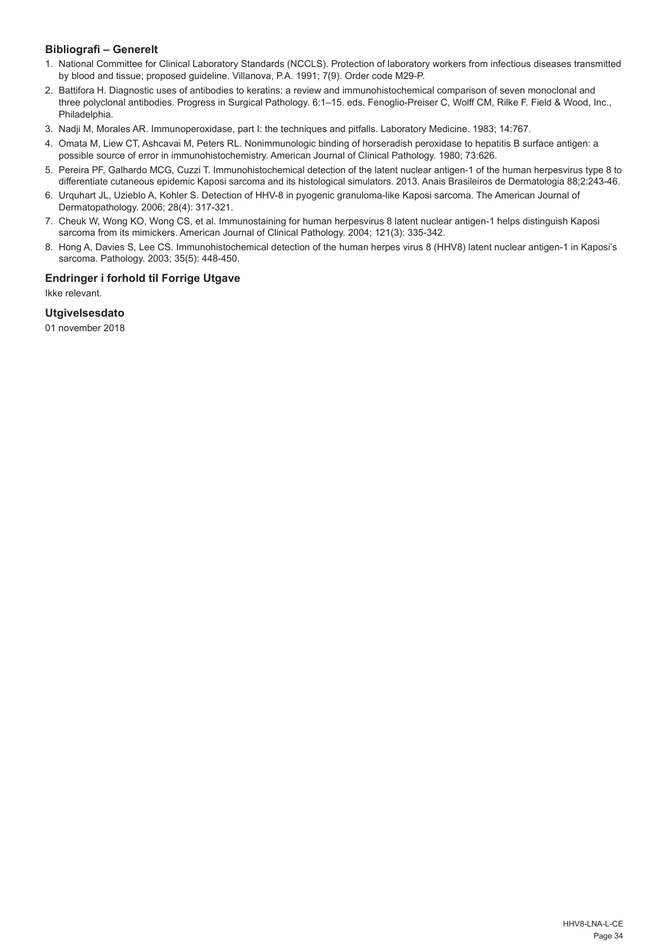## **Bibliografi – Generelt**

- 1. National Committee for Clinical Laboratory Standards (NCCLS). Protection of laboratory workers from infectious diseases transmitted by blood and tissue; proposed guideline. Villanova, P.A. 1991; 7(9). Order code M29-P.
- 2. Battifora H. Diagnostic uses of antibodies to keratins: a review and immunohistochemical comparison of seven monoclonal and three polyclonal antibodies. Progress in Surgical Pathology. 6:1–15. eds. Fenoglio-Preiser C, Wolff CM, Rilke F. Field & Wood, Inc., Philadelphia.
- 3. Nadji M, Morales AR. Immunoperoxidase, part I: the techniques and pitfalls. Laboratory Medicine. 1983; 14:767.
- 4. Omata M, Liew CT, Ashcavai M, Peters RL. Nonimmunologic binding of horseradish peroxidase to hepatitis B surface antigen: a possible source of error in immunohistochemistry. American Journal of Clinical Pathology. 1980; 73:626.
- 5. Pereira PF, Galhardo MCG, Cuzzi T. Immunohistochemical detection of the latent nuclear antigen-1 of the human herpesvirus type 8 to differentiate cutaneous epidemic Kaposi sarcoma and its histological simulators. 2013. Anais Brasileiros de Dermatologia 88;2:243-46.
- 6. Urquhart JL, Uzieblo A, Kohler S. Detection of HHV-8 in pyogenic granuloma-like Kaposi sarcoma. The American Journal of Dermatopathology. 2006; 28(4): 317-321.
- 7. Cheuk W, Wong KO, Wong CS, et al. Immunostaining for human herpesvirus 8 latent nuclear antigen-1 helps distinguish Kaposi sarcoma from its mimickers. American Journal of Clinical Pathology. 2004; 121(3): 335-342.
- 8. Hong A, Davies S, Lee CS. Immunohistochemical detection of the human herpes virus 8 (HHV8) latent nuclear antigen-1 in Kaposi's sarcoma. Pathology. 2003; 35(5): 448-450.

## **Endringer i forhold til Forrige Utgave**

Ikke relevant.

## **Utgivelsesdato**

01 november 2018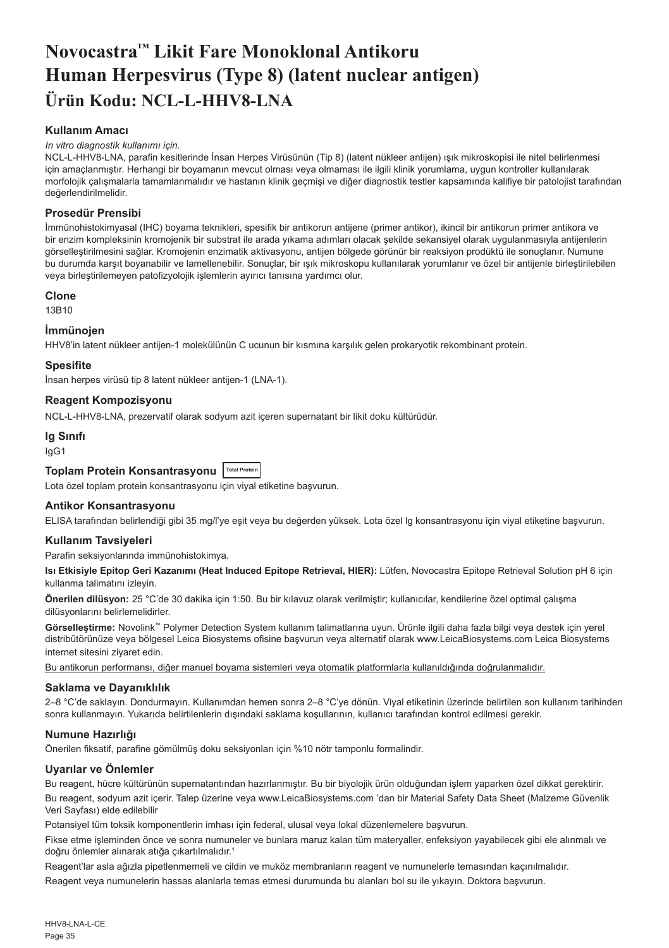## <span id="page-35-0"></span>**Novocastra™ Likit Fare Monoklonal Antikoru Human Herpesvirus (Type 8) (latent nuclear antigen) Ürün Kodu: NCL-L-HHV8-LNA**

## **Kullanım Amacı**

#### *In vitro diagnostik kullanımı için.*

NCL-L-HHV8-LNA, parafin kesitlerinde İnsan Herpes Virüsünün (Tip 8) (latent nükleer antijen) ışık mikroskopisi ile nitel belirlenmesi için amaçlanmıştır. Herhangi bir boyamanın mevcut olması veya olmaması ile ilgili klinik yorumlama, uygun kontroller kullanılarak morfolojik çalışmalarla tamamlanmalıdır ve hastanın klinik geçmişi ve diğer diagnostik testler kapsamında kalifiye bir patolojist tarafından değerlendirilmelidir.

## **Prosedür Prensibi**

İmmünohistokimyasal (IHC) boyama teknikleri, spesifik bir antikorun antijene (primer antikor), ikincil bir antikorun primer antikora ve bir enzim kompleksinin kromojenik bir substrat ile arada yıkama adımları olacak şekilde sekansiyel olarak uygulanmasıyla antijenlerin görselleştirilmesini sağlar. Kromojenin enzimatik aktivasyonu, antijen bölgede görünür bir reaksiyon prodüktü ile sonuçlanır. Numune bu durumda karşıt boyanabilir ve lamellenebilir. Sonuçlar, bir ışık mikroskopu kullanılarak yorumlanır ve özel bir antijenle birleştirilebilen veya birleştirilemeyen patofizyolojik işlemlerin ayırıcı tanısına yardımcı olur.

#### **Clone**

13B10

#### **İmmünojen**

HHV8'in latent nükleer antijen-1 molekülünün C ucunun bir kısmına karşılık gelen prokaryotik rekombinant protein.

#### **Spesifite**

İnsan herpes virüsü tip 8 latent nükleer antijen-1 (LNA-1).

## **Reagent Kompozisyonu**

NCL-L-HHV8-LNA, prezervatif olarak sodyum azit içeren supernatant bir likit doku kültürüdür.

## **Ig Sınıfı**

IgG1

#### **Toplam Protein Konsantrasyonu Total Protein**

Lota özel toplam protein konsantrasyonu için viyal etiketine başvurun.

## **Antikor Konsantrasyonu**

ELISA tarafından belirlendiği gibi 35 mg/l'ye eşit veya bu değerden yüksek. Lota özel lg konsantrasyonu için viyal etiketine başvurun.

#### **Kullanım Tavsiyeleri**

Parafin seksiyonlarında immünohistokimya.

**Isı Etkisiyle Epitop Geri Kazanımı (Heat Induced Epitope Retrieval, HIER):** Lütfen, Novocastra Epitope Retrieval Solution pH 6 için kullanma talimatını izleyin.

**Önerilen dilüsyon:** 25 °C'de 30 dakika için 1:50. Bu bir kılavuz olarak verilmiştir; kullanıcılar, kendilerine özel optimal çalışma dilüsyonlarını belirlemelidirler.

**Görselleştirme:** Novolink™ Polymer Detection System kullanım talimatlarına uyun. Ürünle ilgili daha fazla bilgi veya destek için yerel distribütörünüze veya bölgesel Leica Biosystems ofisine başvurun veya alternatif olarak www.LeicaBiosystems.com Leica Biosystems internet sitesini ziyaret edin.

Bu antikorun performansı, diğer manuel boyama sistemleri veya otomatik platformlarla kullanıldığında doğrulanmalıdır.

#### **Saklama ve Dayanıklılık**

2–8 °C'de saklayın. Dondurmayın. Kullanımdan hemen sonra 2–8 °C'ye dönün. Viyal etiketinin üzerinde belirtilen son kullanım tarihinden sonra kullanmayın. Yukarıda belirtilenlerin dışındaki saklama koşullarının, kullanıcı tarafından kontrol edilmesi gerekir.

#### **Numune Hazırlığı**

Önerilen fiksatif, parafine gömülmüş doku seksiyonları için %10 nötr tamponlu formalindir.

## **Uyarılar ve Önlemler**

Bu reagent, hücre kültürünün supernatantından hazırlanmıştır. Bu bir biyolojik ürün olduğundan işlem yaparken özel dikkat gerektirir.

Bu reagent, sodyum azit içerir. Talep üzerine veya www.LeicaBiosystems.com 'dan bir Material Safety Data Sheet (Malzeme Güvenlik Veri Sayfası) elde edilebilir

Potansiyel tüm toksik komponentlerin imhası için federal, ulusal veya lokal düzenlemelere başvurun.

Fikse etme işleminden önce ve sonra numuneler ve bunlara maruz kalan tüm materyaller, enfeksiyon yayabilecek gibi ele alınmalı ve doğru önlemler alınarak atığa çıkartılmalıdır.<sup>1</sup>

Reagent'lar asla ağızla pipetlenmemeli ve cildin ve muköz membranların reagent ve numunelerle temasından kaçınılmalıdır.

Reagent veya numunelerin hassas alanlarla temas etmesi durumunda bu alanları bol su ile yıkayın. Doktora başvurun.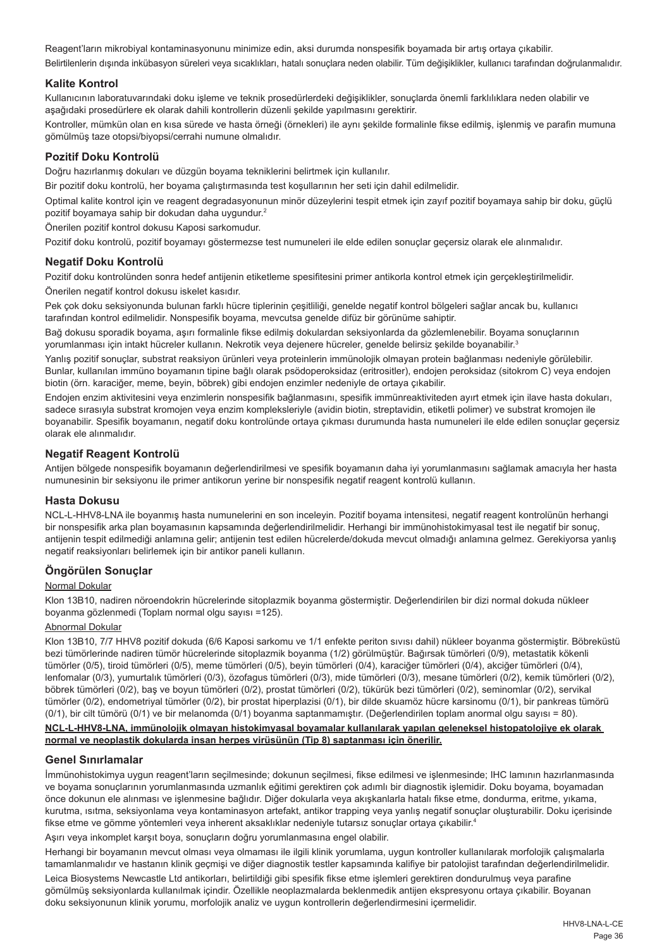Reagent'ların mikrobiyal kontaminasyonunu minimize edin, aksi durumda nonspesifik boyamada bir artış ortaya çıkabilir.

Belirtilenlerin dışında inkübasyon süreleri veya sıcaklıkları, hatalı sonuçlara neden olabilir. Tüm değişiklikler, kullanıcı tarafından doğrulanmalıdır.

## **Kalite Kontrol**

Kullanıcının laboratuvarındaki doku işleme ve teknik prosedürlerdeki değişiklikler, sonuçlarda önemli farklılıklara neden olabilir ve aşağıdaki prosedürlere ek olarak dahili kontrollerin düzenli şekilde yapılmasını gerektirir.

Kontroller, mümkün olan en kısa sürede ve hasta örneği (örnekleri) ile aynı şekilde formalinle fikse edilmiş, işlenmiş ve parafin mumuna gömülmüş taze otopsi/biyopsi/cerrahi numune olmalıdır.

#### **Pozitif Doku Kontrolü**

Doğru hazırlanmış dokuları ve düzgün boyama tekniklerini belirtmek için kullanılır.

Bir pozitif doku kontrolü, her boyama çalıştırmasında test koşullarının her seti için dahil edilmelidir.

Optimal kalite kontrol için ve reagent degradasyonunun minör düzeylerini tespit etmek için zayıf pozitif boyamaya sahip bir doku, güçlü pozitif boyamaya sahip bir dokudan daha uygundur.<sup>2</sup>

Önerilen pozitif kontrol dokusu Kaposi sarkomudur.

Pozitif doku kontrolü, pozitif boyamayı göstermezse test numuneleri ile elde edilen sonuçlar geçersiz olarak ele alınmalıdır.

### **Negatif Doku Kontrolü**

Pozitif doku kontrolünden sonra hedef antijenin etiketleme spesifitesini primer antikorla kontrol etmek için gerçekleştirilmelidir. Önerilen negatif kontrol dokusu iskelet kasıdır.

Pek çok doku seksiyonunda bulunan farklı hücre tiplerinin çeşitliliği, genelde negatif kontrol bölgeleri sağlar ancak bu, kullanıcı tarafından kontrol edilmelidir. Nonspesifik boyama, mevcutsa genelde difüz bir görünüme sahiptir.

Bağ dokusu sporadik boyama, aşırı formalinle fikse edilmiş dokulardan seksiyonlarda da gözlemlenebilir. Boyama sonuçlarının yorumlanması için intakt hücreler kullanın. Nekrotik veya dejenere hücreler, genelde belirsiz şekilde boyanabilir.<sup>3</sup>

Yanlış pozitif sonuçlar, substrat reaksiyon ürünleri veya proteinlerin immünolojik olmayan protein bağlanması nedeniyle görülebilir. Bunlar, kullanılan immüno boyamanın tipine bağlı olarak psödoperoksidaz (eritrositler), endojen peroksidaz (sitokrom C) veya endojen biotin (örn. karaciğer, meme, beyin, böbrek) gibi endojen enzimler nedeniyle de ortaya çıkabilir.

Endojen enzim aktivitesini veya enzimlerin nonspesifik bağlanmasını, spesifik immünreaktiviteden ayırt etmek için ilave hasta dokuları, sadece sırasıyla substrat kromojen veya enzim kompleksleriyle (avidin biotin, streptavidin, etiketli polimer) ve substrat kromojen ile boyanabilir. Spesifik boyamanın, negatif doku kontrolünde ortaya çıkması durumunda hasta numuneleri ile elde edilen sonuçlar geçersiz olarak ele alınmalıdır.

## **Negatif Reagent Kontrolü**

Antijen bölgede nonspesifik boyamanın değerlendirilmesi ve spesifik boyamanın daha iyi yorumlanmasını sağlamak amacıyla her hasta numunesinin bir seksiyonu ile primer antikorun yerine bir nonspesifik negatif reagent kontrolü kullanın.

#### **Hasta Dokusu**

NCL-L-HHV8-LNA ile boyanmış hasta numunelerini en son inceleyin. Pozitif boyama intensitesi, negatif reagent kontrolünün herhangi bir nonspesifik arka plan boyamasının kapsamında değerlendirilmelidir. Herhangi bir immünohistokimyasal test ile negatif bir sonuç, antijenin tespit edilmediği anlamına gelir; antijenin test edilen hücrelerde/dokuda mevcut olmadığı anlamına gelmez. Gerekiyorsa yanlış negatif reaksiyonları belirlemek için bir antikor paneli kullanın.

#### **Öngörülen Sonuçlar**

## Normal Dokular

Klon 13B10, nadiren nöroendokrin hücrelerinde sitoplazmik boyanma göstermiştir. Değerlendirilen bir dizi normal dokuda nükleer boyanma gözlenmedi (Toplam normal olgu sayısı =125).

#### Abnormal Dokular

Klon 13B10, 7/7 HHV8 pozitif dokuda (6/6 Kaposi sarkomu ve 1/1 enfekte periton sıvısı dahil) nükleer boyanma göstermiştir. Böbreküstü bezi tümörlerinde nadiren tümör hücrelerinde sitoplazmik boyanma (1/2) görülmüştür. Bağırsak tümörleri (0/9), metastatik kökenli tümörler (0/5), tiroid tümörleri (0/5), meme tümörleri (0/5), beyin tümörleri (0/4), karaciğer tümörleri (0/4), akciğer tümörleri (0/4), lenfomalar (0/3), yumurtalık tümörleri (0/3), özofagus tümörleri (0/3), mide tümörleri (0/3), mesane tümörleri (0/2), kemik tümörleri (0/2), böbrek tümörleri (0/2), baş ve boyun tümörleri (0/2), prostat tümörleri (0/2), tükürük bezi tümörleri (0/2), seminomlar (0/2), servikal tümörler (0/2), endometriyal tümörler (0/2), bir prostat hiperplazisi (0/1), bir dilde skuamöz hücre karsinomu (0/1), bir pankreas tümörü (0/1), bir cilt tümörü (0/1) ve bir melanomda (0/1) boyanma saptanmamıştır. (Değerlendirilen toplam anormal olgu sayısı = 80).

#### **NCL-L-HHV8-LNA, immünolojik olmayan histokimyasal boyamalar kullanılarak yapılan geleneksel histopatolojiye ek olarak normal ve neoplastik dokularda insan herpes virüsünün (Tip 8) saptanması için önerilir.**

#### **Genel Sınırlamalar**

İmmünohistokimya uygun reagent'ların seçilmesinde; dokunun seçilmesi, fikse edilmesi ve işlenmesinde; IHC lamının hazırlanmasında ve boyama sonuçlarının yorumlanmasında uzmanlık eğitimi gerektiren çok adımlı bir diagnostik işlemidir. Doku boyama, boyamadan önce dokunun ele alınması ve işlenmesine bağlıdır. Diğer dokularla veya akışkanlarla hatalı fikse etme, dondurma, eritme, yıkama, kurutma, ısıtma, seksiyonlama veya kontaminasyon artefakt, antikor trapping veya yanlış negatif sonuçlar oluşturabilir. Doku içerisinde fikse etme ve gömme yöntemleri veya inherent aksaklıklar nedeniyle tutarsız sonuçlar ortaya çıkabilir. 4

Aşırı veya inkomplet karşıt boya, sonuçların doğru yorumlanmasına engel olabilir.

Herhangi bir boyamanın mevcut olması veya olmaması ile ilgili klinik yorumlama, uygun kontroller kullanılarak morfolojik çalışmalarla tamamlanmalıdır ve hastanın klinik geçmişi ve diğer diagnostik testler kapsamında kalifiye bir patolojist tarafından değerlendirilmelidir.

Leica Biosystems Newcastle Ltd antikorları, belirtildiği gibi spesifik fikse etme işlemleri gerektiren dondurulmuş veya parafine gömülmüş seksiyonlarda kullanılmak içindir. Özellikle neoplazmalarda beklenmedik antijen ekspresyonu ortaya çıkabilir. Boyanan doku seksiyonunun klinik yorumu, morfolojik analiz ve uygun kontrollerin değerlendirmesini içermelidir.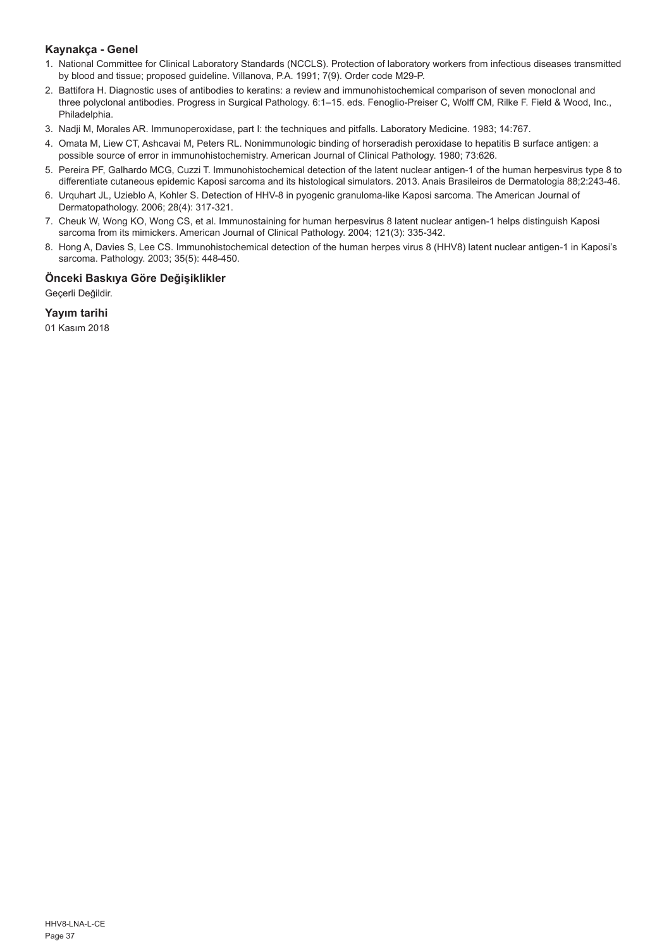## **Kaynakça - Genel**

- 1. National Committee for Clinical Laboratory Standards (NCCLS). Protection of laboratory workers from infectious diseases transmitted by blood and tissue; proposed guideline. Villanova, P.A. 1991; 7(9). Order code M29-P.
- 2. Battifora H. Diagnostic uses of antibodies to keratins: a review and immunohistochemical comparison of seven monoclonal and three polyclonal antibodies. Progress in Surgical Pathology. 6:1–15. eds. Fenoglio-Preiser C, Wolff CM, Rilke F. Field & Wood, Inc., Philadelphia.
- 3. Nadji M, Morales AR. Immunoperoxidase, part I: the techniques and pitfalls. Laboratory Medicine. 1983; 14:767.
- 4. Omata M, Liew CT, Ashcavai M, Peters RL. Nonimmunologic binding of horseradish peroxidase to hepatitis B surface antigen: a possible source of error in immunohistochemistry. American Journal of Clinical Pathology. 1980; 73:626.
- 5. Pereira PF, Galhardo MCG, Cuzzi T. Immunohistochemical detection of the latent nuclear antigen-1 of the human herpesvirus type 8 to differentiate cutaneous epidemic Kaposi sarcoma and its histological simulators. 2013. Anais Brasileiros de Dermatologia 88;2:243-46.
- 6. Urquhart JL, Uzieblo A, Kohler S. Detection of HHV-8 in pyogenic granuloma-like Kaposi sarcoma. The American Journal of Dermatopathology. 2006; 28(4): 317-321.
- 7. Cheuk W, Wong KO, Wong CS, et al. Immunostaining for human herpesvirus 8 latent nuclear antigen-1 helps distinguish Kaposi sarcoma from its mimickers. American Journal of Clinical Pathology. 2004; 121(3): 335-342.
- 8. Hong A, Davies S, Lee CS. Immunohistochemical detection of the human herpes virus 8 (HHV8) latent nuclear antigen-1 in Kaposi's sarcoma. Pathology. 2003; 35(5): 448-450.

## **Önceki Baskıya Göre Değişiklikler**

Geçerli Değildir.

**Yayım tarihi**

01 Kasım 2018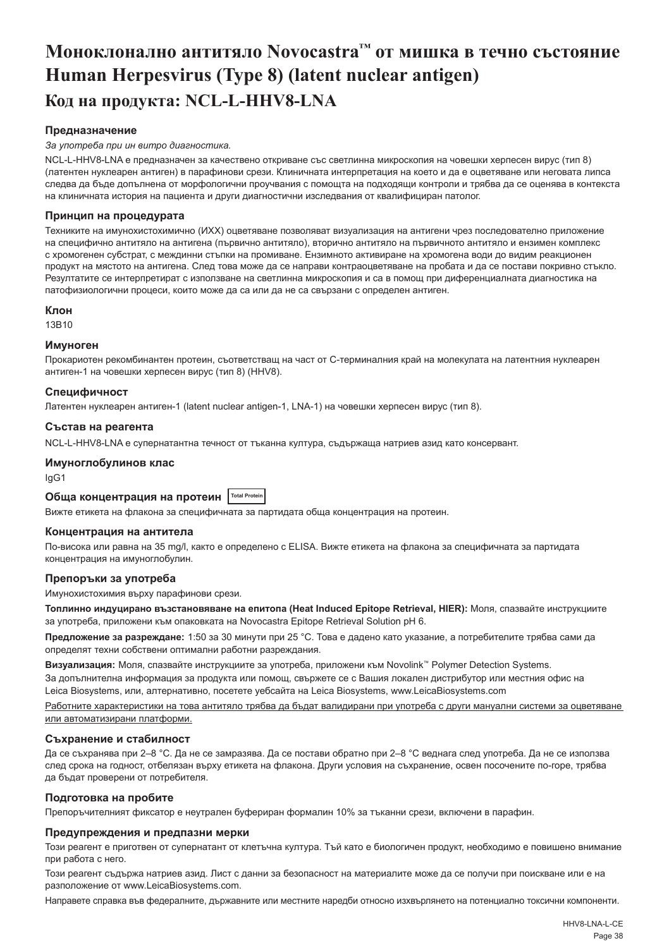## <span id="page-38-0"></span>**Моноклонално антитяло Novocastra™ от мишка в течно състояние Human Herpesvirus (Type 8) (latent nuclear antigen) Код на продукта: NCL-L-HHV8-LNA**

## **Предназначение**

#### *За употреба при ин витро диагностика.*

NCL-L-HHV8-LNA е предназначен за качествено откриване със светлинна микроскопия на човешки херпесен вирус (тип 8) (латентен нуклеарен антиген) в парафинови срези. Клиничната интерпретация на което и да е оцветяване или неговата липса следва да бъде допълнена от морфологични проучвания с помощта на подходящи контроли и трябва да се оценява в контекста на клиничната история на пациента и други диагностични изследвания от квалифициран патолог.

#### **Принцип на процедурата**

Техниките на имунохистохимично (ИХХ) оцветяване позволяват визуализация на антигени чрез последователно приложение на специфично антитяло на антигена (първично антитяло), вторично антитяло на първичното антитяло и ензимен комплекс с хромогенен субстрат, с междинни стъпки на промиване. Ензимното активиране на хромогена води до видим реакционен продукт на мястото на антигена. След това може да се направи контраоцветяване на пробата и да се постави покривно стъкло. Резултатите се интерпретират с използване на светлинна микроскопия и са в помощ при диференциалната диагностика на патофизиологични процеси, които може да са или да не са свързани с определен антиген.

#### **Клон**

13B10

#### **Имуноген**

Прокариотен рекомбинантен протеин, съответстващ на част от C-терминалния край на молекулата на латентния нуклеарен антиген-1 на човешки херпесен вирус (тип 8) (HHV8).

## **Специфичност**

Латентен нуклеарен антиген-1 (latent nuclear antigen-1, LNA-1) на човешки херпесен вирус (тип 8).

#### **Състав на реагента**

NCL-L-HHV8-LNA е супернатантна течност от тъканна култура, съдържаща натриев азид като консервант.

#### **Имуноглобулинов клас**

IgG1

## **Обща концентрация на протеин Total Protein**

Вижте етикета на флакона за специфичната за партидата обща концентрация на протеин.

#### **Концентрация на антитела**

По-висока или равна на 35 mg/l, както е определено с ELISA. Вижте етикета на флакона за специфичната за партидата концентрация на имуноглобулин.

#### **Препоръки за употреба**

Имунохистохимия върху парафинови срези.

**Топлинно индуцирано възстановяване на епитопа (Heat Induced Epitope Retrieval, HIER):** Моля, спазвайте инструкциите за употреба, приложени към опаковката на Novocastra Epitope Retrieval Solution pH 6.

**Предложение за разреждане:** 1:50 за 30 минути при 25 °C. Това е дадено като указание, а потребителите трябва сами да определят техни собствени оптимални работни разреждания.

**Визуализация:** Моля, спазвайте инструкциите за употреба, приложени към Novolink™ Polymer Detection Systems. За допълнителна информация за продукта или помощ, свържете се с Вашия локален дистрибутор или местния офис на Leica Biosystems, или, алтернативно, посетете уебсайта на Leica Biosystems, www.LeicaBiosystems.com

Работните характеристики на това антитяло трябва да бъдат валидирани при употреба с други мануални системи за оцветяване или автоматизирани платформи.

#### **Съхранение и стабилност**

Да се съхранява при 2–8 °C. Да не се замразява. Да се постави обратно при 2–8 °C веднага след употреба. Да не се използва след срока на годност, отбелязан върху етикета на флакона. Други условия на съхранение, освен посочените по-горе, трябва да бъдат проверени от потребителя.

## **Подготовка на пробите**

Препоръчителният фиксатор е неутрален буфериран формалин 10% за тъканни срези, включени в парафин.

#### **Предупреждения и предпазни мерки**

Този реагент е приготвен от супернатант от клетъчна култура. Тъй като е биологичен продукт, необходимо е повишено внимание при работа с него.

Този реагент съдържа натриев азид. Лист с данни за безопасност на материалите може да се получи при поискване или е на разположение от www.LeicaBiosystems.com.

Направете справка във федералните, държавните или местните наредби относно изхвърлянето на потенциално токсични компоненти.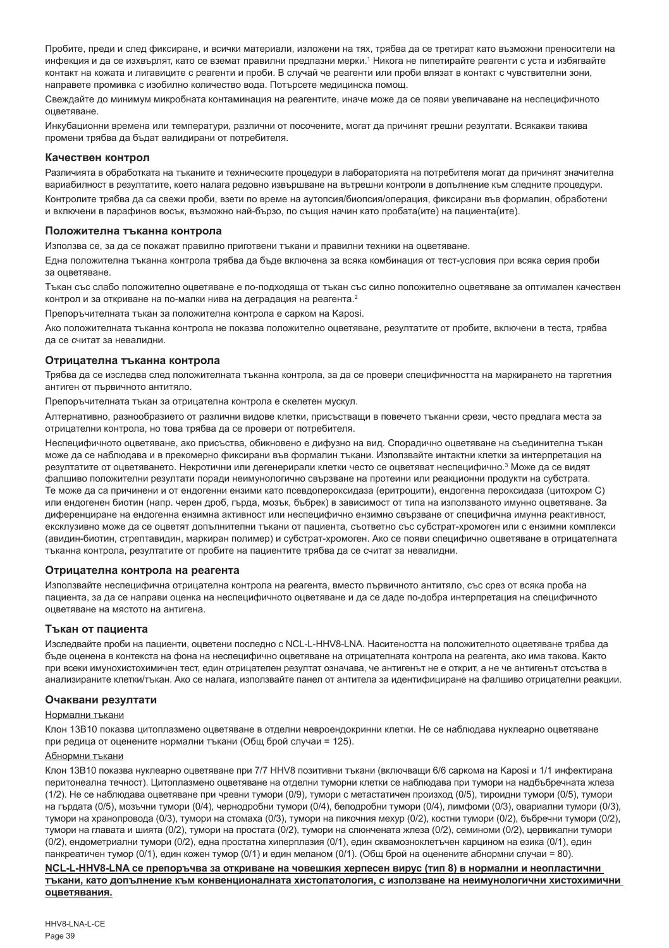Пробите, преди и след фиксиране, и всички материали, изложени на тях, трябва да се третират като възможни преносители на инфекция и да се изхвърлят, като се вземат правилни предпазни мерки.' Никога не пипетирайте реагенти с уста и избягвайте контакт на кожата и лигавиците с реагенти и проби. В случай че реагенти или проби влязат в контакт с чувствителни зони, направете промивка с изобилно количество вода. Потърсете медицинска помощ.

Свеждайте до минимум микробната контаминация на реагентите, иначе може да се появи увеличаване на неспецифичното оцветяване.

Инкубационни времена или температури, различни от посочените, могат да причинят грешни резултати. Всякакви такива промени трябва да бъдат валидирани от потребителя.

#### **Качествен контрол**

Различията в обработката на тъканите и техническите процедури в лабораторията на потребителя могат да причинят значителна вариабилност в резултатите, което налага редовно извършване на вътрешни контроли в допълнение към следните процедури.

Контролите трябва да са свежи проби, взети по време на аутопсия/биопсия/операция, фиксирани във формалин, обработени и включени в парафинов восък, възможно най-бързо, по същия начин като пробата(ите) на пациента(ите).

#### **Положителна тъканна контрола**

Използва се, за да се покажат правилно приготвени тъкани и правилни техники на оцветяване.

Една положителна тъканна контрола трябва да бъде включена за всяка комбинация от тест-условия при всяка серия проби за оцветяване.

Тъкан със слабо положително оцветяване е по-подходяща от тъкан със силно положително оцветяване за оптимален качествен контрол и за откриване на по-малки нива на деградация на реагента.<sup>2</sup>

Препоръчителната тъкан за положителна контрола е сарком на Kaposi.

Ако положителната тъканна контрола не показва положително оцветяване, резултатите от пробите, включени в теста, трябва да се считат за невалидни.

#### **Отрицателна тъканна контрола**

Трябва да се изследва след положителната тъканна контрола, за да се провери специфичността на маркирането на таргетния антиген от първичното антитяло.

Препоръчителната тъкан за отрицателна контрола е скелетен мускул.

Алтернативно, разнообразието от различни видове клетки, присъстващи в повечето тъканни срези, често предлага места за отрицателни контрола, но това трябва да се провери от потребителя.

Неспецифичното оцветяване, ако присъства, обикновено е дифузно на вид. Спорадично оцветяване на съединителна тъкан може да се наблюдава и в прекомерно фиксирани във формалин тъкани. Използвайте интактни клетки за интерпретация на резултатите от оцветяването. Некротични или дегенерирали клетки често се оцветяват неспецифично.<sup>з</sup> Може да се видят фалшиво положителни резултати поради неимунологично свързване на протеини или реакционни продукти на субстрата. Те може да са причинени и от ендогенни ензими като псевдопероксидаза (еритроцити), ендогенна пероксидаза (цитохром C) или ендогенен биотин (напр. черен дроб, гърда, мозък, бъбрек) в зависимост от типа на използваното имунно оцветяване. За диференциране на ендогенна ензимна активност или неспецифично ензимно свързване от специфична имунна реактивност, ексклузивно може да се оцветят допълнителни тъкани от пациента, съответно със субстрат-хромоген или с ензимни комплекси (авидин-биотин, стрептавидин, маркиран полимер) и субстрат-хромоген. Ако се появи специфично оцветяване в отрицателната тъканна контрола, резултатите от пробите на пациентите трябва да се считат за невалидни.

#### **Отрицателна контрола на реагента**

Използвайте неспецифична отрицателна контрола на реагента, вместо първичното антитяло, със срез от всяка проба на пациента, за да се направи оценка на неспецифичното оцветяване и да се даде по-добра интерпретация на специфичното оцветяване на мястото на антигена.

#### **Тъкан от пациента**

Изследвайте проби на пациенти, оцветени последно с NCL-L-HHV8-LNA. Наситеността на положителното оцветяване трябва да бъде оценена в контекста на фона на неспецифично оцветяване на отрицателната контрола на реагента, ако има такова. Както при всеки имунохистохимичен тест, един отрицателен резултат означава, че антигенът не е открит, а не че антигенът отсъства в анализираните клетки/тъкан. Ако се налага, използвайте панел от антитела за идентифициране на фалшиво отрицателни реакции.

#### **Очаквани резултати**

#### Нормални тъкани

Клон 13B10 показва цитоплазмено оцветяване в отделни невроендокринни клетки. Не се наблюдава нуклеарно оцветяване при редица от оценените нормални тъкани (Общ брой случаи = 125).

#### Абнормни тъкани

Клон 13B10 показва нуклеарно оцветяване при 7/7 HHV8 позитивни тъкани (включващи 6/6 саркома на Kaposi и 1/1 инфектирана перитонеална течност). Цитоплазмено оцветяване на отделни туморни клетки се наблюдава при тумори на надбъбречната жлеза (1/2). Не се наблюдава оцветяване при чревни тумори (0/9), тумори с метастатичен произход (0/5), тироидни тумори (0/5), тумори на гърдата (0/5), мозъчни тумори (0/4), чернодробни тумори (0/4), белодробни тумори (0/4), лимфоми (0/3), овариални тумори (0/3), тумори на хранопровода (0/3), тумори на стомаха (0/3), тумори на пикочния мехур (0/2), костни тумори (0/2), бъбречни тумори (0/2), тумори на главата и шията (0/2), тумори на простата (0/2), тумори на слюнчената жлеза (0/2), семиноми (0/2), цервикални тумори (0/2), ендометриални тумори (0/2), една простатна хиперплазия (0/1), един сквамозноклетъчен карцином на езика (0/1), един панкреатичен тумор (0/1), един кожен тумор (0/1) и един меланом (0/1). (Общ брой на оценените абнормни случаи = 80).

#### **NCL-L-HHV8-LNA се препоръчва за откриване на човешкия херпесен вирус (тип 8) в нормални и неопластични тъкани, като допълнение към конвенционалната хистопатология, с използване на неимунологични хистохимични оцветявания.**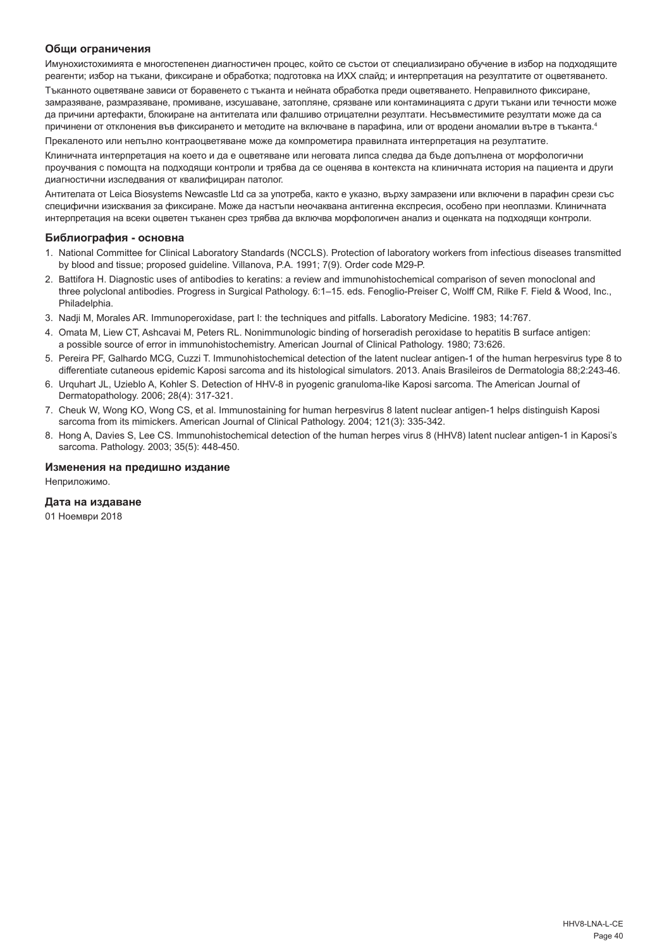#### **Общи ограничения**

Имунохистохимията е многостепенен диагностичен процес, който се състои от специализирано обучение в избор на подходящите реагенти; избор на тъкани, фиксиране и обработка; подготовка на ИХХ слайд; и интерпретация на резултатите от оцветяването.

Тъканното оцветяване зависи от боравенето с тъканта и нейната обработка преди оцветяването. Неправилното фиксиране, замразяване, размразяване, промиване, изсушаване, затопляне, срязване или контаминацията с други тъкани или течности може да причини артефакти, блокиране на антителата или фалшиво отрицателни резултати. Несъвместимите резултати може да са причинени от отклонения във фиксирането и методите на включване в парафина, или от вродени аномалии вътре в тъканта.4

Прекаленото или непълно контраоцветяване може да компрометира правилната интерпретация на резултатите.

Клиничната интерпретация на което и да е оцветяване или неговата липса следва да бъде допълнена от морфологични проучвания с помощта на подходящи контроли и трябва да се оценява в контекста на клиничната история на пациента и други диагностични изследвания от квалифициран патолог.

Антителата от Leica Biosystems Newcastle Ltd са за употреба, както е указно, върху замразени или включени в парафин срези със специфични изисквания за фиксиране. Може да настъпи неочаквана антигенна експресия, особено при неоплазми. Клиничната интерпретация на всеки оцветен тъканен срез трябва да включва морфологичен анализ и оценката на подходящи контроли.

#### **Библиография - основна**

- 1. National Committee for Clinical Laboratory Standards (NCCLS). Protection of laboratory workers from infectious diseases transmitted by blood and tissue; proposed guideline. Villanova, P.A. 1991; 7(9). Order code M29-P.
- 2. Battifora H. Diagnostic uses of antibodies to keratins: a review and immunohistochemical comparison of seven monoclonal and three polyclonal antibodies. Progress in Surgical Pathology. 6:1–15. eds. Fenoglio-Preiser C, Wolff CM, Rilke F. Field & Wood, Inc., Philadelphia.
- 3. Nadji M, Morales AR. Immunoperoxidase, part I: the techniques and pitfalls. Laboratory Medicine. 1983; 14:767.
- 4. Omata M, Liew CT, Ashcavai M, Peters RL. Nonimmunologic binding of horseradish peroxidase to hepatitis B surface antigen: a possible source of error in immunohistochemistry. American Journal of Clinical Pathology. 1980; 73:626.
- 5. Pereira PF, Galhardo MCG, Cuzzi T. Immunohistochemical detection of the latent nuclear antigen-1 of the human herpesvirus type 8 to differentiate cutaneous epidemic Kaposi sarcoma and its histological simulators. 2013. Anais Brasileiros de Dermatologia 88;2:243-46.
- 6. Urquhart JL, Uzieblo A, Kohler S. Detection of HHV-8 in pyogenic granuloma-like Kaposi sarcoma. The American Journal of Dermatopathology. 2006; 28(4): 317-321.
- 7. Cheuk W, Wong KO, Wong CS, et al. Immunostaining for human herpesvirus 8 latent nuclear antigen-1 helps distinguish Kaposi sarcoma from its mimickers. American Journal of Clinical Pathology. 2004; 121(3): 335-342.
- 8. Hong A, Davies S, Lee CS. Immunohistochemical detection of the human herpes virus 8 (HHV8) latent nuclear antigen-1 in Kaposi's sarcoma. Pathology. 2003; 35(5): 448-450.

#### **Изменения на предишно издание**

Неприложимо.

#### **Дата на издаване**

01 Ноември 2018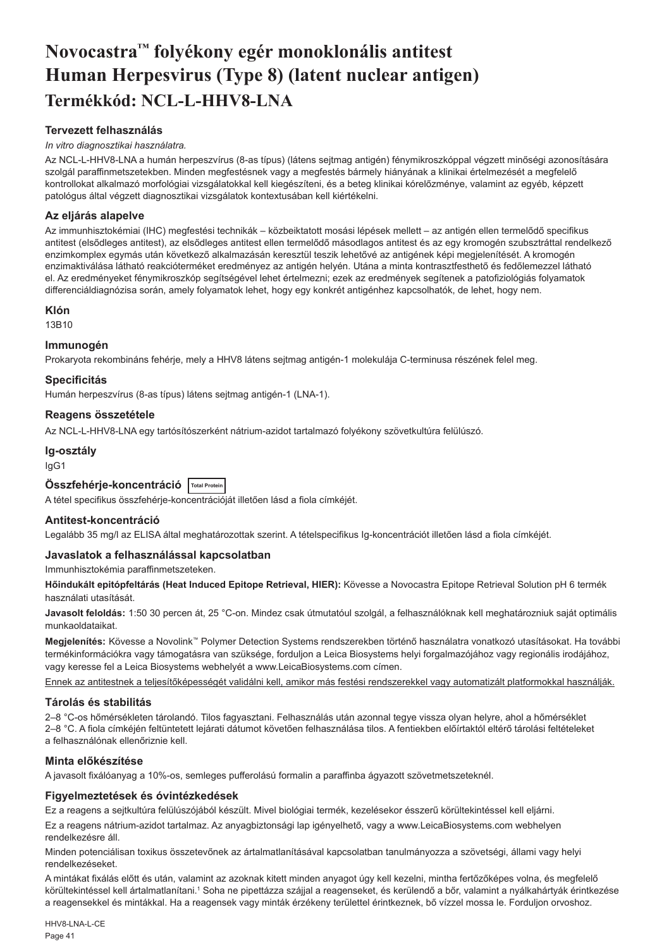## <span id="page-41-0"></span>**Novocastra™ folyékony egér monoklonális antitest Human Herpesvirus (Type 8) (latent nuclear antigen) Termékkód: NCL-L-HHV8-LNA**

## **Tervezett felhasználás**

#### *In vitro diagnosztikai használatra.*

Az NCL-L-HHV8-LNA a humán herpeszvírus (8-as típus) (látens sejtmag antigén) fénymikroszkóppal végzett minőségi azonosítására szolgál paraffinmetszetekben. Minden megfestésnek vagy a megfestés bármely hiányának a klinikai értelmezését a megfelelő kontrollokat alkalmazó morfológiai vizsgálatokkal kell kiegészíteni, és a beteg klinikai kórelőzménye, valamint az egyéb, képzett patológus által végzett diagnosztikai vizsgálatok kontextusában kell kiértékelni.

#### **Az eljárás alapelve**

Az immunhisztokémiai (IHC) megfestési technikák – közbeiktatott mosási lépések mellett – az antigén ellen termelődő specifikus antitest (elsődleges antitest), az elsődleges antitest ellen termelődő másodlagos antitest és az egy kromogén szubsztráttal rendelkező enzimkomplex egymás után következő alkalmazásán keresztül teszik lehetővé az antigének képi megjelenítését. A kromogén enzimaktiválása látható reakcióterméket eredményez az antigén helyén. Utána a minta kontrasztfesthető és fedőlemezzel látható el. Az eredményeket fénymikroszkóp segítségével lehet értelmezni; ezek az eredmények segítenek a patofiziológiás folyamatok differenciáldiagnózisa során, amely folyamatok lehet, hogy egy konkrét antigénhez kapcsolhatók, de lehet, hogy nem.

#### **Klón**

13B10

#### **Immunogén**

Prokaryota rekombináns fehérje, mely a HHV8 látens sejtmag antigén-1 molekulája C-terminusa részének felel meg.

#### **Specificitás**

Humán herpeszvírus (8-as típus) látens sejtmag antigén-1 (LNA-1).

#### **Reagens összetétele**

Az NCL-L-HHV8-LNA egy tartósítószerként nátrium-azidot tartalmazó folyékony szövetkultúra felülúszó.

## **Ig-osztály**

IgG1

## **Összfehérje-koncentráció Total Protein**

A tétel specifikus összfehérje-koncentrációját illetően lásd a fiola címkéjét.

## **Antitest-koncentráció**

Legalább 35 mg/l az ELISA által meghatározottak szerint. A tételspecifikus Ig-koncentrációt illetően lásd a fiola címkéjét.

#### **Javaslatok a felhasználással kapcsolatban**

Immunhisztokémia paraffinmetszeteken.

**Hőindukált epitópfeltárás (Heat Induced Epitope Retrieval, HIER):** Kövesse a Novocastra Epitope Retrieval Solution pH 6 termék használati utasítását.

**Javasolt feloldás:** 1:50 30 percen át, 25 °C-on. Mindez csak útmutatóul szolgál, a felhasználóknak kell meghatározniuk saját optimális munkaoldataikat.

**Megjelenítés:** Kövesse a Novolink™ Polymer Detection Systems rendszerekben történő használatra vonatkozó utasításokat. Ha további termékinformációkra vagy támogatásra van szüksége, forduljon a Leica Biosystems helyi forgalmazójához vagy regionális irodájához, vagy keresse fel a Leica Biosystems webhelyét a www.LeicaBiosystems.com címen.

Ennek az antitestnek a teljesítőképességét validálni kell, amikor más festési rendszerekkel vagy automatizált platformokkal használják.

## **Tárolás és stabilitás**

2–8 °C-os hőmérsékleten tárolandó. Tilos fagyasztani. Felhasználás után azonnal tegye vissza olyan helyre, ahol a hőmérséklet 2–8 °C. A fiola címkéjén feltüntetett lejárati dátumot követően felhasználása tilos. A fentiekben előírtaktól eltérő tárolási feltételeket a felhasználónak ellenőriznie kell.

## **Minta előkészítése**

A javasolt fixálóanyag a 10%-os, semleges pufferolású formalin a paraffinba ágyazott szövetmetszeteknél.

## **Figyelmeztetések és óvintézkedések**

Ez a reagens a sejtkultúra felülúszójából készült. Mivel biológiai termék, kezelésekor ésszerű körültekintéssel kell eljárni.

Ez a reagens nátrium-azidot tartalmaz. Az anyagbiztonsági lap igényelhető, vagy a www.LeicaBiosystems.com webhelyen rendelkezésre áll.

Minden potenciálisan toxikus összetevőnek az ártalmatlanításával kapcsolatban tanulmányozza a szövetségi, állami vagy helyi rendelkezéseket.

A mintákat fixálás előtt és után, valamint az azoknak kitett minden anyagot úgy kell kezelni, mintha fertőzőképes volna, és megfelelő körültekintéssel kell ártalmatlanítani.<sup>1</sup> Soha ne pipettázza szájjal a reagenseket, és kerülendő a bőr, valamint a nyálkahártyák érintkezése a reagensekkel és mintákkal. Ha a reagensek vagy minták érzékeny területtel érintkeznek, bő vízzel mossa le. Forduljon orvoshoz.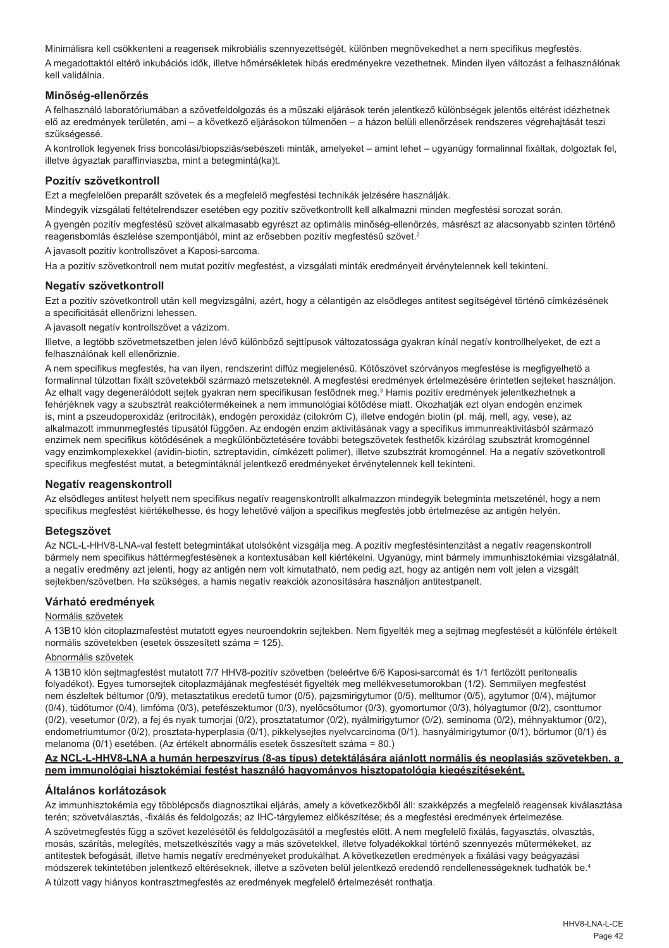Minimálisra kell csökkenteni a reagensek mikrobiális szennyezettségét, különben megnövekedhet a nem specifikus megfestés. A megadottaktól eltérő inkubációs idők, illetve hőmérsékletek hibás eredményekre vezethetnek. Minden ilyen változást a felhasználónak kell validálnia.

## **Minőség-ellenőrzés**

A felhasználó laboratóriumában a szövetfeldolgozás és a műszaki eljárások terén jelentkező különbségek jelentős eltérést idézhetnek elő az eredmények területén, ami – a következő eljárásokon túlmenően – a házon belüli ellenőrzések rendszeres végrehajtását teszi szükségessé.

A kontrollok legyenek friss boncolási/biopsziás/sebészeti minták, amelyeket – amint lehet – ugyanúgy formalinnal fixáltak, dolgoztak fel, illetve ágyaztak paraffinviaszba, mint a betegmintá(ka)t.

#### **Pozitív szövetkontroll**

Ezt a megfelelően preparált szövetek és a megfelelő megfestési technikák jelzésére használják.

Mindegyik vizsgálati feltételrendszer esetében egy pozitív szövetkontrollt kell alkalmazni minden megfestési sorozat során.

A gyengén pozitív megfestésű szövet alkalmasabb egyrészt az optimális minőség-ellenőrzés, másrészt az alacsonyabb szinten történő reagensbomlás észlelése szempontjából, mint az erősebben pozitív megfestésű szövet.<sup>2</sup>

A javasolt pozitív kontrollszövet a Kaposi-sarcoma.

Ha a pozitív szövetkontroll nem mutat pozitív megfestést, a vizsgálati minták eredményeit érvénytelennek kell tekinteni.

#### **Negatív szövetkontroll**

Ezt a pozitív szövetkontroll után kell megvizsgálni, azért, hogy a célantigén az elsődleges antitest segítségével történő címkézésének a specificitását ellenőrizni lehessen.

A javasolt negatív kontrollszövet a vázizom.

Illetve, a legtöbb szövetmetszetben jelen lévő különböző sejttípusok változatossága gyakran kínál negatív kontrollhelyeket, de ezt a felhasználónak kell ellenőriznie.

A nem specifikus megfestés, ha van ilyen, rendszerint diffúz megjelenésű. Kötőszövet szórványos megfestése is megfigyelhető a formalinnal túlzottan fixált szövetekből származó metszeteknél. A megfestési eredmények értelmezésére érintetlen sejteket használjon. Az elhalt vagy degenerálódott sejtek gyakran nem specifikusan festődnek meg.<sup>3</sup> Hamis pozitív eredmények jelentkezhetnek a fehérjéknek vagy a szubsztrát reakciótermékeinek a nem immunológiai kötődése miatt. Okozhatják ezt olyan endogén enzimek is, mint a pszeudoperoxidáz (eritrociták), endogén peroxidáz (citokróm C), illetve endogén biotin (pl. máj, mell, agy, vese), az alkalmazott immunmegfestés típusától függően. Az endogén enzim aktivitásának vagy a specifikus immunreaktivitásból származó enzimek nem specifikus kötődésének a megkülönböztetésére további betegszövetek festhetők kizárólag szubsztrát kromogénnel vagy enzimkomplexekkel (avidin-biotin, sztreptavidin, címkézett polimer), illetve szubsztrát kromogénnel. Ha a negatív szövetkontroll specifikus megfestést mutat, a betegmintáknál jelentkező eredményeket érvénytelennek kell tekinteni.

#### **Negatív reagenskontroll**

Az elsődleges antitest helyett nem specifikus negatív reagenskontrollt alkalmazzon mindegyik betegminta metszeténél, hogy a nem specifikus megfestést kiértékelhesse, és hogy lehetővé váljon a specifikus megfestés jobb értelmezése az antigén helyén.

#### **Betegszövet**

Az NCL-L-HHV8-LNA-val festett betegmintákat utolsóként vizsgálja meg. A pozitív megfestésintenzitást a negatív reagenskontroll bármely nem specifikus háttérmegfestésének a kontextusában kell kiértékelni. Ugyanúgy, mint bármely immunhisztokémiai vizsgálatnál, a negatív eredmény azt jelenti, hogy az antigén nem volt kimutatható, nem pedig azt, hogy az antigén nem volt jelen a vizsgált sejtekben/szövetben. Ha szükséges, a hamis negatív reakciók azonosítására használjon antitestpanelt.

## **Várható eredmények**

#### Normális szövetek

A 13B10 klón citoplazmafestést mutatott egyes neuroendokrin sejtekben. Nem figyelték meg a sejtmag megfestését a különféle értékelt normális szövetekben (esetek összesített száma = 125).

### Abnormális szövetek

A 13B10 klón sejtmagfestést mutatott 7/7 HHV8-pozitív szövetben (beleértve 6/6 Kaposi-sarcomát és 1/1 fertőzött peritonealis folyadékot). Egyes tumorsejtek citoplazmájának megfestését figyelték meg mellékvesetumorokban (1/2). Semmilyen megfestést nem észleltek béltumor (0/9), metasztatikus eredetű tumor (0/5), pajzsmirigytumor (0/5), melltumor (0/5), agytumor (0/4), májtumor (0/4), tüdőtumor (0/4), limfóma (0/3), petefészektumor (0/3), nyelőcsőtumor (0/3), gyomortumor (0/3), hólyagtumor (0/2), csonttumor (0/2), vesetumor (0/2), a fej és nyak tumorjai (0/2), prosztatatumor (0/2), nyálmirigytumor (0/2), seminoma (0/2), méhnyaktumor (0/2), endometriumtumor (0/2), prosztata-hyperplasia (0/1), pikkelysejtes nyelvcarcinoma (0/1), hasnyálmirigytumor (0/1), bőrtumor (0/1) és melanoma (0/1) esetében. (Az értékelt abnormális esetek összesített száma = 80.)

#### **Az NCL-L-HHV8-LNA a humán herpeszvírus (8-as típus) detektálására ajánlott normális és neoplasiás szövetekben, a nem immunológiai hisztokémiai festést használó hagyományos hisztopatológia kiegészítéseként.**

## **Általános korlátozások**

Az immunhisztokémia egy többlépcsős diagnosztikai eljárás, amely a következőkből áll: szakképzés a megfelelő reagensek kiválasztása terén; szövetválasztás, -fixálás és feldolgozás; az IHC-tárgylemez előkészítése; és a megfestési eredmények értelmezése.

A szövetmegfestés függ a szövet kezelésétől és feldolgozásától a megfestés előtt. A nem megfelelő fixálás, fagyasztás, olvasztás, mosás, szárítás, melegítés, metszetkészítés vagy a más szövetekkel, illetve folyadékokkal történő szennyezés műtermékeket, az antitestek befogását, illetve hamis negatív eredményeket produkálhat. A következetlen eredmények a fixálási vagy beágyazási módszerek tekintetében jelentkező eltéréseknek, illetve a szöveten belül jelentkező eredendő rendellenességeknek tudhatók be.4 A túlzott vagy hiányos kontrasztmegfestés az eredmények megfelelő értelmezését ronthatja.

> HHV8-LNA-L-CE Page 42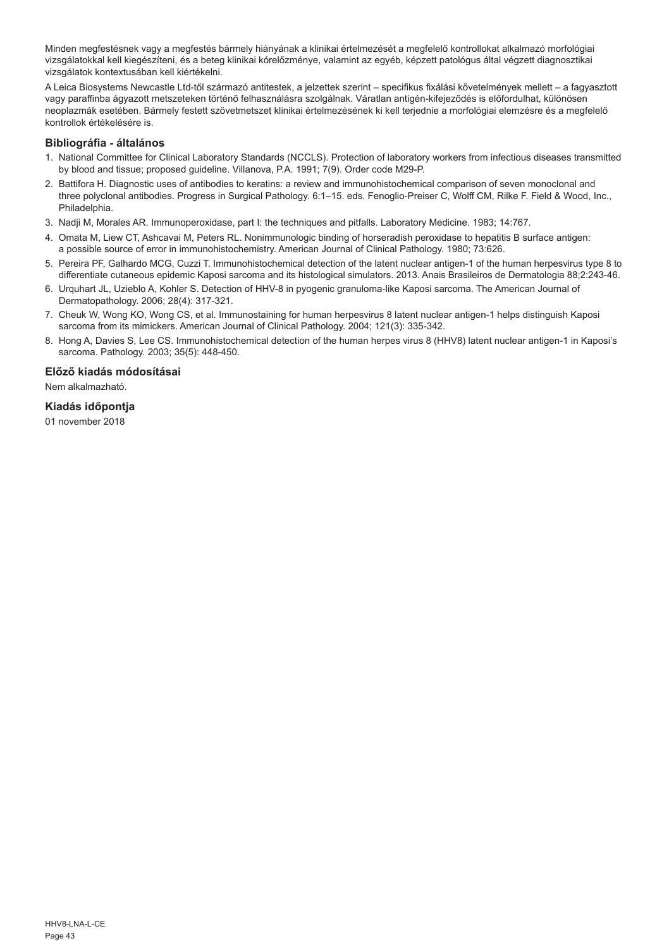Minden megfestésnek vagy a megfestés bármely hiányának a klinikai értelmezését a megfelelő kontrollokat alkalmazó morfológiai vizsgálatokkal kell kiegészíteni, és a beteg klinikai kórelőzménye, valamint az egyéb, képzett patológus által végzett diagnosztikai vizsgálatok kontextusában kell kiértékelni.

A Leica Biosystems Newcastle Ltd-től származó antitestek, a jelzettek szerint – specifikus fixálási követelmények mellett – a fagyasztott vagy paraffinba ágyazott metszeteken történő felhasználásra szolgálnak. Váratlan antigén-kifejeződés is előfordulhat, különösen neoplazmák esetében. Bármely festett szövetmetszet klinikai értelmezésének ki kell terjednie a morfológiai elemzésre és a megfelelő kontrollok értékelésére is.

## **Bibliográfia - általános**

- 1. National Committee for Clinical Laboratory Standards (NCCLS). Protection of laboratory workers from infectious diseases transmitted by blood and tissue; proposed guideline. Villanova, P.A. 1991; 7(9). Order code M29-P.
- 2. Battifora H. Diagnostic uses of antibodies to keratins: a review and immunohistochemical comparison of seven monoclonal and three polyclonal antibodies. Progress in Surgical Pathology. 6:1–15. eds. Fenoglio-Preiser C, Wolff CM, Rilke F. Field & Wood, Inc., Philadelphia.
- 3. Nadji M, Morales AR. Immunoperoxidase, part I: the techniques and pitfalls. Laboratory Medicine. 1983; 14:767.
- 4. Omata M, Liew CT, Ashcavai M, Peters RL. Nonimmunologic binding of horseradish peroxidase to hepatitis B surface antigen: a possible source of error in immunohistochemistry. American Journal of Clinical Pathology. 1980; 73:626.
- 5. Pereira PF, Galhardo MCG, Cuzzi T. Immunohistochemical detection of the latent nuclear antigen-1 of the human herpesvirus type 8 to differentiate cutaneous epidemic Kaposi sarcoma and its histological simulators. 2013. Anais Brasileiros de Dermatologia 88;2:243-46.
- 6. Urquhart JL, Uzieblo A, Kohler S. Detection of HHV-8 in pyogenic granuloma-like Kaposi sarcoma. The American Journal of Dermatopathology. 2006; 28(4): 317-321.
- 7. Cheuk W, Wong KO, Wong CS, et al. Immunostaining for human herpesvirus 8 latent nuclear antigen-1 helps distinguish Kaposi sarcoma from its mimickers. American Journal of Clinical Pathology. 2004; 121(3): 335-342.
- 8. Hong A, Davies S, Lee CS. Immunohistochemical detection of the human herpes virus 8 (HHV8) latent nuclear antigen-1 in Kaposi's sarcoma. Pathology. 2003; 35(5): 448-450.

## **Előző kiadás módosításai**

Nem alkalmazható.

## **Kiadás időpontja**

01 november 2018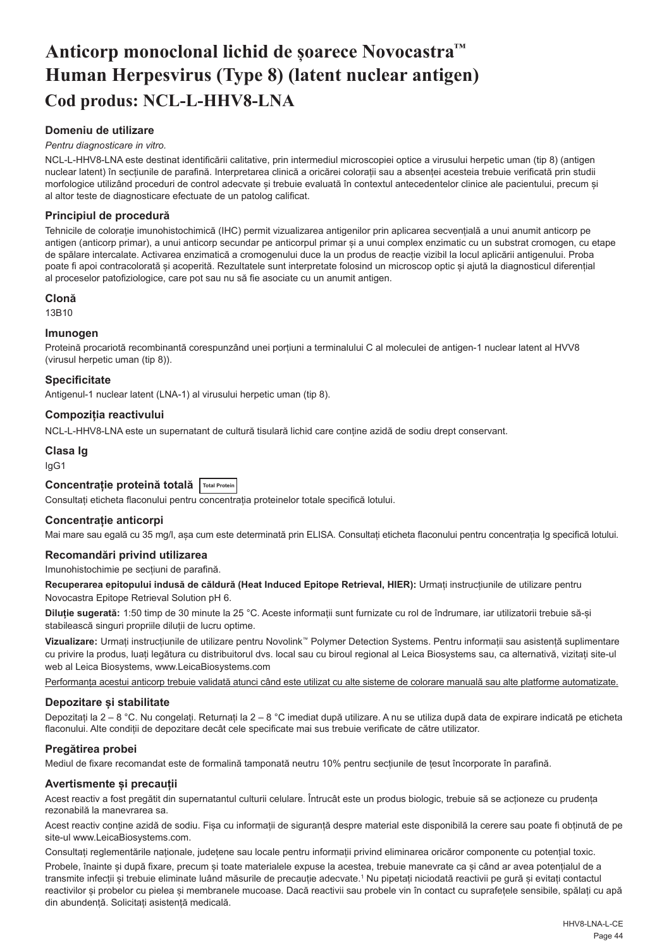## <span id="page-44-0"></span>**Anticorp monoclonal lichid de șoarece Novocastra™ Human Herpesvirus (Type 8) (latent nuclear antigen) Cod produs: NCL-L-HHV8-LNA**

## **Domeniu de utilizare**

#### *Pentru diagnosticare in vitro.*

NCL-L-HHV8-LNA este destinat identificării calitative, prin intermediul microscopiei optice a virusului herpetic uman (tip 8) (antigen nuclear latent) în secțiunile de parafină. Interpretarea clinică a oricărei colorații sau a absenței acesteia trebuie verificată prin studii morfologice utilizând proceduri de control adecvate și trebuie evaluată în contextul antecedentelor clinice ale pacientului, precum și al altor teste de diagnosticare efectuate de un patolog calificat.

#### **Principiul de procedură**

Tehnicile de colorație imunohistochimică (IHC) permit vizualizarea antigenilor prin aplicarea secvențială a unui anumit anticorp pe antigen (anticorp primar), a unui anticorp secundar pe anticorpul primar și a unui complex enzimatic cu un substrat cromogen, cu etape de spălare intercalate. Activarea enzimatică a cromogenului duce la un produs de reacție vizibil la locul aplicării antigenului. Proba poate fi apoi contracolorată și acoperită. Rezultatele sunt interpretate folosind un microscop optic și ajută la diagnosticul diferențial al proceselor patofiziologice, care pot sau nu să fie asociate cu un anumit antigen.

#### **Clonă**

13B10

#### **Imunogen**

Proteină procariotă recombinantă corespunzând unei porțiuni a terminalului C al moleculei de antigen-1 nuclear latent al HVV8 (virusul herpetic uman (tip 8)).

#### **Specificitate**

Antigenul-1 nuclear latent (LNA-1) al virusului herpetic uman (tip 8).

#### **Compoziția reactivului**

NCL-L-HHV8-LNA este un supernatant de cultură tisulară lichid care conține azidă de sodiu drept conservant.

## **Clasa Ig**

IgG1

## **Concentrație proteină totală Total Protein**

Consultați eticheta flaconului pentru concentrația proteinelor totale specifică lotului.

## **Concentrație anticorpi**

Mai mare sau egală cu 35 mg/l, așa cum este determinată prin ELISA. Consultați eticheta flaconului pentru concentrația Ig specifică lotului.

## **Recomandări privind utilizarea**

Imunohistochimie pe secțiuni de parafină.

**Recuperarea epitopului indusă de căldură (Heat Induced Epitope Retrieval, HIER):** Urmați instrucțiunile de utilizare pentru Novocastra Epitope Retrieval Solution pH 6.

**Diluție sugerată:** 1:50 timp de 30 minute la 25 °C. Aceste informații sunt furnizate cu rol de îndrumare, iar utilizatorii trebuie să-și stabilească singuri propriile diluții de lucru optime.

**Vizualizare:** Urmați instrucțiunile de utilizare pentru Novolink™ Polymer Detection Systems. Pentru informații sau asistență suplimentare cu privire la produs, luați legătura cu distribuitorul dvs. local sau cu biroul regional al Leica Biosystems sau, ca alternativă, vizitați site-ul web al Leica Biosystems, www.LeicaBiosystems.com

Performanța acestui anticorp trebuie validată atunci când este utilizat cu alte sisteme de colorare manuală sau alte platforme automatizate.

#### **Depozitare și stabilitate**

Depozitați la 2 – 8 °C. Nu congelați. Returnați la 2 – 8 °C imediat după utilizare. A nu se utiliza după data de expirare indicată pe eticheta flaconului. Alte condiții de depozitare decât cele specificate mai sus trebuie verificate de către utilizator.

## **Pregătirea probei**

Mediul de fixare recomandat este de formalină tamponată neutru 10% pentru secțiunile de țesut încorporate în parafină.

## **Avertismente și precauții**

Acest reactiv a fost pregătit din supernatantul culturii celulare. Întrucât este un produs biologic, trebuie să se acționeze cu prudența rezonabilă la manevrarea sa.

Acest reactiv conține azidă de sodiu. Fișa cu informații de siguranță despre material este disponibilă la cerere sau poate fi obținută de pe site-ul www.LeicaBiosystems.com.

Consultați reglementările naționale, județene sau locale pentru informații privind eliminarea oricăror componente cu potențial toxic.

Probele, înainte și după fixare, precum și toate materialele expuse la acestea, trebuie manevrate ca și când ar avea potențialul de a transmite infecții și trebuie eliminate luând măsurile de precauție adecvate.<sup>1</sup> Nu pipetați niciodată reactivii pe gură și evitați contactul reactivilor și probelor cu pielea și membranele mucoase. Dacă reactivii sau probele vin în contact cu suprafețele sensibile, spălați cu apă din abundență. Solicitați asistență medicală.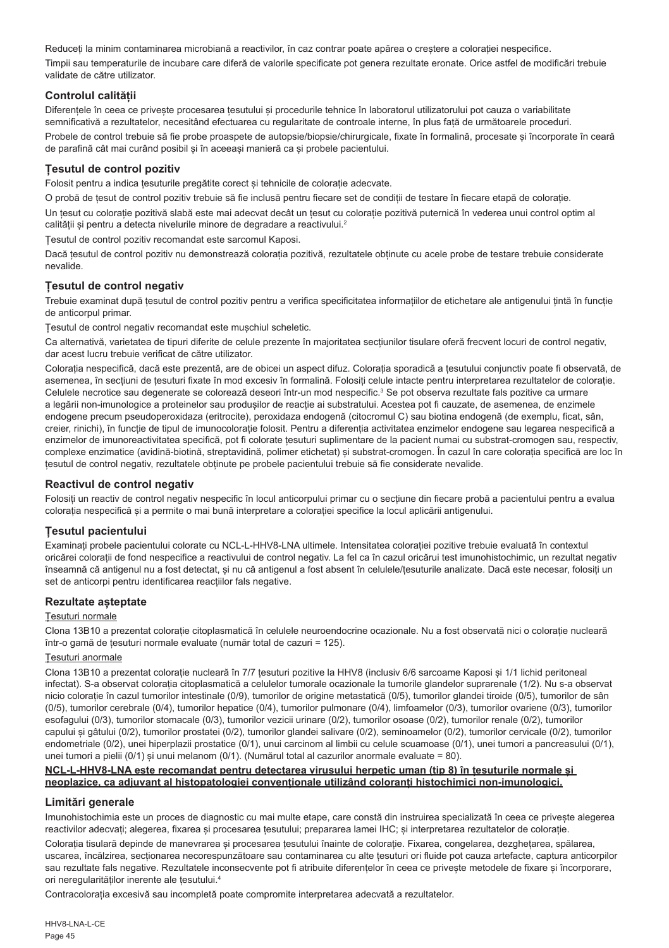Reduceți la minim contaminarea microbiană a reactivilor, în caz contrar poate apărea o creștere a colorației nespecifice. Timpii sau temperaturile de incubare care diferă de valorile specificate pot genera rezultate eronate. Orice astfel de modificări trebuie validate de către utilizator.

## **Controlul calității**

Diferentele în ceea ce priveste procesarea tesutului si procedurile tehnice în laboratorul utilizatorului pot cauza o variabilitate semnificativă a rezultatelor, necesitând efectuarea cu regularitate de controale interne, în plus față de următoarele proceduri. Probele de control trebuie să fie probe proaspete de autopsie/biopsie/chirurgicale, fixate în formalină, procesate și încorporate în ceară de parafină cât mai curând posibil și în aceeași manieră ca și probele pacientului.

## **Țesutul de control pozitiv**

Folosit pentru a indica țesuturile pregătite corect și tehnicile de colorație adecvate.

O probă de țesut de control pozitiv trebuie să fie inclusă pentru fiecare set de condiții de testare în fiecare etapă de colorație. Un țesut cu colorație pozitivă slabă este mai adecvat decât un țesut cu colorație pozitivă puternică în vederea unui control optim al calității și pentru a detecta nivelurile minore de degradare a reactivului.<sup>2</sup>

Țesutul de control pozitiv recomandat este sarcomul Kaposi.

Dacă țesutul de control pozitiv nu demonstrează colorația pozitivă, rezultatele obținute cu acele probe de testare trebuie considerate nevalide.

## **Țesutul de control negativ**

Trebuie examinat după țesutul de control pozitiv pentru a verifica specificitatea informațiilor de etichetare ale antigenului țintă în funcție de anticorpul primar.

Țesutul de control negativ recomandat este mușchiul scheletic.

Ca alternativă, varietatea de tipuri diferite de celule prezente în majoritatea secțiunilor tisulare oferă frecvent locuri de control negativ, dar acest lucru trebuie verificat de către utilizator.

Colorația nespecifică, dacă este prezentă, are de obicei un aspect difuz. Colorația sporadică a țesutului conjunctiv poate fi observată, de asemenea, în secțiuni de țesuturi fixate în mod excesiv în formalină. Folosiți celule intacte pentru interpretarea rezultatelor de colorație. Celulele necrotice sau degenerate se colorează deseori într-un mod nespecific.<sup>3</sup> Se pot observa rezultate fals pozitive ca urmare a legării non-imunologice a proteinelor sau produșilor de reacție ai substratului. Acestea pot fi cauzate, de asemenea, de enzimele endogene precum pseudoperoxidaza (eritrocite), peroxidaza endogenă (citocromul C) sau biotina endogenă (de exemplu, ficat, sân, creier, rinichi), în funcție de tipul de imunocolorație folosit. Pentru a diferenția activitatea enzimelor endogene sau legarea nespecifică a enzimelor de imunoreactivitatea specifică, pot fi colorate țesuturi suplimentare de la pacient numai cu substrat-cromogen sau, respectiv, complexe enzimatice (avidină-biotină, streptavidină, polimer etichetat) și substrat-cromogen. În cazul în care colorația specifică are loc în țesutul de control negativ, rezultatele obținute pe probele pacientului trebuie să fie considerate nevalide.

## **Reactivul de control negativ**

Folosiți un reactiv de control negativ nespecific în locul anticorpului primar cu o secțiune din fiecare probă a pacientului pentru a evalua colorația nespecifică și a permite o mai bună interpretare a colorației specifice la locul aplicării antigenului.

## **Țesutul pacientului**

Examinați probele pacientului colorate cu NCL-L-HHV8-LNA ultimele. Intensitatea colorației pozitive trebuie evaluată în contextul oricărei colorații de fond nespecifice a reactivului de control negativ. La fel ca în cazul oricărui test imunohistochimic, un rezultat negativ înseamnă că antigenul nu a fost detectat, și nu că antigenul a fost absent în celulele/țesuturile analizate. Dacă este necesar, folosiți un set de anticorpi pentru identificarea reactiilor fals negative.

## **Rezultate așteptate**

## Țesuturi normale

Clona 13B10 a prezentat colorație citoplasmatică în celulele neuroendocrine ocazionale. Nu a fost observată nici o colorație nucleară într-o gamă de țesuturi normale evaluate (număr total de cazuri = 125).

## Țesuturi anormale

Clona 13B10 a prezentat colorație nucleară în 7/7 țesuturi pozitive la HHV8 (inclusiv 6/6 sarcoame Kaposi și 1/1 lichid peritoneal infectat). S-a observat colorația citoplasmatică a celulelor tumorale ocazionale la tumorile glandelor suprarenale (1/2). Nu s-a observat nicio colorație în cazul tumorilor intestinale (0/9), tumorilor de origine metastatică (0/5), tumorilor glandei tiroide (0/5), tumorilor de sân (0/5), tumorilor cerebrale (0/4), tumorilor hepatice (0/4), tumorilor pulmonare (0/4), limfoamelor (0/3), tumorilor ovariene (0/3), tumorilor esofagului (0/3), tumorilor stomacale (0/3), tumorilor vezicii urinare (0/2), tumorilor osoase (0/2), tumorilor renale (0/2), tumorilor capului și gâtului (0/2), tumorilor prostatei (0/2), tumorilor glandei salivare (0/2), seminoamelor (0/2), tumorilor cervicale (0/2), tumorilor endometriale (0/2), unei hiperplazii prostatice (0/1), unui carcinom al limbii cu celule scuamoase (0/1), unei tumori a pancreasului (0/1), unei tumori a pielii (0/1) și unui melanom (0/1). (Numărul total al cazurilor anormale evaluate = 80).

## **NCL-L-HHV8-LNA este recomandat pentru detectarea virusului herpetic uman (tip 8) în țesuturile normale și neoplazice, ca adjuvant al histopatologiei convenționale utilizând coloranți histochimici non-imunologici.**

## **Limitări generale**

Imunohistochimia este un proces de diagnostic cu mai multe etape, care constă din instruirea specializată în ceea ce privește alegerea reactivilor adecvati; alegerea, fixarea și procesarea tesutului; prepararea lamei IHC; și interpretarea rezultatelor de colorație.

Colorația tisulară depinde de manevrarea și procesarea țesutului înainte de colorație. Fixarea, congelarea, dezghețarea, spălarea, uscarea, încălzirea, secționarea necorespunzătoare sau contaminarea cu alte țesuturi ori fluide pot cauza artefacte, captura anticorpilor sau rezultate fals negative. Rezultatele inconsecvente pot fi atribuite diferențelor în ceea ce privește metodele de fixare și încorporare, ori neregularităților inerente ale țesutului.4

Contracolorația excesivă sau incompletă poate compromite interpretarea adecvată a rezultatelor.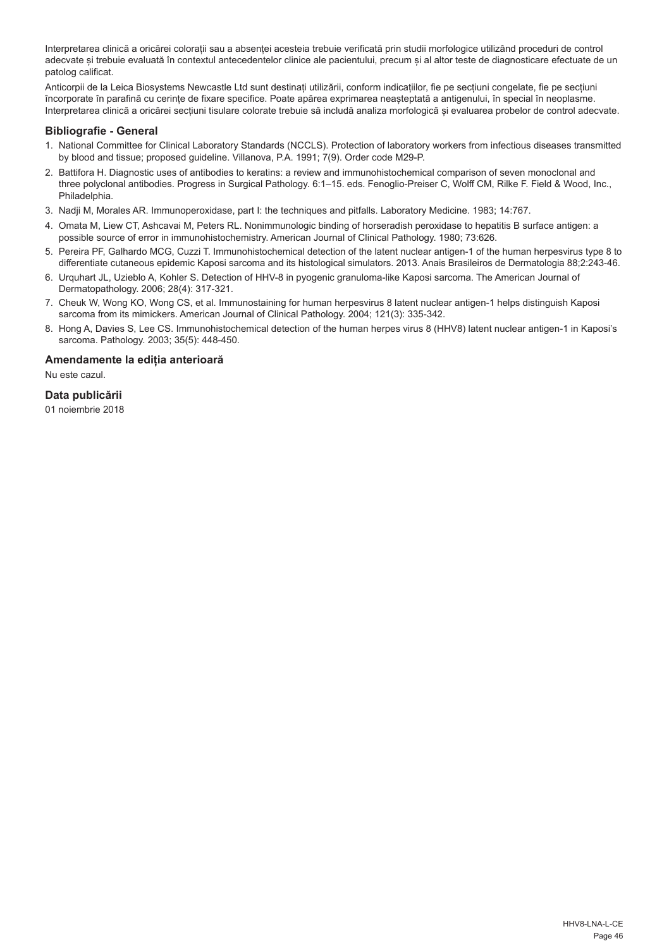Interpretarea clinică a oricărei colorații sau a absenței acesteia trebuie verificată prin studii morfologice utilizând proceduri de control adecvate și trebuie evaluată în contextul antecedentelor clinice ale pacientului, precum și al altor teste de diagnosticare efectuate de un patolog calificat.

Anticorpii de la Leica Biosystems Newcastle Ltd sunt destinați utilizării, conform indicațiilor, fie pe secțiuni congelate, fie pe secțiuni încorporate în parafină cu cerințe de fixare specifice. Poate apărea exprimarea neașteptată a antigenului, în special în neoplasme. Interpretarea clinică a oricărei secțiuni tisulare colorate trebuie să includă analiza morfologică și evaluarea probelor de control adecvate.

## **Bibliografie - General**

- 1. National Committee for Clinical Laboratory Standards (NCCLS). Protection of laboratory workers from infectious diseases transmitted by blood and tissue; proposed guideline. Villanova, P.A. 1991; 7(9). Order code M29-P.
- 2. Battifora H. Diagnostic uses of antibodies to keratins: a review and immunohistochemical comparison of seven monoclonal and three polyclonal antibodies. Progress in Surgical Pathology. 6:1–15. eds. Fenoglio-Preiser C, Wolff CM, Rilke F. Field & Wood, Inc., Philadelphia.
- 3. Nadji M, Morales AR. Immunoperoxidase, part I: the techniques and pitfalls. Laboratory Medicine. 1983; 14:767.
- 4. Omata M, Liew CT, Ashcavai M, Peters RL. Nonimmunologic binding of horseradish peroxidase to hepatitis B surface antigen: a possible source of error in immunohistochemistry. American Journal of Clinical Pathology. 1980; 73:626.
- 5. Pereira PF, Galhardo MCG, Cuzzi T. Immunohistochemical detection of the latent nuclear antigen-1 of the human herpesvirus type 8 to differentiate cutaneous epidemic Kaposi sarcoma and its histological simulators. 2013. Anais Brasileiros de Dermatologia 88;2:243-46.
- 6. Urquhart JL, Uzieblo A, Kohler S. Detection of HHV-8 in pyogenic granuloma-like Kaposi sarcoma. The American Journal of Dermatopathology. 2006; 28(4): 317-321.
- 7. Cheuk W, Wong KO, Wong CS, et al. Immunostaining for human herpesvirus 8 latent nuclear antigen-1 helps distinguish Kaposi sarcoma from its mimickers. American Journal of Clinical Pathology. 2004; 121(3): 335-342.
- 8. Hong A, Davies S, Lee CS. Immunohistochemical detection of the human herpes virus 8 (HHV8) latent nuclear antigen-1 in Kaposi's sarcoma. Pathology. 2003; 35(5): 448-450.

## **Amendamente la ediția anterioară**

Nu este cazul.

## **Data publicării**

01 noiembrie 2018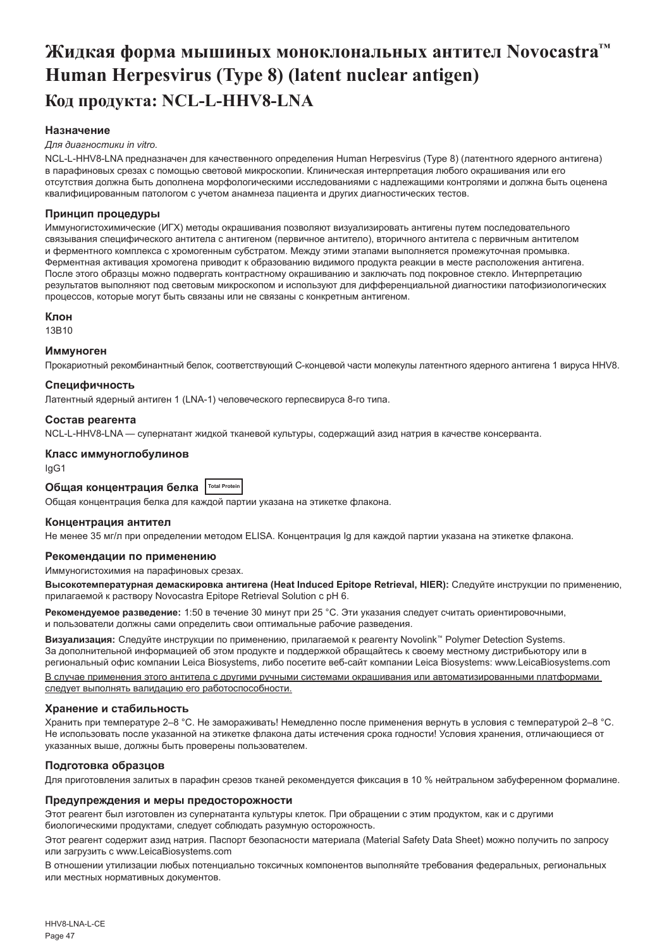## <span id="page-47-0"></span>**Жидкая форма мышиных моноклональных антител Novocastra™ Human Herpesvirus (Type 8) (latent nuclear antigen) Код продукта: NCL-L-HHV8-LNA**

## **Назначение**

#### *Для диагностики in vitro.*

NCL-L-HHV8-LNA предназначен для качественного определения Human Herpesvirus (Type 8) (латентного ядерного антигена) в парафиновых срезах с помощью световой микроскопии. Клиническая интерпретация любого окрашивания или его отсутствия должна быть дополнена морфологическими исследованиями с надлежащими контролями и должна быть оценена квалифицированным патологом с учетом анамнеза пациента и других диагностических тестов.

#### **Принцип процедуры**

Иммуногистохимические (ИГХ) методы окрашивания позволяют визуализировать антигены путем последовательного связывания специфического антитела с антигеном (первичное антитело), вторичного антитела с первичным антителом и ферментного комплекса с хромогенным субстратом. Между этими этапами выполняется промежуточная промывка. Ферментная активация хромогена приводит к образованию видимого продукта реакции в месте расположения антигена. После этого образцы можно подвергать контрастному окрашиванию и заключать под покровное стекло. Интерпретацию результатов выполняют под световым микроскопом и используют для дифференциальной диагностики патофизиологических процессов, которые могут быть связаны или не связаны с конкретным антигеном.

#### **Клон**

13B10

#### **Иммуноген**

Прокариотный рекомбинантный белок, соответствующий С-концевой части молекулы латентного ядерного антигена 1 вируса HHV8.

#### **Специфичность**

Латентный ядерный антиген 1 (LNA-1) человеческого герпесвируса 8-го типа.

#### **Состав реагента**

NCL-L-HHV8-LNA — супернатант жидкой тканевой культуры, содержащий азид натрия в качестве консерванта.

#### **Класс иммуноглобулинов**

IgG1

**Общая концентрация белка Total Protein**

Общая концентрация белка для каждой партии указана на этикетке флакона.

#### **Концентрация антител**

Не менее 35 мг/л при определении методом ELISA. Концентрация Ig для каждой партии указана на этикетке флакона.

#### **Рекомендации по применению**

Иммуногистохимия на парафиновых срезах.

**Высокотемпературная демаскировка антигена (Heat Induced Epitope Retrieval, HIER):** Следуйте инструкции по применению, прилагаемой к раствору Novocastra Epitope Retrieval Solution с pH 6.

**Рекомендуемое разведение:** 1:50 в течение 30 минут при 25 °C. Эти указания следует считать ориентировочными, и пользователи должны сами определить свои оптимальные рабочие разведения.

**Визуализация:** Следуйте инструкции по применению, прилагаемой к реагенту Novolink™ Polymer Detection Systems. За дополнительной информацией об этом продукте и поддержкой обращайтесь к своему местному дистрибьютору или в региональный офис компании Leica Biosystems, либо посетите веб-сайт компании Leica Biosystems: www.LeicaBiosystems.com

В случае применения этого антитела с другими ручными системами окрашивания или автоматизированными платформами следует выполнять валидацию его работоспособности.

#### **Хранение и стабильность**

Хранить при температуре 2–8 °C. Не замораживать! Немедленно после применения вернуть в условия с температурой 2–8 °C. Не использовать после указанной на этикетке флакона даты истечения срока годности! Условия хранения, отличающиеся от указанных выше, должны быть проверены пользователем.

#### **Подготовка образцов**

Для приготовления залитых в парафин срезов тканей рекомендуется фиксация в 10 % нейтральном забуференном формалине.

#### **Предупреждения и меры предосторожности**

Этот реагент был изготовлен из супернатанта культуры клеток. При обращении с этим продуктом, как и с другими биологическими продуктами, следует соблюдать разумную осторожность.

Этот реагент содержит азид натрия. Паспорт безопасности материала (Material Safety Data Sheet) можно получить по запросу или загрузить с www.LeicaBiosystems.com

В отношении утилизации любых потенциально токсичных компонентов выполняйте требования федеральных, региональных или местных нормативных документов.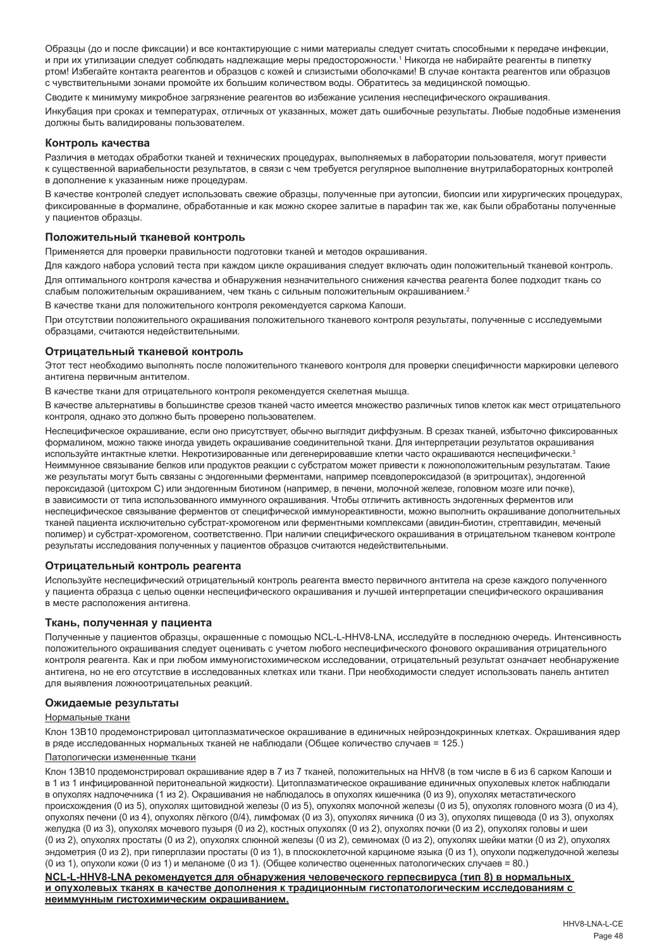Образцы (до и после фиксации) и все контактирующие с ними материалы следует считать способными к передаче инфекции, и при их утилизации следует соблюдать надлежащие меры предосторожности.<sup>1</sup> Никогда не набирайте реагенты в пипетку ртом! Избегайте контакта реагентов и образцов с кожей и слизистыми оболочками! В случае контакта реагентов или образцов с чувствительными зонами промойте их большим количеством воды. Обратитесь за медицинской помощью.

Сводите к минимуму микробное загрязнение реагентов во избежание усиления неспецифического окрашивания.

Инкубация при сроках и температурах, отличных от указанных, может дать ошибочные результаты. Любые подобные изменения должны быть валидированы пользователем.

#### **Контроль качества**

Различия в методах обработки тканей и технических процедурах, выполняемых в лаборатории пользователя, могут привести к существенной вариабельности результатов, в связи с чем требуется регулярное выполнение внутрилабораторных контролей в дополнение к указанным ниже процедурам.

В качестве контролей следует использовать свежие образцы, полученные при аутопсии, биопсии или хирургических процедурах, фиксированные в формалине, обработанные и как можно скорее залитые в парафин так же, как были обработаны полученные у пациентов образцы.

#### **Положительный тканевой контроль**

Применяется для проверки правильности подготовки тканей и методов окрашивания.

Для каждого набора условий теста при каждом цикле окрашивания следует включать один положительный тканевой контроль.

Для оптимального контроля качества и обнаружения незначительного снижения качества реагента более подходит ткань со слабым положительным окрашиванием, чем ткань с сильным положительным окрашиванием.<sup>2</sup>

В качестве ткани для положительного контроля рекомендуется саркома Капоши.

При отсутствии положительного окрашивания положительного тканевого контроля результаты, полученные с исследуемыми образцами, считаются недействительными.

#### **Отрицательный тканевой контроль**

Этот тест необходимо выполнять после положительного тканевого контроля для проверки специфичности маркировки целевого антигена первичным антителом.

В качестве ткани для отрицательного контроля рекомендуется скелетная мышца.

В качестве альтернативы в большинстве срезов тканей часто имеется множество различных типов клеток как мест отрицательного контроля, однако это должно быть проверено пользователем.

Неспецифическое окрашивание, если оно присутствует, обычно выглядит диффузным. В срезах тканей, избыточно фиксированных формалином, можно также иногда увидеть окрашивание соединительной ткани. Для интерпретации результатов окрашивания используйте интактные клетки. Некротизированные или дегенерировавшие клетки часто окрашиваются неспецифически.<sup>3</sup> Неиммунное связывание белков или продуктов реакции с субстратом может привести к ложноположительным результатам. Такие же результаты могут быть связаны с эндогенными ферментами, например псевдопероксидазой (в эритроцитах), эндогенной пероксидазой (цитохром C) или эндогенным биотином (например, в печени, молочной железе, головном мозге или почке), в зависимости от типа использованного иммунного окрашивания. Чтобы отличить активность эндогенных ферментов или неспецифическое связывание ферментов от специфической иммунореактивности, можно выполнить окрашивание дополнительных тканей пациента исключительно субстрат-хромогеном или ферментными комплексами (авидин-биотин, стрептавидин, меченый полимер) и субстрат-хромогеном, соответственно. При наличии специфического окрашивания в отрицательном тканевом контроле результаты исследования полученных у пациентов образцов считаются недействительными.

#### **Отрицательный контроль реагента**

Используйте неспецифический отрицательный контроль реагента вместо первичного антитела на срезе каждого полученного у пациента образца с целью оценки неспецифического окрашивания и лучшей интерпретации специфического окрашивания в месте расположения антигена.

#### **Ткань, полученная у пациента**

Полученные у пациентов образцы, окрашенные с помощью NCL-L-HHV8-LNA, исследуйте в последнюю очередь. Интенсивность положительного окрашивания следует оценивать с учетом любого неспецифического фонового окрашивания отрицательного контроля реагента. Как и при любом иммуногистохимическом исследовании, отрицательный результат означает необнаружение антигена, но не его отсутствие в исследованных клетках или ткани. При необходимости следует использовать панель антител для выявления ложноотрицательных реакций.

#### **Ожидаемые результаты**

#### Нормальные ткани

Клон 13B10 продемонстрировал цитоплазматическое окрашивание в единичных нейроэндокринных клетках. Окрашивания ядер в ряде исследованных нормальных тканей не наблюдали (Общее количество случаев = 125.)

#### Патологически измененные ткани

Клон 13B10 продемонстрировал окрашивание ядер в 7 из 7 тканей, положительных на HHV8 (в том числе в 6 из 6 сарком Капоши и в 1 из 1 инфицированной перитонеальной жидкости). Цитоплазматическое окрашивание единичных опухолевых клеток наблюдали в опухолях надпочечника (1 из 2). Окрашивания не наблюдалось в опухолях кишечника (0 из 9), опухолях метастатического происхождения (0 из 5), опухолях щитовидной железы (0 из 5), опухолях молочной железы (0 из 5), опухолях головного мозга (0 из 4), опухолях печени (0 из 4), опухолях лёгкого (0/4), лимфомах (0 из 3), опухолях яичника (0 из 3), опухолях пищевода (0 из 3), опухолях желудка (0 из 3), опухолях мочевого пузыря (0 из 2), костных опухолях (0 из 2), опухолях почки (0 из 2), опухолях головы и шеи (0 из 2), опухолях простаты (0 из 2), опухолях слюнной железы (0 из 2), семиномах (0 из 2), опухолях шейки матки (0 из 2), опухолях эндометрия (0 из 2), при гиперплазии простаты (0 из 1), в плоскоклеточной карциноме языка (0 из 1), опухоли поджелудочной железы (0 из 1), опухоли кожи (0 из 1) и меланоме (0 из 1). (Общее количество оцененных патологических случаев = 80.)

**NCL-L-HHV8-LNA рекомендуется для обнаружения человеческого герпесвируса (тип 8) в нормальных и опухолевых тканях в качестве дополнения к традиционным гистопатологическим исследованиям с неиммунным гистохимическим окрашиванием.**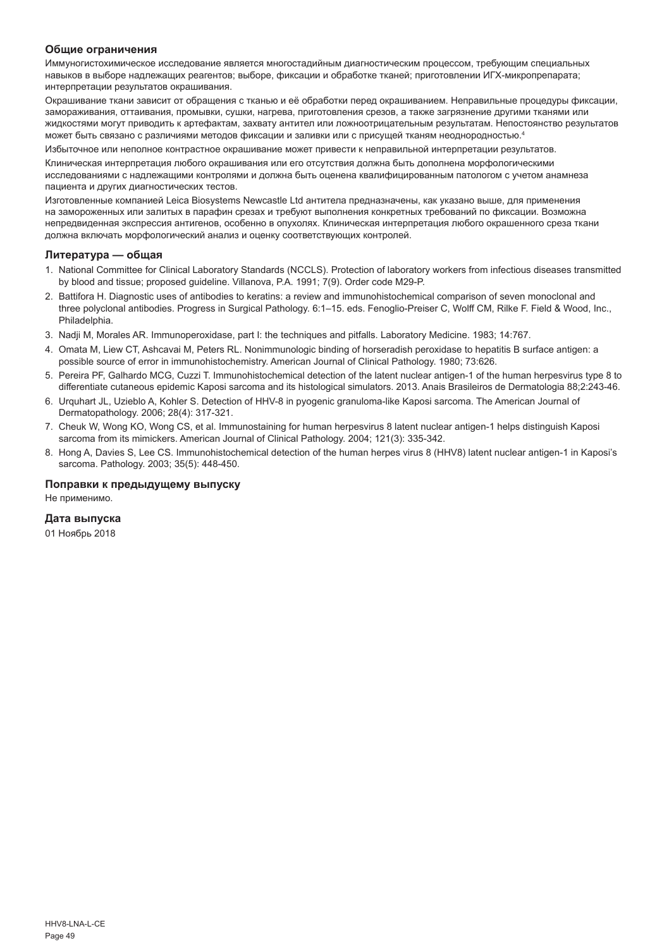#### **Общие ограничения**

Иммуногистохимическое исследование является многостадийным диагностическим процессом, требующим специальных навыков в выборе надлежащих реагентов; выборе, фиксации и обработке тканей; приготовлении ИГХ-микропрепарата; интерпретации результатов окрашивания.

Окрашивание ткани зависит от обращения с тканью и её обработки перед окрашиванием. Неправильные процедуры фиксации, замораживания, оттаивания, промывки, сушки, нагрева, приготовления срезов, а также загрязнение другими тканями или жидкостями могут приводить к артефактам, захвату антител или ложноотрицательным результатам. Непостоянство результатов может быть связано с различиями методов фиксации и заливки или с присущей тканям неоднородностью.4

Избыточное или неполное контрастное окрашивание может привести к неправильной интерпретации результатов.

Клиническая интерпретация любого окрашивания или его отсутствия должна быть дополнена морфологическими исследованиями с надлежащими контролями и должна быть оценена квалифицированным патологом с учетом анамнеза пациента и других диагностических тестов.

Изготовленные компанией Leica Biosystems Newcastle Ltd антитела предназначены, как указано выше, для применения на замороженных или залитых в парафин срезах и требуют выполнения конкретных требований по фиксации. Возможна непредвиденная экспрессия антигенов, особенно в опухолях. Клиническая интерпретация любого окрашенного среза ткани должна включать морфологический анализ и оценку соответствующих контролей.

#### **Литература — общая**

- 1. National Committee for Clinical Laboratory Standards (NCCLS). Protection of laboratory workers from infectious diseases transmitted by blood and tissue; proposed guideline. Villanova, P.A. 1991; 7(9). Order code M29-P.
- 2. Battifora H. Diagnostic uses of antibodies to keratins: a review and immunohistochemical comparison of seven monoclonal and three polyclonal antibodies. Progress in Surgical Pathology. 6:1–15. eds. Fenoglio-Preiser C, Wolff CM, Rilke F. Field & Wood, Inc., Philadelphia.
- 3. Nadji M, Morales AR. Immunoperoxidase, part I: the techniques and pitfalls. Laboratory Medicine. 1983; 14:767.
- 4. Omata M, Liew CT, Ashcavai M, Peters RL. Nonimmunologic binding of horseradish peroxidase to hepatitis B surface antigen: a possible source of error in immunohistochemistry. American Journal of Clinical Pathology. 1980; 73:626.
- 5. Pereira PF, Galhardo MCG, Cuzzi T. Immunohistochemical detection of the latent nuclear antigen-1 of the human herpesvirus type 8 to differentiate cutaneous epidemic Kaposi sarcoma and its histological simulators. 2013. Anais Brasileiros de Dermatologia 88;2:243-46.
- 6. Urquhart JL, Uzieblo A, Kohler S. Detection of HHV-8 in pyogenic granuloma-like Kaposi sarcoma. The American Journal of Dermatopathology. 2006; 28(4): 317-321.
- 7. Cheuk W, Wong KO, Wong CS, et al. Immunostaining for human herpesvirus 8 latent nuclear antigen-1 helps distinguish Kaposi sarcoma from its mimickers. American Journal of Clinical Pathology. 2004; 121(3): 335-342.
- 8. Hong A, Davies S, Lee CS. Immunohistochemical detection of the human herpes virus 8 (HHV8) latent nuclear antigen-1 in Kaposi's sarcoma. Pathology. 2003; 35(5): 448-450.

#### **Поправки к предыдущему выпуску**

Не применимо.

#### **Дата выпуска**

01 Ноябрь 2018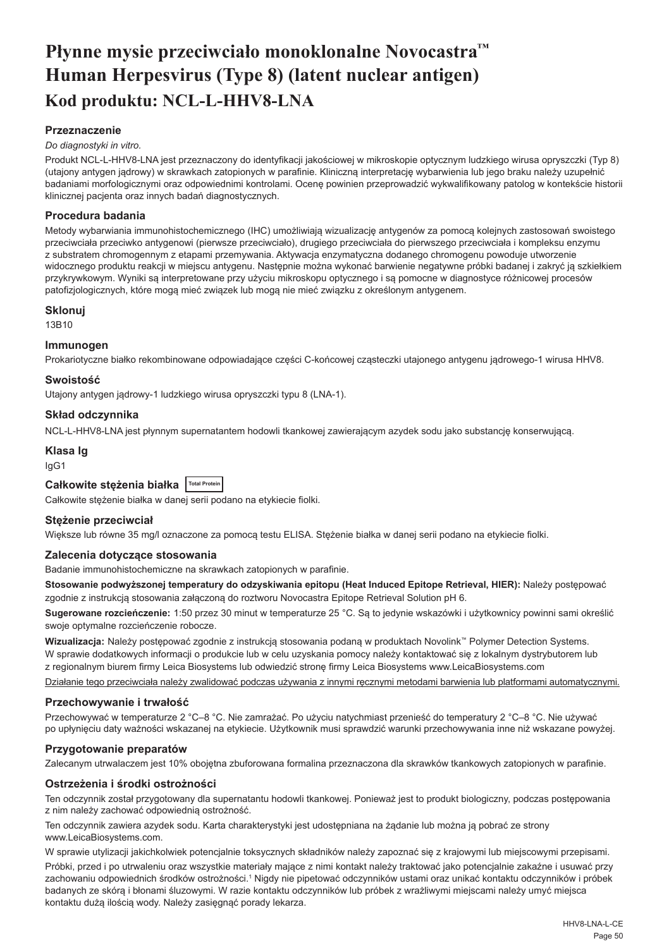## <span id="page-50-0"></span>**Płynne mysie przeciwciało monoklonalne Novocastra™ Human Herpesvirus (Type 8) (latent nuclear antigen) Kod produktu: NCL-L-HHV8-LNA**

## **Przeznaczenie**

#### *Do diagnostyki in vitro.*

Produkt NCL-L-HHV8-LNA jest przeznaczony do identyfikacji jakościowej w mikroskopie optycznym ludzkiego wirusa opryszczki (Typ 8) (utajony antygen jądrowy) w skrawkach zatopionych w parafinie. Kliniczną interpretację wybarwienia lub jego braku należy uzupełnić badaniami morfologicznymi oraz odpowiednimi kontrolami. Ocenę powinien przeprowadzić wykwalifikowany patolog w kontekście historii klinicznej pacjenta oraz innych badań diagnostycznych.

## **Procedura badania**

Metody wybarwiania immunohistochemicznego (IHC) umożliwiają wizualizację antygenów za pomocą kolejnych zastosowań swoistego przeciwciała przeciwko antygenowi (pierwsze przeciwciało), drugiego przeciwciała do pierwszego przeciwciała i kompleksu enzymu z substratem chromogennym z etapami przemywania. Aktywacja enzymatyczna dodanego chromogenu powoduje utworzenie widocznego produktu reakcji w miejscu antygenu. Następnie można wykonać barwienie negatywne próbki badanej i zakryć ją szkiełkiem przykrywkowym. Wyniki są interpretowane przy użyciu mikroskopu optycznego i są pomocne w diagnostyce różnicowej procesów patofizjologicznych, które mogą mieć związek lub mogą nie mieć związku z określonym antygenem.

#### **Sklonuj**

13B10

## **Immunogen**

Prokariotyczne białko rekombinowane odpowiadające części C-końcowej cząsteczki utajonego antygenu jądrowego-1 wirusa HHV8.

#### **Swoistość**

Utajony antygen jądrowy-1 ludzkiego wirusa opryszczki typu 8 (LNA-1).

#### **Skład odczynnika**

NCL-L-HHV8-LNA jest płynnym supernatantem hodowli tkankowej zawierającym azydek sodu jako substancję konserwującą.

## **Klasa Ig**

IgG1

| Całkowite stężenia białka   Total Protein |  |  |  |  |
|-------------------------------------------|--|--|--|--|
|-------------------------------------------|--|--|--|--|

Całkowite stężenie białka w danej serii podano na etykiecie fiolki.

## **Stężenie przeciwciał**

Większe lub równe 35 mg/l oznaczone za pomocą testu ELISA. Stężenie białka w danej serii podano na etykiecie fiolki.

## **Zalecenia dotyczące stosowania**

Badanie immunohistochemiczne na skrawkach zatopionych w parafinie.

**Stosowanie podwyższonej temperatury do odzyskiwania epitopu (Heat Induced Epitope Retrieval, HIER):** Należy postępować zgodnie z instrukcją stosowania załączoną do roztworu Novocastra Epitope Retrieval Solution pH 6.

**Sugerowane rozcieńczenie:** 1:50 przez 30 minut w temperaturze 25 °C. Są to jedynie wskazówki i użytkownicy powinni sami określić swoje optymalne rozcieńczenie robocze.

**Wizualizacja:** Należy postępować zgodnie z instrukcją stosowania podaną w produktach Novolink™ Polymer Detection Systems. W sprawie dodatkowych informacji o produkcie lub w celu uzyskania pomocy należy kontaktować się z lokalnym dystrybutorem lub z regionalnym biurem firmy Leica Biosystems lub odwiedzić stronę firmy Leica Biosystems www.LeicaBiosystems.com

Działanie tego przeciwciała należy zwalidować podczas używania z innymi ręcznymi metodami barwienia lub platformami automatycznymi.

## **Przechowywanie i trwałość**

Przechowywać w temperaturze 2 °C–8 °C. Nie zamrażać. Po użyciu natychmiast przenieść do temperatury 2 °C–8 °C. Nie używać po upłynięciu daty ważności wskazanej na etykiecie. Użytkownik musi sprawdzić warunki przechowywania inne niż wskazane powyżej.

## **Przygotowanie preparatów**

Zalecanym utrwalaczem jest 10% obojętna zbuforowana formalina przeznaczona dla skrawków tkankowych zatopionych w parafinie.

## **Ostrzeżenia i środki ostrożności**

Ten odczynnik został przygotowany dla supernatantu hodowli tkankowej. Ponieważ jest to produkt biologiczny, podczas postępowania z nim należy zachować odpowiednią ostrożność.

Ten odczynnik zawiera azydek sodu. Karta charakterystyki jest udostępniana na żądanie lub można ją pobrać ze strony www.LeicaBiosystems.com.

W sprawie utylizacji jakichkolwiek potencjalnie toksycznych składników należy zapoznać się z krajowymi lub miejscowymi przepisami.

Próbki, przed i po utrwaleniu oraz wszystkie materiały mające z nimi kontakt należy traktować jako potencjalnie zakaźne i usuwać przy zachowaniu odpowiednich środków ostrożności.1 Nigdy nie pipetować odczynników ustami oraz unikać kontaktu odczynników i próbek badanych ze skórą i błonami śluzowymi. W razie kontaktu odczynników lub próbek z wrażliwymi miejscami należy umyć miejsca kontaktu dużą ilością wody. Należy zasięgnąć porady lekarza.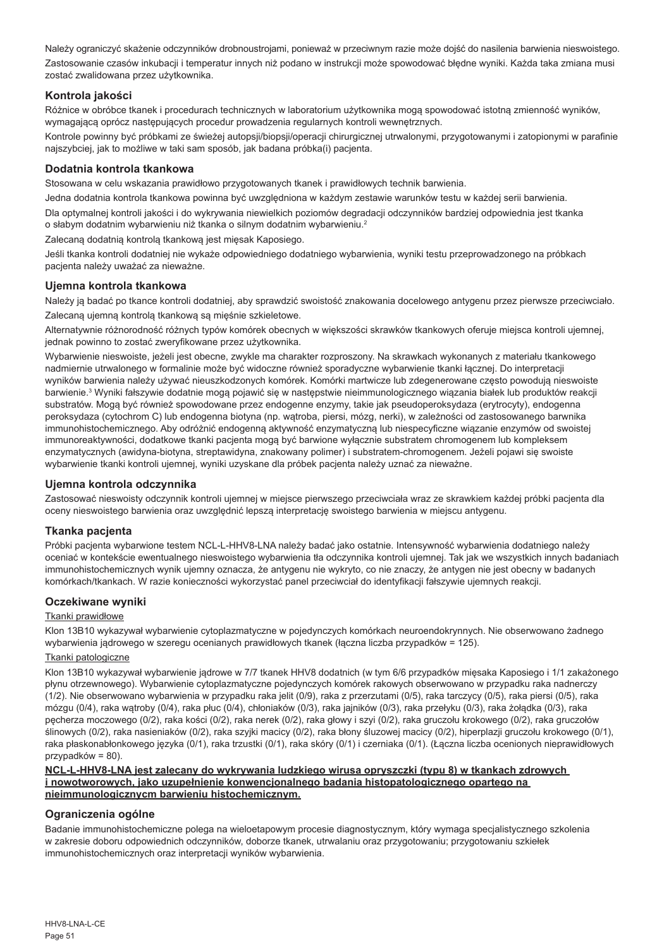Należy ograniczyć skażenie odczynników drobnoustrojami, ponieważ w przeciwnym razie może dojść do nasilenia barwienia nieswoistego. Zastosowanie czasów inkubacji i temperatur innych niż podano w instrukcji może spowodować błędne wyniki. Każda taka zmiana musi zostać zwalidowana przez użytkownika.

## **Kontrola jakości**

Różnice w obróbce tkanek i procedurach technicznych w laboratorium użytkownika mogą spowodować istotną zmienność wyników, wymagającą oprócz następujących procedur prowadzenia regularnych kontroli wewnętrznych.

Kontrole powinny być próbkami ze świeżej autopsji/biopsji/operacji chirurgicznej utrwalonymi, przygotowanymi i zatopionymi w parafinie najszybciej, jak to możliwe w taki sam sposób, jak badana próbka(i) pacjenta.

## **Dodatnia kontrola tkankowa**

Stosowana w celu wskazania prawidłowo przygotowanych tkanek i prawidłowych technik barwienia.

Jedna dodatnia kontrola tkankowa powinna być uwzględniona w każdym zestawie warunków testu w każdej serii barwienia.

Dla optymalnej kontroli jakości i do wykrywania niewielkich poziomów degradacji odczynników bardziej odpowiednia jest tkanka o słabym dodatnim wybarwieniu niż tkanka o silnym dodatnim wybarwieniu.<sup>2</sup>

Zalecaną dodatnią kontrolą tkankową jest mięsak Kaposiego.

Jeśli tkanka kontroli dodatniej nie wykaże odpowiedniego dodatniego wybarwienia, wyniki testu przeprowadzonego na próbkach pacjenta należy uważać za nieważne.

#### **Ujemna kontrola tkankowa**

Należy ją badać po tkance kontroli dodatniej, aby sprawdzić swoistość znakowania docelowego antygenu przez pierwsze przeciwciało. Zalecaną ujemną kontrolą tkankową są mięśnie szkieletowe.

Alternatywnie różnorodność różnych typów komórek obecnych w większości skrawków tkankowych oferuje miejsca kontroli ujemnej, jednak powinno to zostać zweryfikowane przez użytkownika.

Wybarwienie nieswoiste, jeżeli jest obecne, zwykle ma charakter rozproszony. Na skrawkach wykonanych z materiału tkankowego nadmiernie utrwalonego w formalinie może być widoczne również sporadyczne wybarwienie tkanki łącznej. Do interpretacji wyników barwienia należy używać nieuszkodzonych komórek. Komórki martwicze lub zdegenerowane często powodują nieswoiste barwienie.<sup>3</sup> Wyniki fałszywie dodatnie mogą pojawić się w następstwie nieimmunologicznego wiązania białek lub produktów reakcji substratów. Mogą być również spowodowane przez endogenne enzymy, takie jak pseudoperoksydaza (erytrocyty), endogenna peroksydaza (cytochrom C) lub endogenna biotyna (np. wątroba, piersi, mózg, nerki), w zależności od zastosowanego barwnika immunohistochemicznego. Aby odróżnić endogenną aktywność enzymatyczną lub niespecyficzne wiązanie enzymów od swoistej immunoreaktywności, dodatkowe tkanki pacjenta mogą być barwione wyłącznie substratem chromogenem lub kompleksem enzymatycznych (awidyna-biotyna, streptawidyna, znakowany polimer) i substratem-chromogenem. Jeżeli pojawi się swoiste wybarwienie tkanki kontroli ujemnej, wyniki uzyskane dla próbek pacjenta należy uznać za nieważne.

#### **Ujemna kontrola odczynnika**

Zastosować nieswoisty odczynnik kontroli ujemnej w miejsce pierwszego przeciwciała wraz ze skrawkiem każdej próbki pacjenta dla oceny nieswoistego barwienia oraz uwzględnić lepszą interpretację swoistego barwienia w miejscu antygenu.

## **Tkanka pacjenta**

Próbki pacjenta wybarwione testem NCL-L-HHV8-LNA należy badać jako ostatnie. Intensywność wybarwienia dodatniego należy oceniać w kontekście ewentualnego nieswoistego wybarwienia tła odczynnika kontroli ujemnej. Tak jak we wszystkich innych badaniach immunohistochemicznych wynik ujemny oznacza, że antygenu nie wykryto, co nie znaczy, że antygen nie jest obecny w badanych komórkach/tkankach. W razie konieczności wykorzystać panel przeciwciał do identyfikacji fałszywie ujemnych reakcji.

## **Oczekiwane wyniki**

#### Tkanki prawidłowe

Klon 13B10 wykazywał wybarwienie cytoplazmatyczne w pojedynczych komórkach neuroendokrynnych. Nie obserwowano żadnego wybarwienia jądrowego w szeregu ocenianych prawidłowych tkanek (łączna liczba przypadków = 125).

### Tkanki patologiczne

Klon 13B10 wykazywał wybarwienie jądrowe w 7/7 tkanek HHV8 dodatnich (w tym 6/6 przypadków mięsaka Kaposiego i 1/1 zakażonego płynu otrzewnowego). Wybarwienie cytoplazmatyczne pojedynczych komórek rakowych obserwowano w przypadku raka nadnerczy (1/2). Nie obserwowano wybarwienia w przypadku raka jelit (0/9), raka z przerzutami (0/5), raka tarczycy (0/5), raka piersi (0/5), raka mózgu (0/4), raka wątroby (0/4), raka płuc (0/4), chłoniaków (0/3), raka jajników (0/3), raka przełyku (0/3), raka żołądka (0/3), raka pęcherza moczowego (0/2), raka kości (0/2), raka nerek (0/2), raka głowy i szyi (0/2), raka gruczołu krokowego (0/2), raka gruczołów ślinowych (0/2), raka nasieniaków (0/2), raka szyjki macicy (0/2), raka błony śluzowej macicy (0/2), hiperplazji gruczołu krokowego (0/1), raka płaskonabłonkowego języka (0/1), raka trzustki (0/1), raka skóry (0/1) i czerniaka (0/1). (Łączna liczba ocenionych nieprawidłowych przypadków = 80).

#### **NCL-L-HHV8-LNA jest zalecany do wykrywania ludzkiego wirusa opryszczki (typu 8) w tkankach zdrowych i nowotworowych, jako uzupełnienie konwencjonalnego badania histopatologicznego opartego na nieimmunologicznycm barwieniu histochemicznym.**

## **Ograniczenia ogólne**

Badanie immunohistochemiczne polega na wieloetapowym procesie diagnostycznym, który wymaga specjalistycznego szkolenia w zakresie doboru odpowiednich odczynników, doborze tkanek, utrwalaniu oraz przygotowaniu; przygotowaniu szkiełek immunohistochemicznych oraz interpretacji wyników wybarwienia.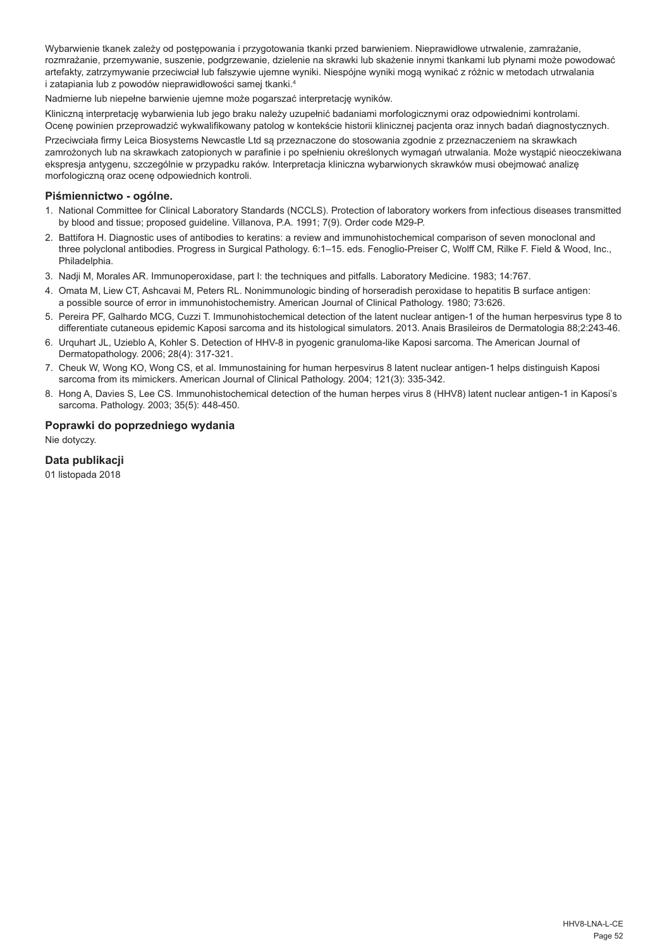Wybarwienie tkanek zależy od postępowania i przygotowania tkanki przed barwieniem. Nieprawidłowe utrwalenie, zamrażanie rozmrażanie, przemywanie, suszenie, podgrzewanie, dzielenie na skrawki lub skażenie innymi tkankami lub płynami może powodować artefakty, zatrzymywanie przeciwciał lub fałszywie ujemne wyniki. Niespójne wyniki mogą wynikać z różnic w metodach utrwalania i zatapiania lub z powodów nieprawidłowości samej tkanki.4

Nadmierne lub niepełne barwienie ujemne może pogarszać interpretację wyników.

Kliniczną interpretację wybarwienia lub jego braku należy uzupełnić badaniami morfologicznymi oraz odpowiednimi kontrolami. Ocenę powinien przeprowadzić wykwalifikowany patolog w kontekście historii klinicznej pacjenta oraz innych badań diagnostycznych. Przeciwciała firmy Leica Biosystems Newcastle Ltd są przeznaczone do stosowania zgodnie z przeznaczeniem na skrawkach zamrożonych lub na skrawkach zatopionych w parafinie i po spełnieniu określonych wymagań utrwalania. Może wystąpić nieoczekiwana ekspresja antygenu, szczególnie w przypadku raków. Interpretacja kliniczna wybarwionych skrawków musi obejmować analizę morfologiczną oraz ocenę odpowiednich kontroli.

#### **Piśmiennictwo - ogólne.**

- 1. National Committee for Clinical Laboratory Standards (NCCLS). Protection of laboratory workers from infectious diseases transmitted by blood and tissue; proposed guideline. Villanova, P.A. 1991; 7(9). Order code M29-P.
- 2. Battifora H. Diagnostic uses of antibodies to keratins: a review and immunohistochemical comparison of seven monoclonal and three polyclonal antibodies. Progress in Surgical Pathology. 6:1–15. eds. Fenoglio-Preiser C, Wolff CM, Rilke F. Field & Wood, Inc., Philadelphia.
- 3. Nadji M, Morales AR. Immunoperoxidase, part I: the techniques and pitfalls. Laboratory Medicine. 1983; 14:767.
- 4. Omata M, Liew CT, Ashcavai M, Peters RL. Nonimmunologic binding of horseradish peroxidase to hepatitis B surface antigen: a possible source of error in immunohistochemistry. American Journal of Clinical Pathology. 1980; 73:626.
- 5. Pereira PF, Galhardo MCG, Cuzzi T. Immunohistochemical detection of the latent nuclear antigen-1 of the human herpesvirus type 8 to differentiate cutaneous epidemic Kaposi sarcoma and its histological simulators. 2013. Anais Brasileiros de Dermatologia 88;2:243-46.
- 6. Urquhart JL, Uzieblo A, Kohler S. Detection of HHV-8 in pyogenic granuloma-like Kaposi sarcoma. The American Journal of Dermatopathology. 2006; 28(4): 317-321.
- 7. Cheuk W, Wong KO, Wong CS, et al. Immunostaining for human herpesvirus 8 latent nuclear antigen-1 helps distinguish Kaposi sarcoma from its mimickers. American Journal of Clinical Pathology. 2004; 121(3): 335-342.
- 8. Hong A, Davies S, Lee CS. Immunohistochemical detection of the human herpes virus 8 (HHV8) latent nuclear antigen-1 in Kaposi's sarcoma. Pathology. 2003; 35(5): 448-450.

#### **Poprawki do poprzedniego wydania**

Nie dotyczy.

## **Data publikacji**

01 listopada 2018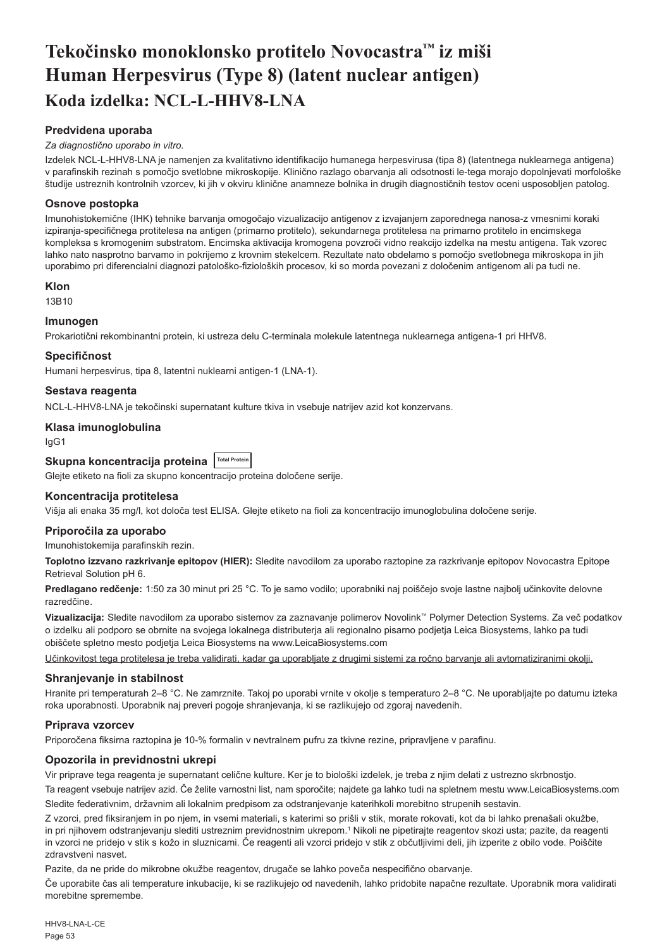## <span id="page-53-0"></span>**Tekočinsko monoklonsko protitelo Novocastra™ iz miši Human Herpesvirus (Type 8) (latent nuclear antigen) Koda izdelka: NCL-L-HHV8-LNA**

## **Predvidena uporaba**

#### *Za diagnostično uporabo in vitro.*

Izdelek NCL-L-HHV8-LNA je namenjen za kvalitativno identifikacijo humanega herpesvirusa (tipa 8) (latentnega nuklearnega antigena) v parafinskih rezinah s pomočjo svetlobne mikroskopije. Klinično razlago obarvanja ali odsotnosti le-tega morajo dopolnjevati morfološke študije ustreznih kontrolnih vzorcev, ki jih v okviru klinične anamneze bolnika in drugih diagnostičnih testov oceni usposobljen patolog.

## **Osnove postopka**

Imunohistokemične (IHK) tehnike barvanja omogočajo vizualizacijo antigenov z izvajanjem zaporednega nanosa-z vmesnimi koraki izpiranja-specifičnega protitelesa na antigen (primarno protitelo), sekundarnega protitelesa na primarno protitelo in encimskega kompleksa s kromogenim substratom. Encimska aktivacija kromogena povzroči vidno reakcijo izdelka na mestu antigena. Tak vzorec lahko nato nasprotno barvamo in pokrijemo z krovnim stekelcem. Rezultate nato obdelamo s pomočjo svetlobnega mikroskopa in jih uporabimo pri diferencialni diagnozi patološko-fizioloških procesov, ki so morda povezani z določenim antigenom ali pa tudi ne.

#### **Klon**

13B10

## **Imunogen**

Prokariotični rekombinantni protein, ki ustreza delu C-terminala molekule latentnega nuklearnega antigena-1 pri HHV8.

#### **Specifičnost**

Humani herpesvirus, tipa 8, latentni nuklearni antigen-1 (LNA-1).

## **Sestava reagenta**

NCL-L-HHV8-LNA je tekočinski supernatant kulture tkiva in vsebuje natrijev azid kot konzervans.

#### **Klasa imunoglobulina**

IgG1

## Skupna koncentracija proteina **Total Protein**

Glejte etiketo na fioli za skupno koncentracijo proteina določene serije.

#### **Koncentracija protitelesa**

Višja ali enaka 35 mg/l, kot določa test ELISA. Glejte etiketo na fioli za koncentracijo imunoglobulina določene serije.

## **Priporočila za uporabo**

Imunohistokemija parafinskih rezin.

**Toplotno izzvano razkrivanje epitopov (HIER):** Sledite navodilom za uporabo raztopine za razkrivanje epitopov Novocastra Epitope Retrieval Solution pH 6.

**Predlagano redčenje:** 1:50 za 30 minut pri 25 °C. To je samo vodilo; uporabniki naj poiščejo svoje lastne najbolj učinkovite delovne razredčine.

**Vizualizacija:** Sledite navodilom za uporabo sistemov za zaznavanje polimerov Novolink™ Polymer Detection Systems. Za več podatkov o izdelku ali podporo se obrnite na svojega lokalnega distributerja ali regionalno pisarno podjetja Leica Biosystems, lahko pa tudi obiščete spletno mesto podjetja Leica Biosystems na www.LeicaBiosystems.com

Učinkovitost tega protitelesa je treba validirati, kadar ga uporabljate z drugimi sistemi za ročno barvanje ali avtomatiziranimi okolji.

#### **Shranjevanje in stabilnost**

Hranite pri temperaturah 2–8 °C. Ne zamrznite. Takoj po uporabi vrnite v okolje s temperaturo 2–8 °C. Ne uporabljajte po datumu izteka roka uporabnosti. Uporabnik naj preveri pogoje shranjevanja, ki se razlikujejo od zgoraj navedenih.

#### **Priprava vzorcev**

Priporočena fiksirna raztopina je 10-% formalin v nevtralnem pufru za tkivne rezine, pripravljene v parafinu.

## **Opozorila in previdnostni ukrepi**

Vir priprave tega reagenta je supernatant celične kulture. Ker je to biološki izdelek, je treba z njim delati z ustrezno skrbnostjo.

Ta reagent vsebuje natrijev azid. Če želite varnostni list, nam sporočite; najdete ga lahko tudi na spletnem mestu www.LeicaBiosystems.com Sledite federativnim, državnim ali lokalnim predpisom za odstranjevanje katerihkoli morebitno strupenih sestavin.

Z vzorci, pred fiksiranjem in po njem, in vsemi materiali, s katerimi so prišli v stik, morate rokovati, kot da bi lahko prenašali okužbe, in pri njihovem odstranjevanju slediti ustreznim previdnostnim ukrepom.1 Nikoli ne pipetirajte reagentov skozi usta; pazite, da reagenti in vzorci ne pridejo v stik s kožo in sluznicami. Če reagenti ali vzorci pridejo v stik z občutljivimi deli, jih izperite z obilo vode. Poiščite zdravstveni nasvet.

Pazite, da ne pride do mikrobne okužbe reagentov, drugače se lahko poveča nespecifično obarvanje.

Če uporabite čas ali temperature inkubacije, ki se razlikujejo od navedenih, lahko pridobite napačne rezultate. Uporabnik mora validirati morebitne spremembe.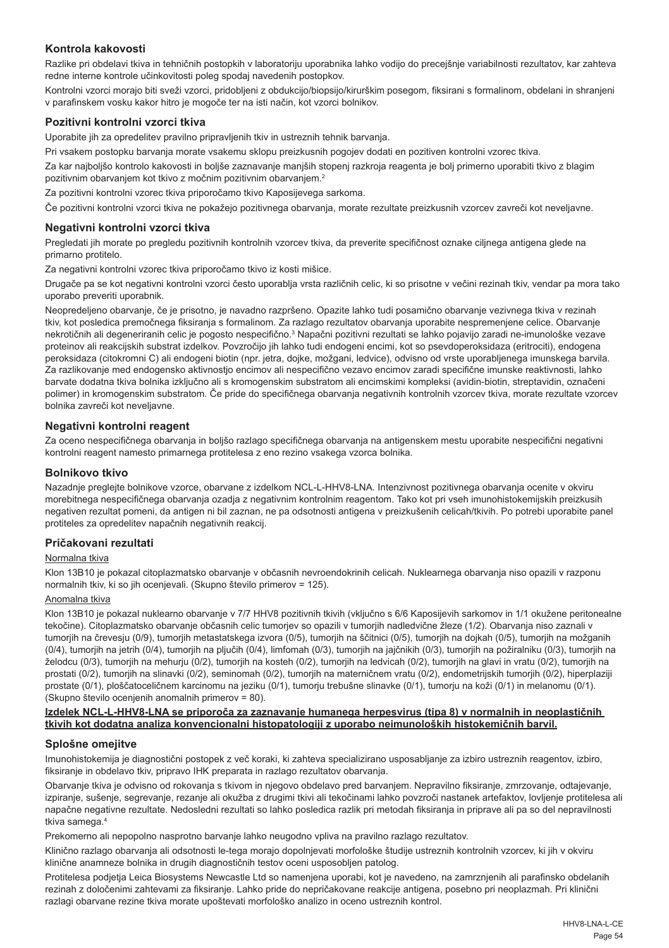## **Kontrola kakovosti**

Razlike pri obdelavi tkiva in tehničnih postopkih v laboratoriju uporabnika lahko vodijo do precejšnje variabilnosti rezultatov, kar zahteva redne interne kontrole učinkovitosti poleg spodaj navedenih postopkov.

Kontrolni vzorci morajo biti sveži vzorci, pridobljeni z obdukcijo/biopsijo/kirurškim posegom, fiksirani s formalinom, obdelani in shranjeni v parafinskem vosku kakor hitro je mogoče ter na isti način, kot vzorci bolnikov.

## **Pozitivni kontrolni vzorci tkiva**

Uporabite jih za opredelitev pravilno pripravljenih tkiv in ustreznih tehnik barvanja.

Pri vsakem postopku barvanja morate vsakemu sklopu preizkusnih pogojev dodati en pozitiven kontrolni vzorec tkiva.

Za kar najboljšo kontrolo kakovosti in boljše zaznavanje manjših stopenj razkroja reagenta je bolj primerno uporabiti tkivo z blagim pozitivnim obarvanjem kot tkivo z močnim pozitivnim obarvanjem.<sup>2</sup>

Za pozitivni kontrolni vzorec tkiva priporočamo tkivo Kaposijevega sarkoma.

Če pozitivni kontrolni vzorci tkiva ne pokažejo pozitivnega obarvanja, morate rezultate preizkusnih vzorcev zavreči kot neveljavne.

## **Negativni kontrolni vzorci tkiva**

Pregledati jih morate po pregledu pozitivnih kontrolnih vzorcev tkiva, da preverite specifičnost oznake ciljnega antigena glede na primarno protitelo.

Za negativni kontrolni vzorec tkiva priporočamo tkivo iz kosti mišice.

Drugače pa se kot negativni kontrolni vzorci često uporablja vrsta različnih celic, ki so prisotne v večini rezinah tkiv, vendar pa mora tako uporabo preveriti uporabnik.

Neopredeljeno obarvanje, če je prisotno, je navadno razpršeno. Opazite lahko tudi posamično obarvanje vezivnega tkiva v rezinah tkiv, kot posledica premočnega fiksiranja s formalinom. Za razlago rezultatov obarvanja uporabite nespremenjene celice. Obarvanje nekrotičnih ali degeneriranih celic je pogosto nespecifično.<sup>3</sup> Napačni pozitivni rezultati se lahko pojavijo zaradi ne-imunološke vezave proteinov ali reakcijskih substrat izdelkov. Povzročijo jih lahko tudi endogeni encimi, kot so psevdoperoksidaza (eritrociti), endogena peroksidaza (citokromni C) ali endogeni biotin (npr. jetra, dojke, možgani, ledvice), odvisno od vrste uporabljenega imunskega barvila. Za razlikovanje med endogensko aktivnostjo encimov ali nespecifično vezavo encimov zaradi specifične imunske reaktivnosti, lahko barvate dodatna tkiva bolnika izključno ali s kromogenskim substratom ali encimskimi kompleksi (avidin-biotin, streptavidin, označeni polimer) in kromogenskim substratom. Če pride do specifičnega obarvanja negativnih kontrolnih vzorcev tkiva, morate rezultate vzorcev bolnika zavreči kot neveljavne.

## **Negativni kontrolni reagent**

Za oceno nespecifičnega obarvanja in boljšo razlago specifičnega obarvanja na antigenskem mestu uporabite nespecifični negativni kontrolni reagent namesto primarnega protitelesa z eno rezino vsakega vzorca bolnika.

#### **Bolnikovo tkivo**

Nazadnje preglejte bolnikove vzorce, obarvane z izdelkom NCL-L-HHV8-LNA. Intenzivnost pozitivnega obarvanja ocenite v okviru morebitnega nespecifičnega obarvanja ozadja z negativnim kontrolnim reagentom. Tako kot pri vseh imunohistokemijskih preizkusih negativen rezultat pomeni, da antigen ni bil zaznan, ne pa odsotnosti antigena v preizkušenih celicah/tkivih. Po potrebi uporabite panel protiteles za opredelitev napačnih negativnih reakcij.

## **Pričakovani rezultati**

#### Normalna tkiva

Klon 13B10 je pokazal citoplazmatsko obarvanje v občasnih nevroendokrinih celicah. Nuklearnega obarvanja niso opazili v razponu normalnih tkiv, ki so jih ocenjevali. (Skupno število primerov = 125).

#### Anomalna tkiva

Klon 13B10 je pokazal nuklearno obarvanje v 7/7 HHV8 pozitivnih tkivih (vključno s 6/6 Kaposijevih sarkomov in 1/1 okužene peritonealne tekočine). Citoplazmatsko obarvanje občasnih celic tumorjev so opazili v tumorjih nadledvične žleze (1/2). Obarvanja niso zaznali v tumorjih na črevesju (0/9), tumorjih metastatskega izvora (0/5), tumorjih na ščitnici (0/5), tumorjih na dojkah (0/5), tumorjih na možganih (0/4), tumorjih na jetrih (0/4), tumorjih na pljučih (0/4), limfomah (0/3), tumorjih na jajčnikih (0/3), tumorjih na požiralniku (0/3), tumorjih na želodcu (0/3), tumorjih na mehurju (0/2), tumorjih na kosteh (0/2), tumorjih na ledvicah (0/2), tumorjih na glavi in vratu (0/2), tumorjih na prostati (0/2), tumorjih na slinavki (0/2), seminomah (0/2), tumorjih na materničnem vratu (0/2), endometrijskih tumorjih (0/2), hiperplaziji prostate (0/1), ploščatoceličnem karcinomu na jeziku (0/1), tumorju trebušne slinavke (0/1), tumorju na koži (0/1) in melanomu (0/1). (Skupno število ocenjenih anomalnih primerov = 80).

#### **Izdelek NCL-L-HHV8-LNA se priporoča za zaznavanje humanega herpesvirus (tipa 8) v normalnih in neoplastičnih tkivih kot dodatna analiza konvencionalni histopatologiji z uporabo neimunoloških histokemičnih barvil.**

## **Splošne omejitve**

Imunohistokemija je diagnostični postopek z več koraki, ki zahteva specializirano usposabljanje za izbiro ustreznih reagentov, izbiro, fiksiranje in obdelavo tkiv, pripravo IHK preparata in razlago rezultatov obarvanja.

Obarvanje tkiva je odvisno od rokovanja s tkivom in njegovo obdelavo pred barvanjem. Nepravilno fiksiranje, zmrzovanje, odtajevanje, izpiranje, sušenje, segrevanje, rezanje ali okužba z drugimi tkivi ali tekočinami lahko povzroči nastanek artefaktov, lovljenje protitelesa ali napačne negativne rezultate. Nedosledni rezultati so lahko posledica razlik pri metodah fiksiranja in priprave ali pa so del nepravilnosti tkiva samega.4

Prekomerno ali nepopolno nasprotno barvanje lahko neugodno vpliva na pravilno razlago rezultatov.

Klinično razlago obarvanja ali odsotnosti le-tega morajo dopolnjevati morfološke študije ustreznih kontrolnih vzorcev, ki jih v okviru klinične anamneze bolnika in drugih diagnostičnih testov oceni usposobljen patolog.

Protitelesa podjetja Leica Biosystems Newcastle Ltd so namenjena uporabi, kot je navedeno, na zamrznjenih ali parafinsko obdelanih rezinah z določenimi zahtevami za fiksiranje. Lahko pride do nepričakovane reakcije antigena, posebno pri neoplazmah. Pri klinični razlagi obarvane rezine tkiva morate upoštevati morfološko analizo in oceno ustreznih kontrol.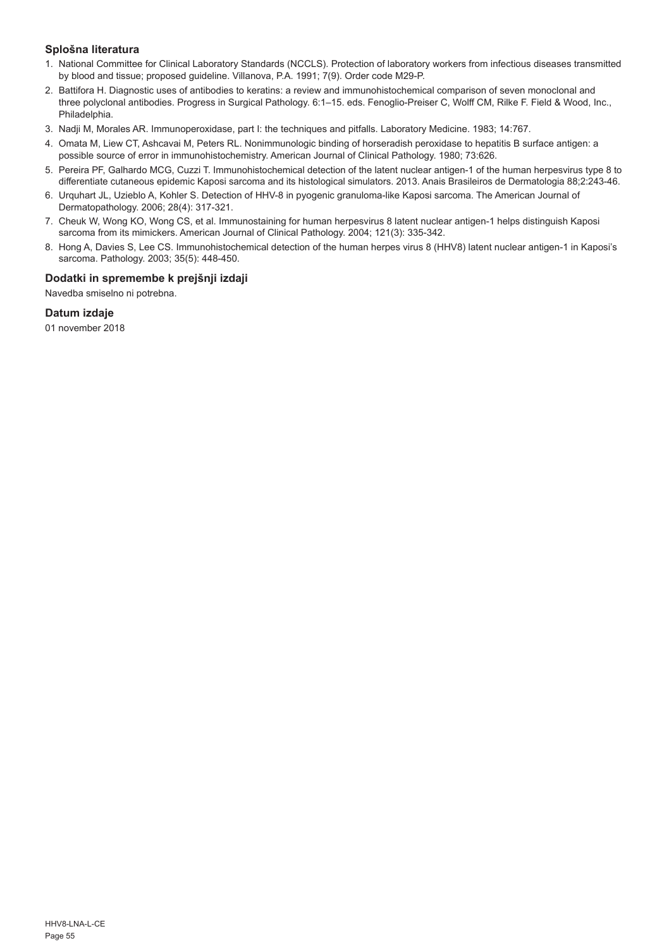## **Splošna literatura**

- 1. National Committee for Clinical Laboratory Standards (NCCLS). Protection of laboratory workers from infectious diseases transmitted by blood and tissue; proposed guideline. Villanova, P.A. 1991; 7(9). Order code M29-P.
- 2. Battifora H. Diagnostic uses of antibodies to keratins: a review and immunohistochemical comparison of seven monoclonal and three polyclonal antibodies. Progress in Surgical Pathology. 6:1–15. eds. Fenoglio-Preiser C, Wolff CM, Rilke F. Field & Wood, Inc., Philadelphia.
- 3. Nadji M, Morales AR. Immunoperoxidase, part I: the techniques and pitfalls. Laboratory Medicine. 1983; 14:767.
- 4. Omata M, Liew CT, Ashcavai M, Peters RL. Nonimmunologic binding of horseradish peroxidase to hepatitis B surface antigen: a possible source of error in immunohistochemistry. American Journal of Clinical Pathology. 1980; 73:626.
- 5. Pereira PF, Galhardo MCG, Cuzzi T. Immunohistochemical detection of the latent nuclear antigen-1 of the human herpesvirus type 8 to differentiate cutaneous epidemic Kaposi sarcoma and its histological simulators. 2013. Anais Brasileiros de Dermatologia 88;2:243-46.
- 6. Urquhart JL, Uzieblo A, Kohler S. Detection of HHV-8 in pyogenic granuloma-like Kaposi sarcoma. The American Journal of Dermatopathology. 2006; 28(4): 317-321.
- 7. Cheuk W, Wong KO, Wong CS, et al. Immunostaining for human herpesvirus 8 latent nuclear antigen-1 helps distinguish Kaposi sarcoma from its mimickers. American Journal of Clinical Pathology. 2004; 121(3): 335-342.
- 8. Hong A, Davies S, Lee CS. Immunohistochemical detection of the human herpes virus 8 (HHV8) latent nuclear antigen-1 in Kaposi's sarcoma. Pathology. 2003; 35(5): 448-450.

## **Dodatki in spremembe k prejšnji izdaji**

Navedba smiselno ni potrebna.

## **Datum izdaje**

01 november 2018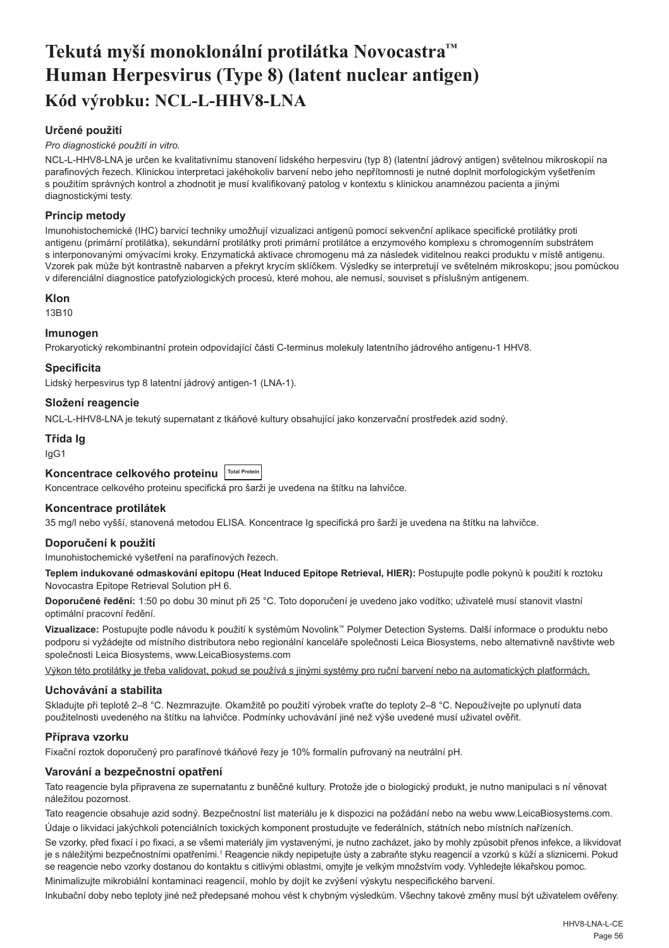## <span id="page-56-0"></span>**Tekutá myší monoklonální protilátka Novocastra™ Human Herpesvirus (Type 8) (latent nuclear antigen) Kód výrobku: NCL-L-HHV8-LNA**

## **Určené použití**

#### *Pro diagnostické použití in vitro.*

NCL-L-HHV8-LNA je určen ke kvalitativnímu stanovení lidského herpesviru (typ 8) (latentní jádrový antigen) světelnou mikroskopií na parafinových řezech. Klinickou interpretaci jakéhokoliv barvení nebo jeho nepřítomnosti je nutné doplnit morfologickým vyšetřením s použitím správných kontrol a zhodnotit je musí kvalifikovaný patolog v kontextu s klinickou anamnézou pacienta a jinými diagnostickými testy.

#### **Princip metody**

Imunohistochemické (IHC) barvicí techniky umožňují vizualizaci antigenů pomocí sekvenční aplikace specifické protilátky proti antigenu (primární protilátka), sekundární protilátky proti primární protilátce a enzymového komplexu s chromogenním substrátem s interponovanými omývacími kroky. Enzymatická aktivace chromogenu má za následek viditelnou reakci produktu v místě antigenu. Vzorek pak může být kontrastně nabarven a překryt krycím sklíčkem. Výsledky se interpretují ve světelném mikroskopu; jsou pomůckou v diferenciální diagnostice patofyziologických procesů, které mohou, ale nemusí, souviset s příslušným antigenem.

### **Klon**

13B10

#### **Imunogen**

Prokaryotický rekombinantní protein odpovídající části C-terminus molekuly latentního jádrového antigenu-1 HHV8.

#### **Specificita**

Lidský herpesvirus typ 8 latentní jádrový antigen-1 (LNA-1).

#### **Složení reagencie**

NCL-L-HHV8-LNA je tekutý supernatant z tkáňové kultury obsahující jako konzervační prostředek azid sodný.

## **Třída Ig**

IgG1

## Koncentrace celkového proteinu <sup>Trotal Protein</sub></sup>

Koncentrace celkového proteinu specifická pro šarži je uvedena na štítku na lahvičce.

#### **Koncentrace protilátek**

35 mg/l nebo vyšší, stanovená metodou ELISA. Koncentrace Ig specifická pro šarži je uvedena na štítku na lahvičce.

#### **Doporučení k použití**

Imunohistochemické vyšetření na parafínových řezech.

**Teplem indukované odmaskování epitopu (Heat Induced Epitope Retrieval, HIER):** Postupujte podle pokynů k použití k roztoku Novocastra Epitope Retrieval Solution pH 6.

**Doporučené ředění:** 1:50 po dobu 30 minut při 25 °C. Toto doporučení je uvedeno jako vodítko; uživatelé musí stanovit vlastní optimální pracovní ředění.

**Vizualizace:** Postupujte podle návodu k použití k systémům Novolink™ Polymer Detection Systems. Další informace o produktu nebo podporu si vyžádejte od místního distributora nebo regionální kanceláře společnosti Leica Biosystems, nebo alternativně navštivte web společnosti Leica Biosystems, www.LeicaBiosystems.com

Výkon této protilátky je třeba validovat, pokud se používá s jinými systémy pro ruční barvení nebo na automatických platformách.

## **Uchovávání a stabilita**

Skladujte při teplotě 2–8 °C. Nezmrazujte. Okamžitě po použití výrobek vraťte do teploty 2–8 °C. Nepoužívejte po uplynutí data použitelnosti uvedeného na štítku na lahvičce. Podmínky uchovávání jiné než výše uvedené musí uživatel ověřit.

#### **Příprava vzorku**

Fixační roztok doporučený pro parafínové tkáňové řezy je 10% formalín pufrovaný na neutrální pH.

#### **Varování a bezpečnostní opatření**

Tato reagencie byla připravena ze supernatantu z buněčné kultury. Protože jde o biologický produkt, je nutno manipulaci s ní věnovat náležitou pozornost.

Tato reagencie obsahuje azid sodný. Bezpečnostní list materiálu je k dispozici na požádání nebo na webu www.LeicaBiosystems.com. Údaje o likvidaci jakýchkoli potenciálních toxických komponent prostudujte ve federálních, státních nebo místních nařízeních.

Se vzorky, před fixací i po fixaci, a se všemi materiály jim vystavenými, je nutno zacházet, jako by mohly způsobit přenos infekce, a likvidovat je s náležitými bezpečnostními opatřeními.1 Reagencie nikdy nepipetujte ústy a zabraňte styku reagencií a vzorků s kůží a sliznicemi. Pokud se reagencie nebo vzorky dostanou do kontaktu s citlivými oblastmi, omyjte je velkým množstvím vody. Vyhledejte lékařskou pomoc. Minimalizujte mikrobiální kontaminaci reagencií, mohlo by dojít ke zvýšení výskytu nespecifického barvení.

Inkubační doby nebo teploty jiné než předepsané mohou vést k chybným výsledkům. Všechny takové změny musí být uživatelem ověřeny.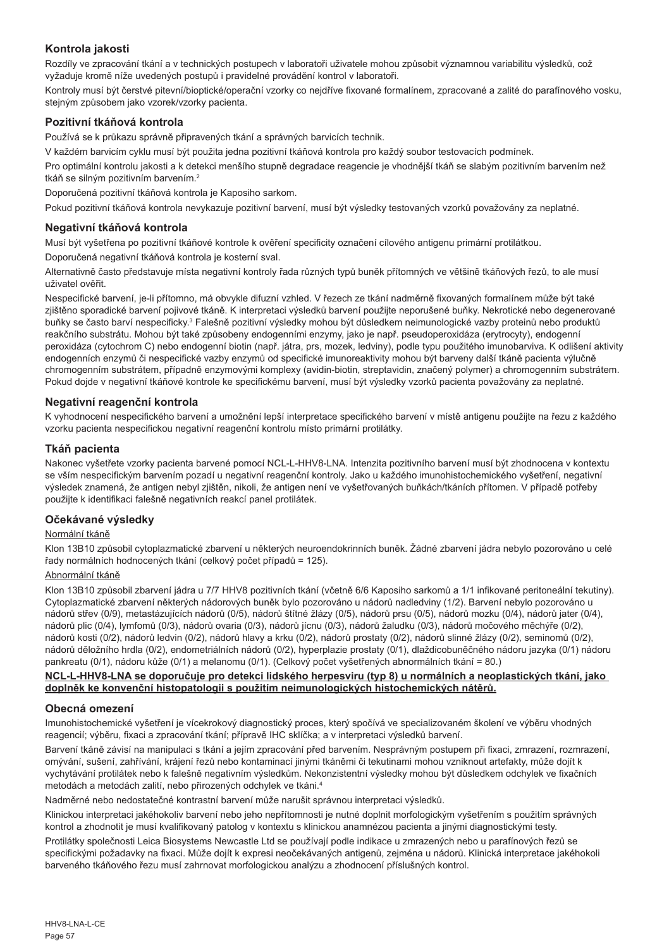## **Kontrola jakosti**

Rozdíly ve zpracování tkání a v technických postupech v laboratoři uživatele mohou způsobit významnou variabilitu výsledků, což vyžaduje kromě níže uvedených postupů i pravidelné provádění kontrol v laboratoři.

Kontroly musí být čerstvé pitevní/bioptické/operační vzorky co nejdříve fixované formalínem, zpracované a zalité do parafínového vosku, stejným způsobem jako vzorek/vzorky pacienta.

## **Pozitivní tkáňová kontrola**

Používá se k průkazu správně připravených tkání a správných barvicích technik.

V každém barvicím cyklu musí být použita jedna pozitivní tkáňová kontrola pro každý soubor testovacích podmínek.

Pro optimální kontrolu jakosti a k detekci menšího stupně degradace reagencie je vhodnější tkáň se slabým pozitivním barvením než tkáň se silným pozitivním barvením.<sup>2</sup>

Doporučená pozitivní tkáňová kontrola je Kaposiho sarkom.

Pokud pozitivní tkáňová kontrola nevykazuje pozitivní barvení, musí být výsledky testovaných vzorků považovány za neplatné.

## **Negativní tkáňová kontrola**

Musí být vyšetřena po pozitivní tkáňové kontrole k ověření specificity označení cílového antigenu primární protilátkou.

Doporučená negativní tkáňová kontrola je kosterní sval.

Alternativně často představuje místa negativní kontroly řada různých typů buněk přítomných ve většině tkáňových řezů, to ale musí uživatel ověřit.

Nespecifické barvení, je-li přítomno, má obvykle difuzní vzhled. V řezech ze tkání nadměrně fixovaných formalínem může být také zjištěno sporadické barvení pojivové tkáně. K interpretaci výsledků barvení použijte neporušené buňky. Nekrotické nebo degenerované buňky se často barví nespecificky.<sup>з</sup> Falešně pozitivní výsledky mohou být důsledkem neimunologické vazby proteinů nebo produktů reakčního substrátu. Mohou být také způsobeny endogenními enzymy, jako je např. pseudoperoxidáza (erytrocyty), endogenní peroxidáza (cytochrom C) nebo endogenní biotin (např. játra, prs, mozek, ledviny), podle typu použitého imunobarviva. K odlišení aktivity endogenních enzymů či nespecifické vazby enzymů od specifické imunoreaktivity mohou být barveny další tkáně pacienta výlučně chromogenním substrátem, případně enzymovými komplexy (avidin-biotin, streptavidin, značený polymer) a chromogenním substrátem. Pokud dojde v negativní tkáňové kontrole ke specifickému barvení, musí být výsledky vzorků pacienta považovány za neplatné.

## **Negativní reagenční kontrola**

K vyhodnocení nespecifického barvení a umožnění lepší interpretace specifického barvení v místě antigenu použijte na řezu z každého vzorku pacienta nespecifickou negativní reagenční kontrolu místo primární protilátky.

## **Tkáň pacienta**

Nakonec vyšetřete vzorky pacienta barvené pomocí NCL-L-HHV8-LNA. Intenzita pozitivního barvení musí být zhodnocena v kontextu se vším nespecifickým barvením pozadí u negativní reagenční kontroly. Jako u každého imunohistochemického vyšetření, negativní výsledek znamená, že antigen nebyl zjištěn, nikoli, že antigen není ve vyšetřovaných buňkách/tkáních přítomen. V případě potřeby použijte k identifikaci falešně negativních reakcí panel protilátek.

## **Očekávané výsledky**

## Normální tkáně

Klon 13B10 způsobil cytoplazmatické zbarvení u některých neuroendokrinních buněk. Žádné zbarvení jádra nebylo pozorováno u celé řady normálních hodnocených tkání (celkový počet případů = 125).

## Abnormální tkáně

Klon 13B10 způsobil zbarvení jádra u 7/7 HHV8 pozitivních tkání (včetně 6/6 Kaposiho sarkomů a 1/1 infikované peritoneální tekutiny). Cytoplazmatické zbarvení některých nádorových buněk bylo pozorováno u nádorů nadledviny (1/2). Barvení nebylo pozorováno u nádorů střev (0/9), metastázujících nádorů (0/5), nádorů štítné žlázy (0/5), nádorů prsu (0/5), nádorů mozku (0/4), nádorů jater (0/4), nádorů plic (0/4), lymfomů (0/3), nádorů ovaria (0/3), nádorů jícnu (0/3), nádorů žaludku (0/3), nádorů močového měchýře (0/2), nádorů kosti (0/2), nádorů ledvin (0/2), nádorů hlavy a krku (0/2), nádorů prostaty (0/2), nádorů slinné žlázy (0/2), seminomů (0/2), nádorů děložního hrdla (0/2), endometriálních nádorů (0/2), hyperplazie prostaty (0/1), dlaždicobuněčného nádoru jazyka (0/1) nádoru pankreatu (0/1), nádoru kůže (0/1) a melanomu (0/1). (Celkový počet vyšetřených abnormálních tkání = 80.)

#### **NCL-L-HHV8-LNA se doporučuje pro detekci lidského herpesviru (typ 8) u normálních a neoplastických tkání, jako doplněk ke konvenční histopatologii s použitím neimunologických histochemických nátěrů.**

## **Obecná omezení**

Imunohistochemické vyšetření je vícekrokový diagnostický proces, který spočívá ve specializovaném školení ve výběru vhodných reagencií; výběru, fixaci a zpracování tkání; přípravě IHC sklíčka; a v interpretaci výsledků barvení.

Barvení tkáně závisí na manipulaci s tkání a jejím zpracování před barvením. Nesprávným postupem při fixaci, zmrazení, rozmrazení, omývání, sušení, zahřívání, krájení řezů nebo kontaminací jinými tkáněmi či tekutinami mohou vzniknout artefakty, může dojít k vychytávání protilátek nebo k falešně negativním výsledkům. Nekonzistentní výsledky mohou být důsledkem odchylek ve fixačních metodách a metodách zalití, nebo přirozených odchylek ve tkáni.4

Nadměrné nebo nedostatečné kontrastní barvení může narušit správnou interpretaci výsledků.

Klinickou interpretaci jakéhokoliv barvení nebo jeho nepřítomnosti je nutné doplnit morfologickým vyšetřením s použitím správných kontrol a zhodnotit je musí kvalifikovaný patolog v kontextu s klinickou anamnézou pacienta a jinými diagnostickými testy.

Protilátky společnosti Leica Biosystems Newcastle Ltd se používají podle indikace u zmrazených nebo u parafínových řezů se specifickými požadavky na fixaci. Může dojít k expresi neočekávaných antigenů, zejména u nádorů. Klinická interpretace jakéhokoli barveného tkáňového řezu musí zahrnovat morfologickou analýzu a zhodnocení příslušných kontrol.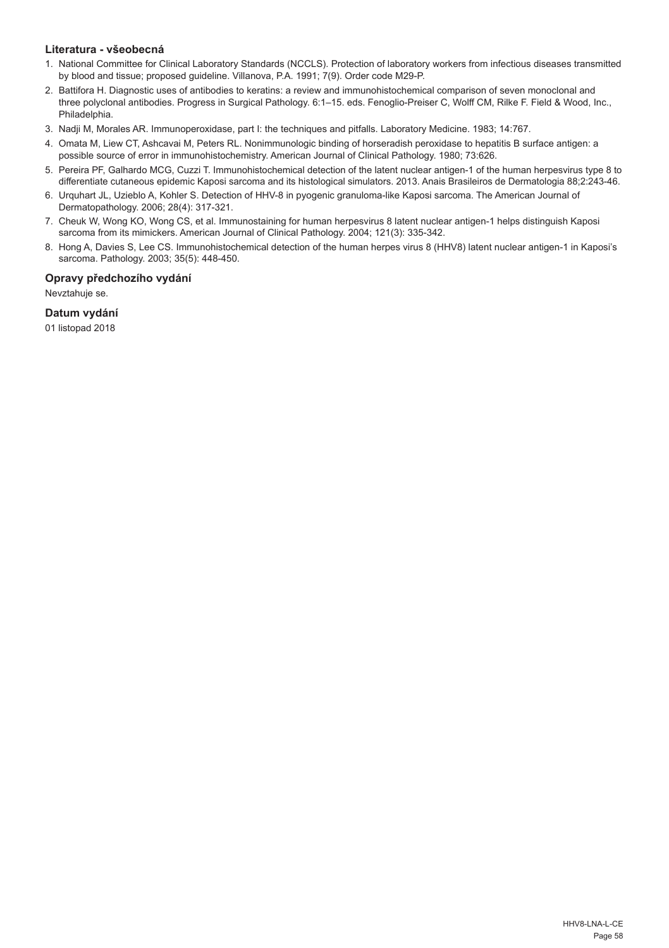## **Literatura - všeobecná**

- 1. National Committee for Clinical Laboratory Standards (NCCLS). Protection of laboratory workers from infectious diseases transmitted by blood and tissue; proposed guideline. Villanova, P.A. 1991; 7(9). Order code M29-P.
- 2. Battifora H. Diagnostic uses of antibodies to keratins: a review and immunohistochemical comparison of seven monoclonal and three polyclonal antibodies. Progress in Surgical Pathology. 6:1–15. eds. Fenoglio-Preiser C, Wolff CM, Rilke F. Field & Wood, Inc., Philadelphia.
- 3. Nadji M, Morales AR. Immunoperoxidase, part I: the techniques and pitfalls. Laboratory Medicine. 1983; 14:767.
- 4. Omata M, Liew CT, Ashcavai M, Peters RL. Nonimmunologic binding of horseradish peroxidase to hepatitis B surface antigen: a possible source of error in immunohistochemistry. American Journal of Clinical Pathology. 1980; 73:626.
- 5. Pereira PF, Galhardo MCG, Cuzzi T. Immunohistochemical detection of the latent nuclear antigen-1 of the human herpesvirus type 8 to differentiate cutaneous epidemic Kaposi sarcoma and its histological simulators. 2013. Anais Brasileiros de Dermatologia 88;2:243-46.
- 6. Urquhart JL, Uzieblo A, Kohler S. Detection of HHV-8 in pyogenic granuloma-like Kaposi sarcoma. The American Journal of Dermatopathology. 2006; 28(4): 317-321.
- 7. Cheuk W, Wong KO, Wong CS, et al. Immunostaining for human herpesvirus 8 latent nuclear antigen-1 helps distinguish Kaposi sarcoma from its mimickers. American Journal of Clinical Pathology. 2004; 121(3): 335-342.
- 8. Hong A, Davies S, Lee CS. Immunohistochemical detection of the human herpes virus 8 (HHV8) latent nuclear antigen-1 in Kaposi's sarcoma. Pathology. 2003; 35(5): 448-450.

## **Opravy předchozího vydání**

Nevztahuje se.

## **Datum vydání**

01 listopad 2018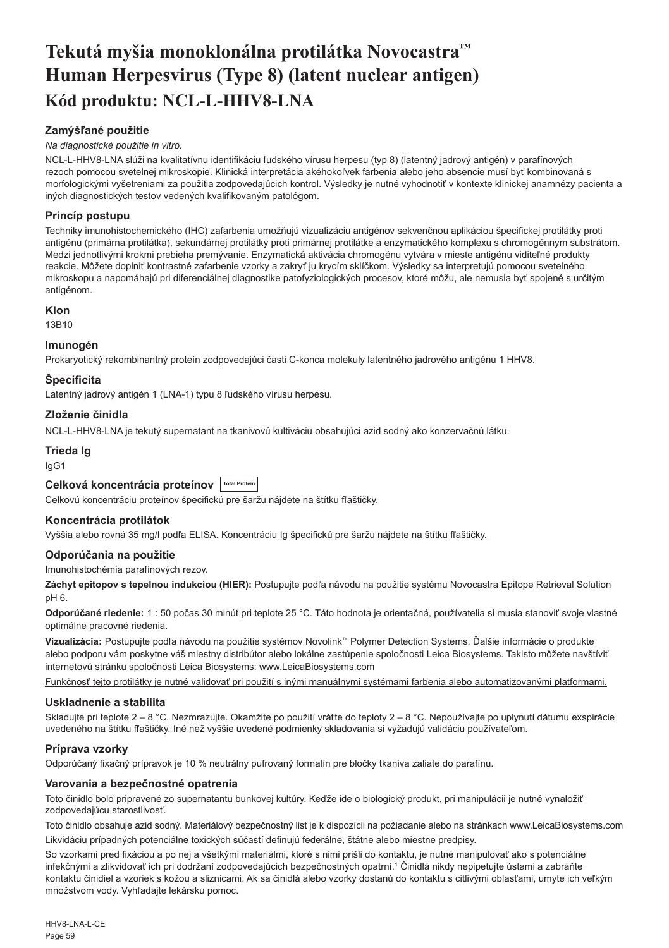## <span id="page-59-0"></span>**Tekutá myšia monoklonálna protilátka Novocastra™ Human Herpesvirus (Type 8) (latent nuclear antigen) Kód produktu: NCL-L-HHV8-LNA**

## **Zamýšľané použitie**

#### *Na diagnostické použitie in vitro.*

NCL-L-HHV8-LNA slúži na kvalitatívnu identifikáciu ľudského vírusu herpesu (typ 8) (latentný jadrový antigén) v parafínových rezoch pomocou svetelnej mikroskopie. Klinická interpretácia akéhokoľvek farbenia alebo jeho absencie musí byť kombinovaná s morfologickými vyšetreniami za použitia zodpovedajúcich kontrol. Výsledky je nutné vyhodnotiť v kontexte klinickej anamnézy pacienta a iných diagnostických testov vedených kvalifikovaným patológom.

## **Princíp postupu**

Techniky imunohistochemického (IHC) zafarbenia umožňujú vizualizáciu antigénov sekvenčnou aplikáciou špecifickej protilátky proti antigénu (primárna protilátka), sekundárnej protilátky proti primárnej protilátke a enzymatického komplexu s chromogénnym substrátom. Medzi jednotlivými krokmi prebieha premývanie. Enzymatická aktivácia chromogénu vytvára v mieste antigénu viditeľné produkty reakcie. Môžete doplniť kontrastné zafarbenie vzorky a zakryť ju krycím sklíčkom. Výsledky sa interpretujú pomocou svetelného mikroskopu a napomáhajú pri diferenciálnej diagnostike patofyziologických procesov, ktoré môžu, ale nemusia byť spojené s určitým antigénom.

## **Klon**

13B10

## **Imunogén**

Prokaryotický rekombinantný proteín zodpovedajúci časti C-konca molekuly latentného iadrového antigénu 1 HHV8.

## **Špecificita**

Latentný jadrový antigén 1 (LNA-1) typu 8 ľudského vírusu herpesu.

## **Zloženie činidla**

NCL-L-HHV8-LNA je tekutý supernatant na tkanivovú kultiváciu obsahujúci azid sodný ako konzervačnú látku.

## **Trieda Ig**

IgG1

## **Celková koncentrácia proteínov Total Protein**

Celkovú koncentráciu proteínov špecifickú pre šaržu nájdete na štítku fľaštičky.

## **Koncentrácia protilátok**

Vyššia alebo rovná 35 mg/l podľa ELISA. Koncentráciu Ig špecifickú pre šaržu nájdete na štítku fľaštičky.

## **Odporúčania na použitie**

Imunohistochémia parafínových rezov.

**Záchyt epitopov s tepelnou indukciou (HIER):** Postupujte podľa návodu na použitie systému Novocastra Epitope Retrieval Solution pH 6.

**Odporúčané riedenie:** 1 : 50 počas 30 minút pri teplote 25 °C. Táto hodnota je orientačná, používatelia si musia stanoviť svoje vlastné optimálne pracovné riedenia.

**Vizualizácia:** Postupujte podľa návodu na použitie systémov Novolink™ Polymer Detection Systems. Ďalšie informácie o produkte alebo podporu vám poskytne váš miestny distribútor alebo lokálne zastúpenie spoločnosti Leica Biosystems. Takisto môžete navštíviť internetovú stránku spoločnosti Leica Biosystems: www.LeicaBiosystems.com

Funkčnosť tejto protilátky je nutné validovať pri použití s inými manuálnymi systémami farbenia alebo automatizovanými platformami.

## **Uskladnenie a stabilita**

Skladujte pri teplote 2 – 8 °C. Nezmrazujte. Okamžite po použití vráťte do teploty 2 – 8 °C. Nepoužívajte po uplynutí dátumu exspirácie uvedeného na štítku fľaštičky. Iné než vyššie uvedené podmienky skladovania si vyžadujú validáciu používateľom.

## **Príprava vzorky**

Odporúčaný fixačný prípravok je 10 % neutrálny pufrovaný formalín pre bločky tkaniva zaliate do parafínu.

#### **Varovania a bezpečnostné opatrenia**

Toto činidlo bolo pripravené zo supernatantu bunkovej kultúry. Keďže ide o biologický produkt, pri manipulácii je nutné vynaložiť zodpovedajúcu starostlivosť.

Toto činidlo obsahuje azid sodný. Materiálový bezpečnostný list je k dispozícii na požiadanie alebo na stránkach www.LeicaBiosystems.com Likvidáciu prípadných potenciálne toxických súčastí definujú federálne, štátne alebo miestne predpisy.

So vzorkami pred fixáciou a po nej a všetkými materiálmi, ktoré s nimi prišli do kontaktu, je nutné manipulovať ako s potenciálne infekčnými a zlikvidovať ich pri dodržaní zodpovedajúcich bezpečnostných opatrní.<sup>1</sup> Činidlá nikdy nepipetujte ústami a zabráňte kontaktu činidiel a vzoriek s kožou a sliznicami. Ak sa činidlá alebo vzorky dostanú do kontaktu s citlivými oblasťami, umyte ich veľkým množstvom vody. Vyhľadajte lekársku pomoc.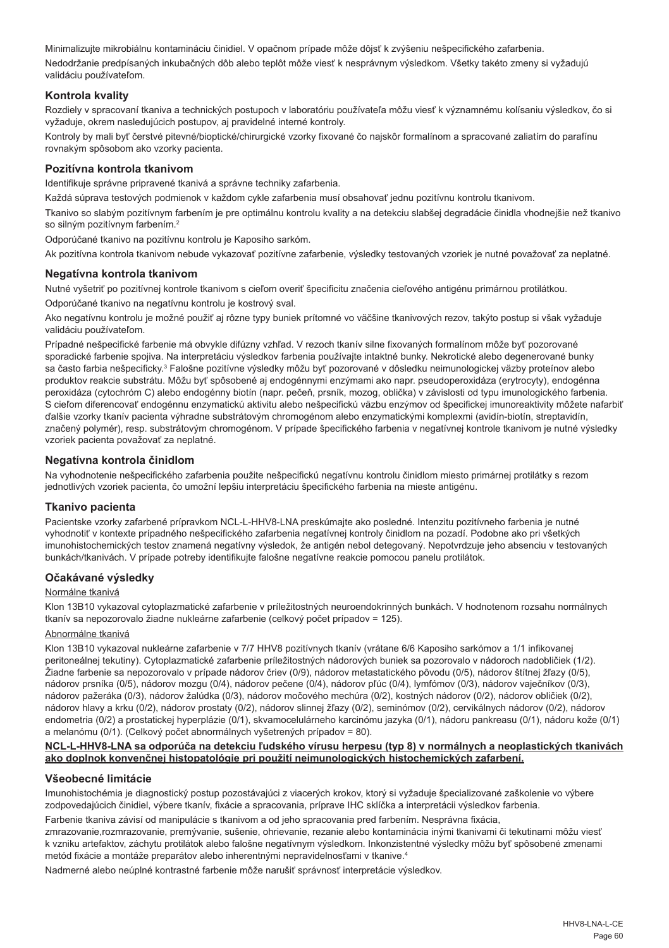Minimalizujte mikrobiálnu kontamináciu činidiel. V opačnom prípade môže dôjsť k zvýšeniu nešpecifického zafarbenia. Nedodržanie predpísaných inkubačných dôb alebo teplôt môže viesť k nesprávnym výsledkom. Všetky takéto zmeny si vyžadujú validáciu používateľom.

## **Kontrola kvality**

Rozdiely v spracovaní tkaniva a technických postupoch v laboratóriu používateľa môžu viesť k významnému kolísaniu výsledkov, čo si vyžaduje, okrem nasledujúcich postupov, aj pravidelné interné kontroly.

Kontroly by mali byť čerstvé pitevné/bioptické/chirurgické vzorky fixované čo najskôr formalínom a spracované zaliatím do parafínu rovnakým spôsobom ako vzorky pacienta.

#### **Pozitívna kontrola tkanivom**

Identifikuje správne pripravené tkanivá a správne techniky zafarbenia.

Každá súprava testových podmienok v každom cykle zafarbenia musí obsahovať jednu pozitívnu kontrolu tkanivom.

Tkanivo so slabým pozitívnym farbením je pre optimálnu kontrolu kvality a na detekciu slabšej degradácie činidla vhodnejšie než tkanivo so silným pozitívnym farbením.<sup>2</sup>

Odporúčané tkanivo na pozitívnu kontrolu je Kaposiho sarkóm.

Ak pozitívna kontrola tkanivom nebude vykazovať pozitívne zafarbenie, výsledky testovaných vzoriek je nutné považovať za neplatné.

#### **Negatívna kontrola tkanivom**

Nutné vyšetriť po pozitívnej kontrole tkanivom s cieľom overiť špecificitu značenia cieľového antigénu primárnou protilátkou.

Odporúčané tkanivo na negatívnu kontrolu je kostrový sval.

Ako negatívnu kontrolu je možné použiť aj rôzne typy buniek prítomné vo väčšine tkanivových rezov, takýto postup si však vyžaduje validáciu používateľom.

Prípadné nešpecifické farbenie má obvykle difúzny vzhľad. V rezoch tkanív silne fixovaných formalínom môže byť pozorované sporadické farbenie spojiva. Na interpretáciu výsledkov farbenia používajte intaktné bunky. Nekrotické alebo degenerované bunky sa často farbia nešpecificky.<sup>3</sup> Falošne pozitívne výsledky môžu byť pozorované v dôsledku neimunologickej väzby proteínov alebo produktov reakcie substrátu. Môžu byť spôsobené aj endogénnymi enzýmami ako napr. pseudoperoxidáza (erytrocyty), endogénna peroxidáza (cytochróm C) alebo endogénny biotín (napr. pečeň, prsník, mozog, oblička) v závislosti od typu imunologického farbenia. S cieľom diferencovať endogénnu enzymatickú aktivitu alebo nešpecifickú väzbu enzýmov od špecifickej imunoreaktivity môžete nafarbiť ďalšie vzorky tkanív pacienta výhradne substrátovým chromogénom alebo enzymatickými komplexmi (avidín-biotín, streptavidín, značený polymér), resp. substrátovým chromogénom. V prípade špecifického farbenia v negatívnej kontrole tkanivom je nutné výsledky vzoriek pacienta považovať za neplatné.

#### **Negatívna kontrola činidlom**

Na vyhodnotenie nešpecifického zafarbenia použite nešpecifickú negatívnu kontrolu činidlom miesto primárnej protilátky s rezom jednotlivých vzoriek pacienta, čo umožní lepšiu interpretáciu špecifického farbenia na mieste antigénu.

#### **Tkanivo pacienta**

Pacientske vzorky zafarbené prípravkom NCL-L-HHV8-LNA preskúmajte ako posledné. Intenzitu pozitívneho farbenia je nutné vyhodnotiť v kontexte prípadného nešpecifického zafarbenia negatívnej kontroly činidlom na pozadí. Podobne ako pri všetkých imunohistochemických testov znamená negatívny výsledok, že antigén nebol detegovaný. Nepotvrdzuje jeho absenciu v testovaných bunkách/tkanivách. V prípade potreby identifikujte falošne negatívne reakcie pomocou panelu protilátok.

#### **Očakávané výsledky**

#### Normálne tkanivá

Klon 13B10 vykazoval cytoplazmatické zafarbenie v príležitostných neuroendokrinných bunkách. V hodnotenom rozsahu normálnych tkanív sa nepozorovalo žiadne nukleárne zafarbenie (celkový počet prípadov = 125).

#### Abnormálne tkanivá

Klon 13B10 vykazoval nukleárne zafarbenie v 7/7 HHV8 pozitívnych tkanív (vrátane 6/6 Kaposiho sarkómov a 1/1 infikovanej peritoneálnej tekutiny). Cytoplazmatické zafarbenie príležitostných nádorových buniek sa pozorovalo v nádoroch nadobličiek (1/2). Žiadne farbenie sa nepozorovalo v prípade nádorov čriev (0/9), nádorov metastatického pôvodu (0/5), nádorov štítnej žľazy (0/5), nádorov prsníka (0/5), nádorov mozgu (0/4), nádorov pečene (0/4), nádorov pľúc (0/4), lymfómov (0/3), nádorov vaječníkov (0/3), nádorov pažeráka (0/3), nádorov žalúdka (0/3), nádorov močového mechúra (0/2), kostných nádorov (0/2), nádorov obličiek (0/2), nádorov hlavy a krku (0/2), nádorov prostaty (0/2), nádorov slinnej žľazy (0/2), seminómov (0/2), cervikálnych nádorov (0/2), nádorov endometria (0/2) a prostatickej hyperplázie (0/1), skvamocelulárneho karcinómu jazyka (0/1), nádoru pankreasu (0/1), nádoru kože (0/1) a melanómu (0/1). (Celkový počet abnormálnych vyšetrených prípadov = 80).

#### **NCL-L-HHV8-LNA sa odporúča na detekciu ľudského vírusu herpesu (typ 8) v normálnych a neoplastických tkanivách ako doplnok konvenčnej histopatológie pri použití neimunologických histochemických zafarbení.**

#### **Všeobecné limitácie**

Imunohistochémia je diagnostický postup pozostávajúci z viacerých krokov, ktorý si vyžaduje špecializované zaškolenie vo výbere zodpovedajúcich činidiel, výbere tkanív, fixácie a spracovania, príprave IHC sklíčka a interpretácii výsledkov farbenia.

Farbenie tkaniva závisí od manipulácie s tkanivom a od jeho spracovania pred farbením. Nesprávna fixácia,

zmrazovanie, rozmrazovanie, premývanie, sušenie, ohrievanie, rezanie alebo kontaminácia inými tkanivami či tekutinami môžu viesť k vzniku artefaktov, záchytu protilátok alebo falošne negatívnym výsledkom. Inkonzistentné výsledky môžu byť spôsobené zmenami metód fixácie a montáže preparátov alebo inherentnými nepravidelnosťami v tkanive.4

Nadmerné alebo neúplné kontrastné farbenie môže narušiť správnosť interpretácie výsledkov.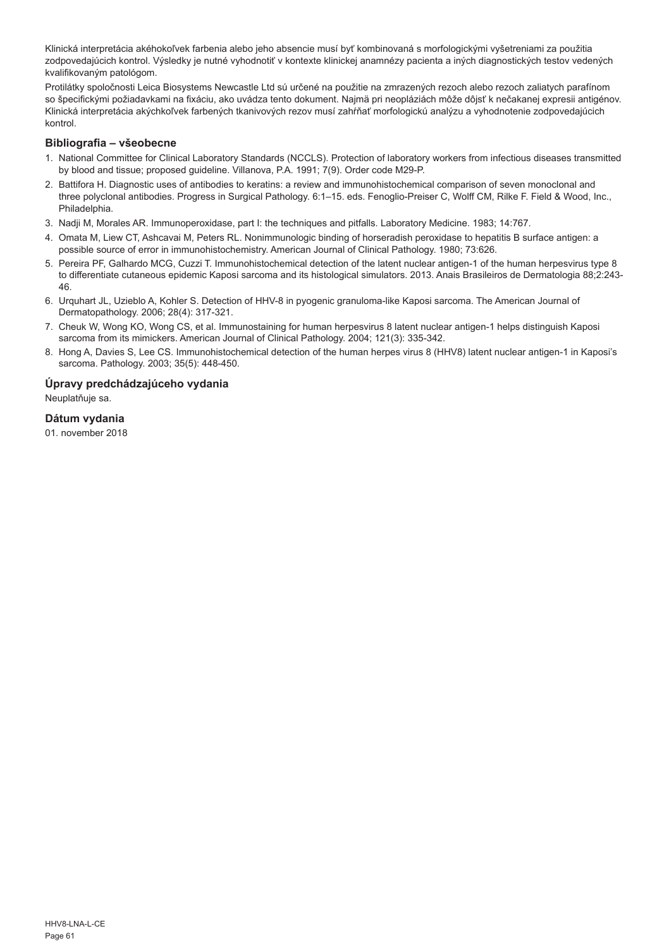Klinická interpretácia akéhokoľvek farbenia alebo jeho absencie musí byť kombinovaná s morfologickými vyšetreniami za použitia zodpovedajúcich kontrol. Výsledky je nutné vyhodnotiť v kontexte klinickej anamnézy pacienta a iných diagnostických testov vedených kvalifikovaným patológom.

Protilátky spoločnosti Leica Biosystems Newcastle Ltd sú určené na použitie na zmrazených rezoch alebo rezoch zaliatych parafínom so špecifickými požiadavkami na fixáciu, ako uvádza tento dokument. Najmä pri neopláziách môže dôjsť k nečakanej expresii antigénov. Klinická interpretácia akýchkoľvek farbených tkanivových rezov musí zahŕňať morfologickú analýzu a vyhodnotenie zodpovedajúcich kontrol.

## **Bibliografia – všeobecne**

- 1. National Committee for Clinical Laboratory Standards (NCCLS). Protection of laboratory workers from infectious diseases transmitted by blood and tissue; proposed guideline. Villanova, P.A. 1991; 7(9). Order code M29-P.
- 2. Battifora H. Diagnostic uses of antibodies to keratins: a review and immunohistochemical comparison of seven monoclonal and three polyclonal antibodies. Progress in Surgical Pathology. 6:1–15. eds. Fenoglio-Preiser C, Wolff CM, Rilke F. Field & Wood, Inc., Philadelphia.
- 3. Nadji M, Morales AR. Immunoperoxidase, part I: the techniques and pitfalls. Laboratory Medicine. 1983; 14:767.
- 4. Omata M, Liew CT, Ashcavai M, Peters RL. Nonimmunologic binding of horseradish peroxidase to hepatitis B surface antigen: a possible source of error in immunohistochemistry. American Journal of Clinical Pathology. 1980; 73:626.
- 5. Pereira PF, Galhardo MCG, Cuzzi T. Immunohistochemical detection of the latent nuclear antigen-1 of the human herpesvirus type 8 to differentiate cutaneous epidemic Kaposi sarcoma and its histological simulators. 2013. Anais Brasileiros de Dermatologia 88;2:243- 46.
- 6. Urquhart JL, Uzieblo A, Kohler S. Detection of HHV-8 in pyogenic granuloma-like Kaposi sarcoma. The American Journal of Dermatopathology. 2006; 28(4): 317-321.
- 7. Cheuk W, Wong KO, Wong CS, et al. Immunostaining for human herpesvirus 8 latent nuclear antigen-1 helps distinguish Kaposi sarcoma from its mimickers. American Journal of Clinical Pathology. 2004; 121(3): 335-342.
- 8. Hong A, Davies S, Lee CS. Immunohistochemical detection of the human herpes virus 8 (HHV8) latent nuclear antigen-1 in Kaposi's sarcoma. Pathology. 2003; 35(5): 448-450.

#### **Úpravy predchádzajúceho vydania**

Neuplatňuje sa.

#### **Dátum vydania**

01. november 2018